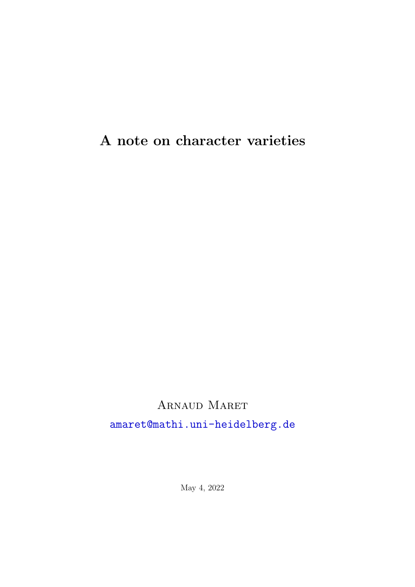<span id="page-0-0"></span>A note on character varieties

## Arnaud Maret

<amaret@mathi.uni-heidelberg.de>

May 4, 2022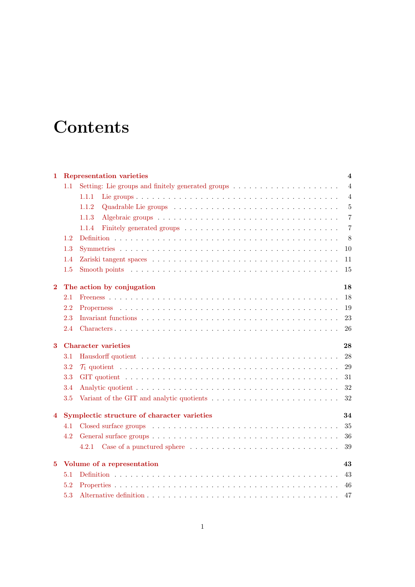# **Contents**

| 1                       |                                 | <b>Representation varieties</b><br>4        |                |  |  |  |  |
|-------------------------|---------------------------------|---------------------------------------------|----------------|--|--|--|--|
|                         | 1.1                             |                                             | $\overline{4}$ |  |  |  |  |
|                         |                                 | 1.1.1                                       | $\overline{4}$ |  |  |  |  |
|                         |                                 | 1.1.2                                       | $\overline{5}$ |  |  |  |  |
|                         |                                 | 1.1.3                                       | $\overline{7}$ |  |  |  |  |
|                         |                                 | 1.1.4                                       | 7              |  |  |  |  |
|                         | 1.2                             |                                             | 8              |  |  |  |  |
|                         | 1.3                             |                                             | 10             |  |  |  |  |
|                         | 1.4                             |                                             | 11             |  |  |  |  |
|                         | 1.5                             |                                             | 15             |  |  |  |  |
| $\bf{2}$                | The action by conjugation<br>18 |                                             |                |  |  |  |  |
|                         | $2.1\,$                         |                                             | 18             |  |  |  |  |
|                         | 2.2                             |                                             | 19             |  |  |  |  |
|                         | 2.3                             |                                             | 23             |  |  |  |  |
|                         | 2.4                             |                                             | 26             |  |  |  |  |
|                         |                                 |                                             |                |  |  |  |  |
| 3                       |                                 | <b>Character varieties</b>                  | 28             |  |  |  |  |
|                         | 3.1                             |                                             | 28             |  |  |  |  |
|                         | 3.2                             |                                             | 29             |  |  |  |  |
|                         | 3.3                             |                                             | 31             |  |  |  |  |
|                         | 3.4                             |                                             | 32             |  |  |  |  |
|                         | 3.5                             |                                             | 32             |  |  |  |  |
| $\overline{\mathbf{4}}$ |                                 | Symplectic structure of character varieties | 34             |  |  |  |  |
|                         | 4.1                             |                                             | 35             |  |  |  |  |
|                         | 4.2                             |                                             | 36             |  |  |  |  |
|                         |                                 | 4.2.1                                       | 39             |  |  |  |  |
| 5                       |                                 | Volume of a representation                  | 43             |  |  |  |  |
|                         | 5.1                             |                                             | 43             |  |  |  |  |
|                         | 5.2                             |                                             | 46             |  |  |  |  |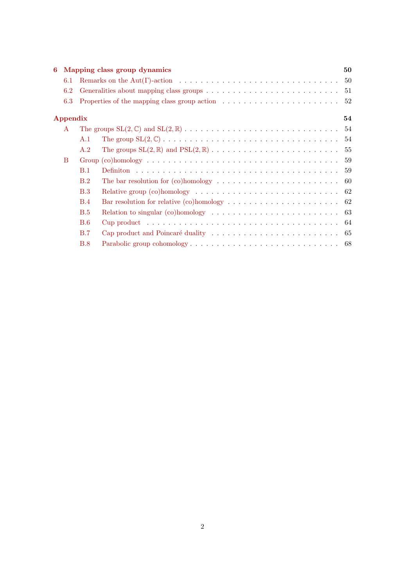| 6        | Mapping class group dynamics |                                                                                                                     |                                                                                                   |    |  |  |  |
|----------|------------------------------|---------------------------------------------------------------------------------------------------------------------|---------------------------------------------------------------------------------------------------|----|--|--|--|
|          | 6.1                          | Remarks on the $Aut(\Gamma)$ -action $\ldots \ldots \ldots \ldots \ldots \ldots \ldots \ldots \ldots \ldots \ldots$ |                                                                                                   |    |  |  |  |
|          | 6.2                          |                                                                                                                     |                                                                                                   |    |  |  |  |
|          | 6.3                          |                                                                                                                     |                                                                                                   |    |  |  |  |
| Appendix |                              |                                                                                                                     |                                                                                                   |    |  |  |  |
|          | $\mathbf{A}$                 |                                                                                                                     |                                                                                                   | 54 |  |  |  |
|          |                              | A.1                                                                                                                 |                                                                                                   | 54 |  |  |  |
|          |                              | A.2                                                                                                                 |                                                                                                   | 55 |  |  |  |
|          | <sub>B</sub>                 |                                                                                                                     |                                                                                                   |    |  |  |  |
|          |                              | B.1                                                                                                                 |                                                                                                   |    |  |  |  |
|          |                              | B.2                                                                                                                 |                                                                                                   |    |  |  |  |
|          |                              | B.3                                                                                                                 |                                                                                                   |    |  |  |  |
|          |                              | <b>B.4</b>                                                                                                          |                                                                                                   |    |  |  |  |
|          |                              | B.5                                                                                                                 |                                                                                                   |    |  |  |  |
|          |                              | B.6                                                                                                                 | Cup product $\ldots \ldots \ldots \ldots \ldots \ldots \ldots \ldots \ldots \ldots \ldots \ldots$ |    |  |  |  |
|          |                              | B.7                                                                                                                 |                                                                                                   |    |  |  |  |
|          |                              | B.8                                                                                                                 |                                                                                                   |    |  |  |  |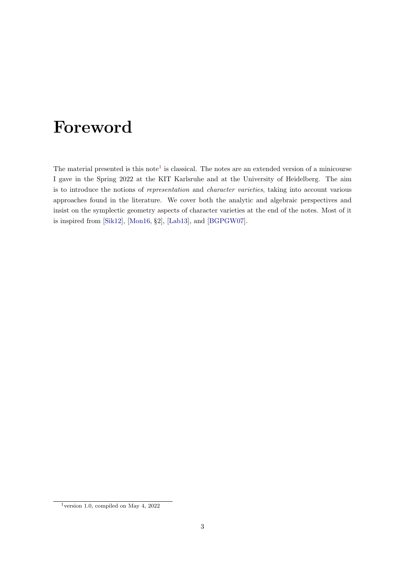## Foreword

The material presented is this note<sup>[1](#page-3-0)</sup> is classical. The notes are an extended version of a minicourse I gave in the Spring 2022 at the KIT Karlsruhe and at the University of Heidelberg. The aim is to introduce the notions of representation and character varieties, taking into account various approaches found in the literature. We cover both the analytic and algebraic perspectives and insist on the symplectic geometry aspects of character varieties at the end of the notes. Most of it is inspired from [\[Sik12\]](#page-72-0), [\[Mon16,](#page-72-1) §2], [\[Lab13\]](#page-72-2), and [\[BGPGW07\]](#page-70-0).

<span id="page-3-0"></span> $1$ version 1.0, compiled on May 4, 2022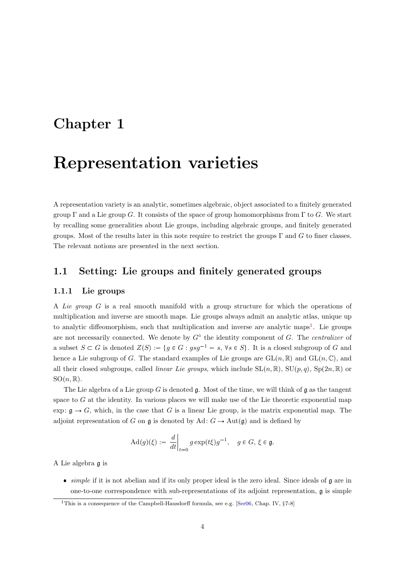### <span id="page-4-0"></span>Chapter 1

## Representation varieties

A representation variety is an analytic, sometimes algebraic, object associated to a finitely generated group  $\Gamma$  and a Lie group G. It consists of the space of group homomorphisms from  $\Gamma$  to G. We start by recalling some generalities about Lie groups, including algebraic groups, and finitely generated groups. Most of the results later in this note require to restrict the groups  $\Gamma$  and G to finer classes. The relevant notions are presented in the next section.

#### <span id="page-4-1"></span>1.1 Setting: Lie groups and finitely generated groups

#### <span id="page-4-2"></span>1.1.1 Lie groups

A Lie group G is a real smooth manifold with a group structure for which the operations of multiplication and inverse are smooth maps. Lie groups always admit an analytic atlas, unique up to analytic diffeomorphism, such that multiplication and inverse are analytic maps<sup>[1](#page-4-3)</sup>. Lie groups are not necessarily connected. We denote by  $G^{\circ}$  the identity component of G. The *centralizer* of a subset  $S \subset G$  is denoted  $Z(S) := \{g \in G : gsg^{-1} = s, \forall s \in S\}$ . It is a closed subgroup of G and hence a Lie subgroup of G. The standard examples of Lie groups are  $GL(n, \mathbb{R})$  and  $GL(n, \mathbb{C})$ , and all their closed subgroups, called *linear Lie groups*, which include  $SL(n, \mathbb{R})$ ,  $SU(p, q)$ ,  $Sp(2n, \mathbb{R})$  or  $SO(n,\mathbb{R}).$ 

The Lie algebra of a Lie group G is denoted  $\mathfrak{g}$ . Most of the time, we will think of  $\mathfrak{g}$  as the tangent space to  $G$  at the identity. In various places we will make use of the Lie theoretic exponential map exp:  $\mathfrak{g} \to G$ , which, in the case that G is a linear Lie group, is the matrix exponential map. The adjoint representation of G on  $\mathfrak g$  is denoted by Ad:  $G \to \text{Aut}(\mathfrak g)$  and is defined by

$$
\mathrm{Ad}(g)(\xi) := \left. \frac{d}{dt} \right|_{t=0} g \exp(t\xi) g^{-1}, \quad g \in G, \, \xi \in \mathfrak{g}.
$$

A Lie algebra  $\alpha$  is

 $\bullet$  simple if it is not abelian and if its only proper ideal is the zero ideal. Since ideals of  $\mathfrak g$  are in one-to-one correspondence with sub-representations of its adjoint representation,  $\mathfrak{g}$  is simple

<span id="page-4-3"></span><sup>&</sup>lt;sup>1</sup>This is a consequence of the Campbell-Hausdorff formula, see e.g. [\[Ser06,](#page-72-3) Chap. IV, §7-8]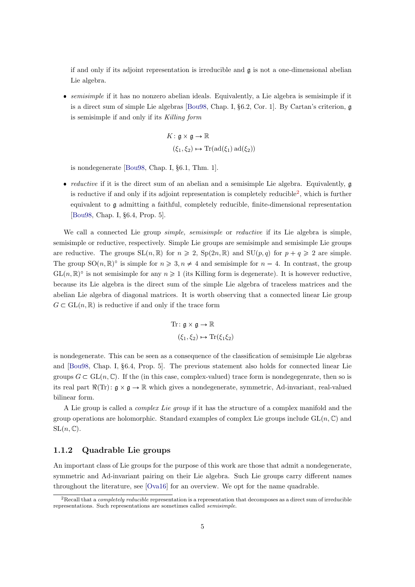if and only if its adjoint representation is irreducible and  $\mathfrak g$  is not a one-dimensional abelian Lie algebra.

 $\bullet$  semisimple if it has no nonzero abelian ideals. Equivalently, a Lie algebra is semisimple if it is a direct sum of simple Lie algebras [\[Bou98,](#page-70-1) Chap. I, §6.2, Cor. 1]. By Cartan's criterion, g is semisimple if and only if its Killing form

$$
K: \mathfrak{g} \times \mathfrak{g} \to \mathbb{R}
$$

$$
(\xi_1, \xi_2) \mapsto \mathrm{Tr}(\mathrm{ad}(\xi_1) \mathrm{ad}(\xi_2))
$$

is nondegenerate [\[Bou98,](#page-70-1) Chap. I, §6.1, Thm. 1].

 $\bullet$  reductive if it is the direct sum of an abelian and a semisimple Lie algebra. Equivalently, g is reductive if and only if its adjoint representation is completely reducible<sup>[2](#page-5-1)</sup>, which is further equivalent to g admitting a faithful, completely reducible, finite-dimensional representation [\[Bou98,](#page-70-1) Chap. I, §6.4, Prop. 5].

We call a connected Lie group *simple, semisimple* or *reductive* if its Lie algebra is simple, semisimple or reductive, respectively. Simple Lie groups are semisimple and semisimple Lie groups are reductive. The groups  $SL(n, \mathbb{R})$  for  $n \geq 2$ ,  $Sp(2n, \mathbb{R})$  and  $SU(p, q)$  for  $p + q \geq 2$  are simple. The group  $SO(n,\mathbb{R})^{\circ}$  is simple for  $n \geq 3, n \neq 4$  and semisimple for  $n = 4$ . In contrast, the group  $GL(n,\mathbb{R})^{\circ}$  is not semisimple for any  $n \geq 1$  (its Killing form is degenerate). It is however reductive, because its Lie algebra is the direct sum of the simple Lie algebra of traceless matrices and the abelian Lie algebra of diagonal matrices. It is worth observing that a connected linear Lie group  $G \subset GL(n, \mathbb{R})$  is reductive if and only if the trace form

Tr: 
$$
\mathfrak{g} \times \mathfrak{g} \to \mathbb{R}
$$
  
 $(\xi_1, \xi_2) \mapsto \text{Tr}(\xi_1 \xi_2)$ 

is nondegenerate. This can be seen as a consequence of the classification of semisimple Lie algebras and [\[Bou98,](#page-70-1) Chap. I, §6.4, Prop. 5]. The previous statement also holds for connected linear Lie groups  $G \subset GL(n, \mathbb{C})$ . If the (in this case, complex-valued) trace form is nondegegenrate, then so is its real part  $\Re(\text{Tr})$ :  $\mathfrak{g} \times \mathfrak{g} \to \mathbb{R}$  which gives a nondegenerate, symmetric, Ad-invariant, real-valued bilinear form.

A Lie group is called a complex Lie group if it has the structure of a complex manifold and the group operations are holomorphic. Standard examples of complex Lie groups include  $GL(n, \mathbb{C})$  and  $SL(n, \mathbb{C})$ .

#### <span id="page-5-0"></span>1.1.2 Quadrable Lie groups

An important class of Lie groups for the purpose of this work are those that admit a nondegenerate, symmetric and Ad-invariant pairing on their Lie algebra. Such Lie groups carry different names throughout the literature, see [\[Ova16\]](#page-72-4) for an overview. We opt for the name quadrable.

<span id="page-5-1"></span><sup>&</sup>lt;sup>2</sup>Recall that a *completely reducible* representation is a representation that decomposes as a direct sum of irreducible representations. Such representations are sometimes called semisimple.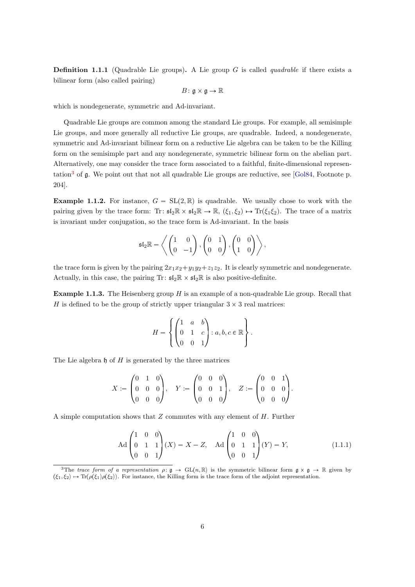**Definition 1.1.1** (Quadrable Lie groups). A Lie group G is called *quadrable* if there exists a bilinear form (also called pairing)

$$
B\colon \mathfrak{g}\times \mathfrak{g}\to \mathbb{R}
$$

which is nondegenerate, symmetric and Ad-invariant.

Quadrable Lie groups are common among the standard Lie groups. For example, all semisimple Lie groups, and more generally all reductive Lie groups, are quadrable. Indeed, a nondegenerate, symmetric and Ad-invariant bilinear form on a reductive Lie algebra can be taken to be the Killing form on the semisimple part and any nondegenerate, symmetric bilinear form on the abelian part. Alternatively, one may consider the trace form associated to a faithful, finite-dimensional represen-tation<sup>[3](#page-6-0)</sup> of  $\mathfrak g$ . We point out that not all quadrable Lie groups are reductive, see [\[Gol84,](#page-71-0) Footnote p. 204].

**Example 1.1.2.** For instance,  $G = SL(2, \mathbb{R})$  is quadrable. We usually chose to work with the pairing given by the trace form: Tr:  $\mathfrak{sl}_2 \mathbb{R} \times \mathfrak{sl}_2 \mathbb{R} \to \mathbb{R}$ ,  $(\xi_1, \xi_2) \mapsto \text{Tr}(\xi_1 \xi_2)$ . The trace of a matrix is invariant under conjugation, so the trace form is Ad-invariant. In the basis

$$
\mathfrak{sl}_2\mathbb{R}=\left\langle \begin{pmatrix} 1 & 0 \\ 0 & -1 \end{pmatrix}, \begin{pmatrix} 0 & 1 \\ 0 & 0 \end{pmatrix}, \begin{pmatrix} 0 & 0 \\ 1 & 0 \end{pmatrix} \right\rangle,
$$

the trace form is given by the pairing  $2x_1x_2+y_1y_2+z_1z_2$ . It is clearly symmetric and nondegenerate. Actually, in this case, the pairing  $\text{Tr}: \mathfrak{sl}_2 \mathbb{R} \times \mathfrak{sl}_2 \mathbb{R}$  is also positive-definite.

**Example 1.1.3.** The Heisenberg group  $H$  is an example of a non-quadrable Lie group. Recall that H is defined to be the group of strictly upper triangular  $3 \times 3$  real matrices:

$$
H = \left\{ \begin{pmatrix} 1 & a & b \\ 0 & 1 & c \\ 0 & 0 & 1 \end{pmatrix} : a, b, c \in \mathbb{R} \right\}.
$$

The Lie algebra  $\mathfrak h$  of H is generated by the three matrices

$$
X := \begin{pmatrix} 0 & 1 & 0 \\ 0 & 0 & 0 \\ 0 & 0 & 0 \end{pmatrix}, \quad Y := \begin{pmatrix} 0 & 0 & 0 \\ 0 & 0 & 1 \\ 0 & 0 & 0 \end{pmatrix}, \quad Z := \begin{pmatrix} 0 & 0 & 1 \\ 0 & 0 & 0 \\ 0 & 0 & 0 \end{pmatrix}.
$$

A simple computation shows that  $Z$  commutes with any element of  $H$ . Further

<span id="page-6-1"></span>
$$
\mathrm{Ad}\begin{pmatrix} 1 & 0 & 0 \\ 0 & 1 & 1 \\ 0 & 0 & 1 \end{pmatrix} (X) = X - Z, \quad \mathrm{Ad}\begin{pmatrix} 1 & 0 & 0 \\ 0 & 1 & 1 \\ 0 & 0 & 1 \end{pmatrix} (Y) = Y,
$$
(1.1.1)

<span id="page-6-0"></span><sup>&</sup>lt;sup>3</sup>The trace form of a representation  $\rho: \mathfrak{g} \to GL(n, \mathbb{R})$  is the symmetric bilinear form  $\mathfrak{g} \times \mathfrak{g} \to \mathbb{R}$  given by  $(\xi_1, \xi_2) \rightarrow \text{Tr}(\rho(\xi_1)\rho(\xi_2))$ . For instance, the Killing form is the trace form of the adjoint representation.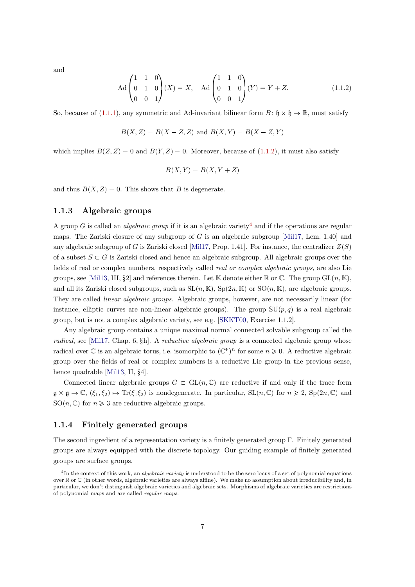and

<span id="page-7-2"></span>
$$
\mathrm{Ad}\begin{pmatrix} 1 & 1 & 0 \\ 0 & 1 & 0 \\ 0 & 0 & 1 \end{pmatrix} (X) = X, \quad \mathrm{Ad}\begin{pmatrix} 1 & 1 & 0 \\ 0 & 1 & 0 \\ 0 & 0 & 1 \end{pmatrix} (Y) = Y + Z. \tag{1.1.2}
$$

So, because of [\(1.1.1\)](#page-6-1), any symmetric and Ad-invariant bilinear form  $B: \mathfrak{h} \times \mathfrak{h} \to \mathbb{R}$ , must satisfy

$$
B(X, Z) = B(X - Z, Z)
$$
 and  $B(X, Y) = B(X - Z, Y)$ 

which implies  $B(Z, Z) = 0$  and  $B(Y, Z) = 0$ . Moreover, because of [\(1.1.2\)](#page-7-2), it must also satisfy

$$
B(X, Y) = B(X, Y + Z)
$$

and thus  $B(X, Z) = 0$ . This shows that B is degenerate.

#### <span id="page-7-0"></span>1.1.3 Algebraic groups

A group G is called an *algebraic group* if it is an algebraic variety<sup>[4](#page-7-3)</sup> and if the operations are regular maps. The Zariski closure of any subgroup of G is an algebraic subgroup [\[Mil17,](#page-72-5) Lem. 1.40] and any algebraic subgroup of G is Zariski closed [\[Mil17,](#page-72-5) Prop. 1.41]. For instance, the centralizer  $Z(S)$ of a subset  $S \subset G$  is Zariski closed and hence an algebraic subgroup. All algebraic groups over the fields of real or complex numbers, respectively called real or complex algebraic groups, are also Lie groups, see [\[Mil13,](#page-72-6) III, §2] and references therein. Let K denote either R or C. The group  $GL(n, K)$ , and all its Zariski closed subgroups, such as  $SL(n, K)$ ,  $Sp(2n, K)$  or  $SO(n, K)$ , are algebraic groups. They are called *linear algebraic groups*. Algebraic groups, however, are not necessarily linear (for instance, elliptic curves are non-linear algebraic groups). The group  $SU(p, q)$  is a real algebraic group, but is not a complex algebraic variety, see e.g. [\[SKKT00,](#page-73-0) Exercise 1.1.2].

Any algebraic group contains a unique maximal normal connected solvable subgroup called the radical, see [\[Mil17,](#page-72-5) Chap. 6,  $\hbar$ ]. A reductive algebraic group is a connected algebraic group whose radical over  $\mathbb C$  is an algebraic torus, i.e. isomorphic to  $(\mathbb C^*)^n$  for some  $n \geq 0$ . A reductive algebraic group over the fields of real or complex numbers is a reductive Lie group in the previous sense, hence quadrable [\[Mil13,](#page-72-6) II, §4].

Connected linear algebraic groups  $G \subset GL(n, \mathbb{C})$  are reductive if and only if the trace form  $\mathfrak{g} \times \mathfrak{g} \to \mathbb{C}, (\xi_1, \xi_2) \mapsto \text{Tr}(\xi_1 \xi_2)$  is nondegenerate. In particular,  $SL(n, \mathbb{C})$  for  $n \geq 2$ ,  $Sp(2n, \mathbb{C})$  and SO $(n, \mathbb{C})$  for  $n \geq 3$  are reductive algebraic groups.

#### <span id="page-7-1"></span>1.1.4 Finitely generated groups

The second ingredient of a representation variety is a finitely generated group Γ. Finitely generated groups are always equipped with the discrete topology. Our guiding example of finitely generated groups are surface groups.

<span id="page-7-3"></span> $^{4}$ In the context of this work, an *algebraic variety* is understood to be the zero locus of a set of polynomial equations over R or C (in other words, algebraic varieties are always affine). We make no assumption about irreducibility and, in particular, we don't distinguish algebraic varieties and algebraic sets. Morphisms of algebraic varieties are restrictions of polynomial maps and are called regular maps.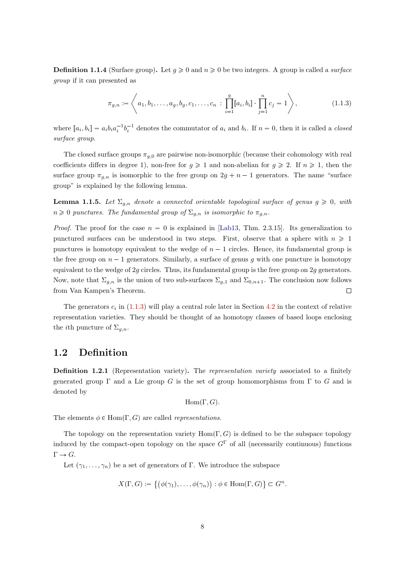**Definition 1.1.4** (Surface group). Let  $q \ge 0$  and  $n \ge 0$  be two integers. A group is called a *surface* group if it can presented as

<span id="page-8-1"></span>
$$
\pi_{g,n} := \left\langle a_1, b_1, \dots, a_g, b_g, c_1, \dots, c_n : \prod_{i=1}^g [a_i, b_i] \cdot \prod_{j=1}^n c_j = 1 \right\rangle,
$$
\n(1.1.3)

where  $[a_i, b_i] = a_i b_i a_i^{-1} b_i^{-1}$  denotes the commutator of  $a_i$  and  $b_i$ . If  $n = 0$ , then it is called a *closed* surface group.

The closed surface groups  $\pi_{g,0}$  are pairwise non-isomorphic (because their cohomology with real coefficients differs in degree 1), non-free for  $g \ge 1$  and non-abelian for  $g \ge 2$ . If  $n \ge 1$ , then the surface group  $\pi_{q,n}$  is isomorphic to the free group on  $2g + n - 1$  generators. The name "surface" group" is explained by the following lemma.

**Lemma 1.1.5.** Let  $\Sigma_{g,n}$  denote a connected orientable topological surface of genus  $g \geq 0$ , with  $n \geq 0$  punctures. The fundamental group of  $\Sigma_{q,n}$  is isomorphic to  $\pi_{q,n}$ .

*Proof.* The proof for the case  $n = 0$  is explained in [\[Lab13,](#page-72-2) Thm. 2.3.15]. Its generalization to punctured surfaces can be understood in two steps. First, observe that a sphere with  $n \geq 1$ punctures is homotopy equivalent to the wedge of  $n - 1$  circles. Hence, its fundamental group is the free group on  $n-1$  generators. Similarly, a surface of genus g with one puncture is homotopy equivalent to the wedge of  $2g$  circles. Thus, its fundamental group is the free group on  $2g$  generators. Now, note that  $\Sigma_{g,n}$  is the union of two sub-surfaces  $\Sigma_{g,1}$  and  $\Sigma_{0,n+1}$ . The conclusion now follows from Van Kampen's Theorem.  $\Box$ 

The generators  $c_i$  in [\(1.1.3\)](#page-8-1) will play a central role later in Section [4.2](#page-36-0) in the context of relative representation varieties. They should be thought of as homotopy classes of based loops enclosing the *i*th puncture of  $\Sigma_{q,n}$ .

#### <span id="page-8-0"></span>1.2 Definition

Definition 1.2.1 (Representation variety). The representation variety associated to a finitely generated group  $\Gamma$  and a Lie group G is the set of group homomorphisms from  $\Gamma$  to G and is denoted by

$$
\mathrm{Hom}(\Gamma,G).
$$

The elements  $\phi \in \text{Hom}(\Gamma, G)$  are called *representations*.

The topology on the representation variety  $Hom(\Gamma, G)$  is defined to be the subspace topology induced by the compact-open topology on the space  $G^{\Gamma}$  of all (necessarily continuous) functions  $\Gamma \to G$ .

Let  $(\gamma_1, \ldots, \gamma_n)$  be a set of generators of Γ. We introduce the subspace

$$
X(\Gamma, G) := \{ (\phi(\gamma_1), \dots, \phi(\gamma_n)) : \phi \in \text{Hom}(\Gamma, G) \} \subset G^n.
$$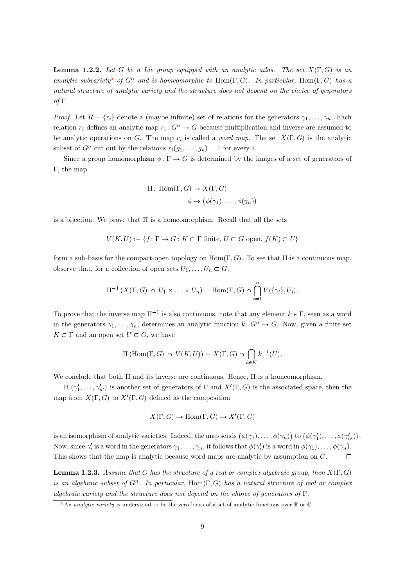<span id="page-9-1"></span>**Lemma 1.2.2.** Let G be a Lie group equipped with an analytic atlas. The set  $X(\Gamma, G)$  is an analytic subvariety<sup>[5](#page-9-0)</sup> of  $G^n$  and is homeomorphic to Hom $(\Gamma, G)$ . In particular, Hom $(\Gamma, G)$  has a natural structure of analytic variety and the structure does not depend on the choice of generators of Γ.

*Proof.* Let  $R = \{r_i\}$  denote a (maybe infinite) set of relations for the generators  $\gamma_1, \ldots, \gamma_n$ . Each relation  $r_i$  defines an analytic map  $r_i: G^n \to G$  because multiplication and inverse are assumed to be analytic operations on G. The map  $r_i$  is called a *word map*. The set  $X(\Gamma, G)$  is the analytic subset of  $G^n$  cut out by the relations  $r_i(g_1, \ldots, g_n) = 1$  for every i.

Since a group homomorphism  $\phi \colon \Gamma \to G$  is determined by the images of a set of generators of Γ, the map

$$
\Pi\colon \operatorname{Hom}(\Gamma,G) \to X(\Gamma,G)
$$

$$
\phi \mapsto (\phi(\gamma_1), \dots, \phi(\gamma_n))
$$

is a bijection. We prove that  $\Pi$  is a homeomorphism. Recall that all the sets

$$
V(K, U) := \{ f \colon \Gamma \to G : K \subset \Gamma \text{ finite, } U \subset G \text{ open, } f(K) \subset U \}
$$

form a sub-basis for the compact-open topology on  $\text{Hom}(\Gamma, G)$ . To see that  $\Pi$  is a continuous map, observe that, for a collection of open sets  $U_1, \ldots, U_n \subset G$ ,

$$
\Pi^{-1}(X(\Gamma,G)\cap U_1\times\ldots\times U_n)=\operatorname{Hom}(\Gamma,G)\cap\bigcap_{i=1}^n V(\{\gamma_i\},U_i).
$$

To prove that the inverse map  $\Pi^{-1}$  is also continuous, note that any element  $k \in \Gamma$ , seen as a word in the generators  $\gamma_1, \ldots, \gamma_n$ , determines an analytic function  $k: G^n \to G$ . Now, given a finite set  $K \subset \Gamma$  and an open set  $U \subset G$ , we have

$$
\Pi(\mathrm{Hom}(\Gamma,G)\,\cap\,V(K,U))=X(\Gamma,G)\cap\bigcap_{k\in K}k^{-1}(U).
$$

We conclude that both  $\Pi$  and its inverse are continuous. Hence,  $\Pi$  is a homeomorphism.

If  $(\gamma'_1, \ldots, \gamma'_{n'})$  is another set of generators of  $\Gamma$  and  $X'(\Gamma, G)$  is the associated space, then the map from  $X(\Gamma, G)$  to  $X'(\Gamma, G)$  defined as the composition

$$
X(\Gamma, G) \to \text{Hom}(\Gamma, G) \to X'(\Gamma, G)
$$

is an isomorphism of analytic varieties. Indeed, the map sends  $(\phi(\gamma_1), \ldots, \phi(\gamma_n))$  to  $(\phi(\gamma'_1), \ldots, \phi(\gamma'_{n'}))$ . Now, since  $\gamma'_i$  is a word in the generators  $\gamma_1,\ldots,\gamma_n$ , it follows that  $\phi(\gamma'_i)$  is a word in  $\phi(\gamma_1),\ldots,\phi(\gamma_n)$ . This shows that the map is analytic because word maps are analytic by assumption on G.  $\Box$ 

<span id="page-9-2"></span>**Lemma 1.2.3.** Assume that G has the structure of a real or complex algebraic group, then  $X(\Gamma, G)$ is an algebraic subset of  $G^n$ . In particular, Hom $(\Gamma, G)$  has a natural structure of real or complex algebraic variety and the structure does not depend on the choice of generators of Γ.

<span id="page-9-0"></span> $5$ An *analytic variety* is understood to be the zero locus of a set of analytic functions over R or C.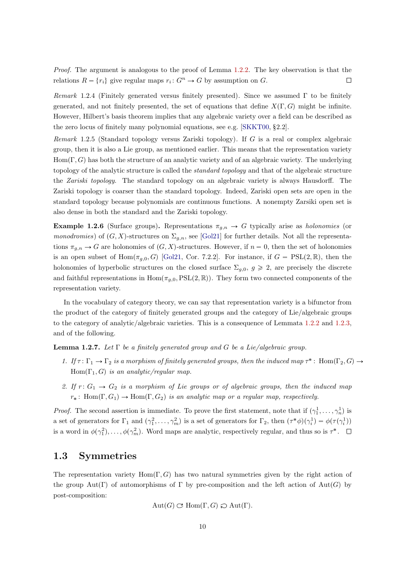Proof. The argument is analogous to the proof of Lemma [1.2.2.](#page-9-1) The key observation is that the relations  $R = \{r_i\}$  give regular maps  $r_i: G^n \to G$  by assumption on G.  $\Box$ 

Remark 1.2.4 (Finitely generated versus finitely presented). Since we assumed  $\Gamma$  to be finitely generated, and not finitely presented, the set of equations that define  $X(\Gamma, G)$  might be infinite. However, Hilbert's basis theorem implies that any algebraic variety over a field can be described as the zero locus of finitely many polynomial equations, see e.g. [\[SKKT00,](#page-73-0) §2.2].

Remark 1.2.5 (Standard topology versus Zariski topology). If G is a real or complex algebraic group, then it is also a Lie group, as mentioned earlier. This means that the representation variety  $Hom(\Gamma, G)$  has both the structure of an analytic variety and of an algebraic variety. The underlying topology of the analytic structure is called the *standard topology* and that of the algebraic structure the Zariski topology. The standard topology on an algebraic variety is always Hausdorff. The Zariski topology is coarser than the standard topology. Indeed, Zariski open sets are open in the standard topology because polynomials are continuous functions. A nonempty Zarsiki open set is also dense in both the standard and the Zariski topology.

<span id="page-10-2"></span>**Example 1.2.6** (Surface groups). Representations  $\pi_{q,n} \to G$  typically arise as *holonomies* (or monodromies) of  $(G, X)$ -structures on  $\Sigma_{g,n}$ , see [\[Gol21\]](#page-71-1) for further details. Not all the representations  $\pi_{g,n} \to G$  are holonomies of  $(G, X)$ -structures. However, if  $n = 0$ , then the set of holonomies is an open subset of Hom $(\pi_{q,0}, G)$  [\[Gol21,](#page-71-1) Cor. 7.2.2]. For instance, if  $G = PSL(2, \mathbb{R})$ , then the holonomies of hyperbolic structures on the closed surface  $\Sigma_{q,0}$ ,  $g \geq 2$ , are precisely the discrete and faithful representations in  $\text{Hom}(\pi_{q,0},PSL(2,\mathbb{R}))$ . They form two connected components of the representation variety.

In the vocabulary of category theory, we can say that representation variety is a bifunctor from the product of the category of finitely generated groups and the category of Lie/algebraic groups to the category of analytic/algebraic varieties. This is a consequence of Lemmata [1.2.2](#page-9-1) and [1.2.3,](#page-9-2) and of the following.

<span id="page-10-1"></span>**Lemma 1.2.7.** Let  $\Gamma$  be a finitely generated group and G be a Lie/algebraic group.

- 1. If  $\tau \colon \Gamma_1 \to \Gamma_2$  is a morphism of finitely generated groups, then the induced map  $\tau^* \colon \text{Hom}(\Gamma_2, G) \to$ Hom $(\Gamma_1, G)$  is an analytic/regular map.
- 2. If  $r: G_1 \rightarrow G_2$  is a morphism of Lie groups or of algebraic groups, then the induced map  $r_*\colon \text{Hom}(\Gamma, G_1) \to \text{Hom}(\Gamma, G_2)$  is an analytic map or a regular map, respectively.

*Proof.* The second assertion is immediate. To prove the first statement, note that if  $(\gamma_1^1, \ldots, \gamma_n^1)$  is a set of generators for  $\Gamma_1$  and  $(\gamma_1^2, \ldots, \gamma_m^2)$  is a set of generators for  $\Gamma_2$ , then  $(\tau^*\phi)(\gamma_i^1) = \phi(\tau(\gamma_i^1))$ is a word in  $\phi(\gamma_1^2), \ldots, \phi(\gamma_m^2)$ . Word maps are analytic, respectively regular, and thus so is  $\tau^*$ .

#### <span id="page-10-0"></span>1.3 Symmetries

The representation variety Hom $(\Gamma, G)$  has two natural symmetries given by the right action of the group Aut(Γ) of automorphisms of Γ by pre-composition and the left action of Aut(G) by post-composition:

$$
Aut(G) \subset Hom(\Gamma, G) \supset Aut(\Gamma).
$$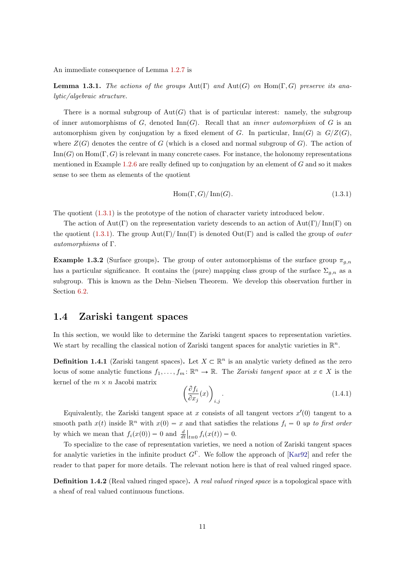An immediate consequence of Lemma [1.2.7](#page-10-1) is

**Lemma 1.3.1.** The actions of the groups  $Aut(\Gamma)$  and  $Aut(G)$  on  $Hom(\Gamma, G)$  preserve its analytic/algebraic structure.

There is a normal subgroup of  $Aut(G)$  that is of particular interest: namely, the subgroup of inner automorphisms of G, denoted  $\text{Inn}(G)$ . Recall that an *inner automorphism* of G is an automorphism given by conjugation by a fixed element of G. In particular,  $\text{Inn}(G) \cong G/Z(G)$ , where  $Z(G)$  denotes the centre of G (which is a closed and normal subgroup of G). The action of  $\text{Inn}(G)$  on  $\text{Hom}(\Gamma, G)$  is relevant in many concrete cases. For instance, the holonomy representations mentioned in Example [1.2.6](#page-10-2) are really defined up to conjugation by an element of G and so it makes sense to see them as elements of the quotient

<span id="page-11-1"></span>
$$
Hom(\Gamma, G)/\operatorname{Inn}(G). \tag{1.3.1}
$$

The quotient [\(1.3.1\)](#page-11-1) is the prototype of the notion of character variety introduced below.

The action of Aut $(\Gamma)$  on the representation variety descends to an action of Aut $(\Gamma)/\text{Inn}(\Gamma)$  on the quotient [\(1.3.1\)](#page-11-1). The group  $Aut(\Gamma)/\text{Inn}(\Gamma)$  is denoted  $Out(\Gamma)$  and is called the group of *outer* automorphisms of Γ.

**Example 1.3.2** (Surface groups). The group of outer automorphisms of the surface group  $\pi_{q,n}$ has a particular significance. It contains the (pure) mapping class group of the surface  $\Sigma_{q,n}$  as a subgroup. This is known as the Dehn–Nielsen Theorem. We develop this observation further in Section [6.2.](#page-51-0)

#### <span id="page-11-0"></span>1.4 Zariski tangent spaces

In this section, we would like to determine the Zariski tangent spaces to representation varieties. We start by recalling the classical notion of Zariski tangent spaces for analytic varieties in  $\mathbb{R}^n$ .

**Definition 1.4.1** (Zariski tangent spaces). Let  $X \subset \mathbb{R}^n$  is an analytic variety defined as the zero locus of some analytic functions  $f_1, \ldots, f_m : \mathbb{R}^n \to \mathbb{R}$ . The Zariski tangent space at  $x \in X$  is the kernel of the  $m \times n$  Jacobi matrix

<span id="page-11-2"></span>
$$
\left(\frac{\partial f_i}{\partial x_j}(x)\right)_{i,j}.\tag{1.4.1}
$$

Equivalently, the Zariski tangent space at x consists of all tangent vectors  $x'(0)$  tangent to a smooth path  $x(t)$  inside  $\mathbb{R}^n$  with  $x(0) = x$  and that satisfies the relations  $f_i = 0$  up to first order by which we mean that  $f_i(x(0)) = 0$  and  $\frac{d}{dt}\big|_{t=0} f_i(x(t)) = 0$ .

To specialize to the case of representation varieties, we need a notion of Zariski tangent spaces for analytic varieties in the infinite product  $G^{\Gamma}$ . We follow the approach of [\[Kar92\]](#page-71-2) and refer the reader to that paper for more details. The relevant notion here is that of real valued ringed space.

**Definition 1.4.2** (Real valued ringed space). A *real valued ringed space* is a topological space with a sheaf of real valued continuous functions.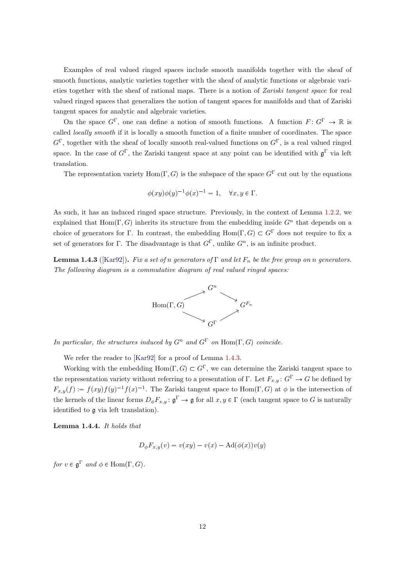Examples of real valued ringed spaces include smooth manifolds together with the sheaf of smooth functions, analytic varieties together with the sheaf of analytic functions or algebraic varieties together with the sheaf of rational maps. There is a notion of Zariski tangent space for real valued ringed spaces that generalizes the notion of tangent spaces for manifolds and that of Zariski tangent spaces for analytic and algebraic varieties.

On the space  $G^{\Gamma}$ , one can define a notion of smooth functions. A function  $F: G^{\Gamma} \to \mathbb{R}$  is called locally smooth if it is locally a smooth function of a finite number of coordinates. The space  $G^{\Gamma}$ , together with the sheaf of locally smooth real-valued functions on  $G^{\Gamma}$ , is a real valued ringed space. In the case of  $G^{\Gamma}$ , the Zariski tangent space at any point can be identified with  $\mathfrak{g}^{\Gamma}$  via left translation.

The representation variety Hom $(\Gamma, G)$  is the subspace of the space  $G^{\Gamma}$  cut out by the equations

$$
\phi(xy)\phi(y)^{-1}\phi(x)^{-1} = 1, \quad \forall x, y \in \Gamma.
$$

As such, it has an induced ringed space structure. Previously, in the context of Lemma [1.2.2,](#page-9-1) we explained that  $\text{Hom}(\Gamma, G)$  inherits its structure from the embedding inside  $G<sup>n</sup>$  that depends on a choice of generators for Γ. In contrast, the embedding Hom $(\Gamma, G) \subset G^{\Gamma}$  does not require to fix a set of generators for Γ. The disadvantage is that  $G^{\Gamma}$ , unlike  $G^{n}$ , is an infinite product.

<span id="page-12-0"></span>**Lemma 1.4.3** ([\[Kar92\]](#page-71-2)). Fix a set of n generators of  $\Gamma$  and let  $F_n$  be the free group on n generators. The following diagram is a commutative diagram of real valued ringed spaces:



In particular, the structures induced by  $G^n$  and  $G^{\Gamma}$  on  $\text{Hom}(\Gamma, G)$  coincide.

We refer the reader to [\[Kar92\]](#page-71-2) for a proof of Lemma [1.4.3.](#page-12-0)

Working with the embedding Hom $(\Gamma, G) \subset G^{\Gamma}$ , we can determine the Zariski tangent space to the representation variety without referring to a presentation of Γ. Let  $F_{x,y}$ :  $G^{\Gamma} \to G$  be defined by  $F_{x,y}(f) := f(xy)f(y)^{-1}f(x)^{-1}$ . The Zariski tangent space to Hom $(\Gamma, G)$  at  $\phi$  is the intersection of the kernels of the linear forms  $D_{\phi}F_{x,y}$ :  $\mathfrak{g}^{\Gamma}\to \mathfrak{g}$  for all  $x,y\in \Gamma$  (each tangent space to G is naturally identified to g via left translation).

Lemma 1.4.4. It holds that

$$
D_{\phi}F_{x,y}(v) = v(xy) - v(x) - \mathrm{Ad}(\phi(x))v(y)
$$

for  $v \in \mathfrak{g}^{\Gamma}$  and  $\phi \in \text{Hom}(\Gamma, G)$ .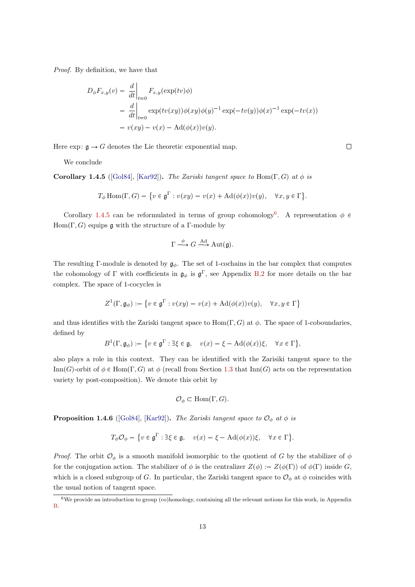Proof. By definition, we have that

$$
D_{\phi}F_{x,y}(v) = \frac{d}{dt}\Big|_{t=0} F_{x,y}(\exp(tv)\phi)
$$
  
= 
$$
\frac{d}{dt}\Big|_{t=0} \exp(tv(xy))\phi(xy)\phi(y)^{-1}\exp(-tv(y))\phi(x)^{-1}\exp(-tv(x))
$$
  
= 
$$
v(xy) - v(x) - \text{Ad}(\phi(x))v(y).
$$

Here  $\exp: \mathfrak{g} \to G$  denotes the Lie theoretic exponential map.

We conclude

<span id="page-13-0"></span>Corollary 1.4.5 ([\[Gol84\]](#page-71-0), [\[Kar92\]](#page-71-2)). The Zariski tangent space to Hom( $\Gamma$ , G) at  $\phi$  is

$$
T_{\phi} \operatorname{Hom}(\Gamma, G) = \{ v \in \mathfrak{g}^{\Gamma} : v(xy) = v(x) + \operatorname{Ad}(\phi(x))v(y), \quad \forall x, y \in \Gamma \}.
$$

Corollary [1.4.5](#page-13-0) can be reformulated in terms of group cohomology<sup>[6](#page-13-1)</sup>. A representation  $\phi \in$ Hom $(\Gamma, G)$  equips g with the structure of a Γ-module by

$$
\Gamma \stackrel{\phi}{\longrightarrow} G \stackrel{\text{Ad}}{\longrightarrow} \text{Aut}(\mathfrak{g}).
$$

The resulting Γ-module is denoted by  $\mathfrak{g}_{\phi}$ . The set of 1-cochains in the bar complex that computes the cohomology of  $\Gamma$  with coefficients in  $\mathfrak{g}_{\phi}$  is  $\mathfrak{g}^{\Gamma}$ , see Appendix [B.2](#page-60-0) for more details on the bar complex. The space of 1-cocycles is

$$
Z^{1}(\Gamma, \mathfrak{g}_{\phi}) := \{ v \in \mathfrak{g}^{\Gamma} : v(xy) = v(x) + \mathrm{Ad}(\phi(x))v(y), \quad \forall x, y \in \Gamma \}
$$

and thus identifies with the Zariski tangent space to Hom $(\Gamma, G)$  at  $\phi$ . The space of 1-coboundaries, defined by

$$
B^1(\Gamma, \mathfrak{g}_{\phi}) := \{ v \in \mathfrak{g}^{\Gamma} : \exists \xi \in \mathfrak{g}, \quad v(x) = \xi - \mathrm{Ad}(\phi(x))\xi, \quad \forall x \in \Gamma \},
$$

also plays a role in this context. They can be identified with the Zarisiki tangent space to the Inn(G)-orbit of  $\phi \in \text{Hom}(\Gamma, G)$  at  $\phi$  (recall from Section [1.3](#page-10-0) that Inn(G) acts on the representation variety by post-composition). We denote this orbit by

$$
\mathcal{O}_{\phi} \subset \text{Hom}(\Gamma, G).
$$

<span id="page-13-2"></span>**Proposition 1.4.6** ([\[Gol84\]](#page-71-0), [\[Kar92\]](#page-71-2)). The Zariski tangent space to  $\mathcal{O}_{\phi}$  at  $\phi$  is

$$
T_{\phi}\mathcal{O}_{\phi} = \{v \in \mathfrak{g}^{\Gamma} : \exists \xi \in \mathfrak{g}, \quad v(x) = \xi - \mathrm{Ad}(\phi(x))\xi, \quad \forall x \in \Gamma\}.
$$

*Proof.* The orbit  $\mathcal{O}_{\phi}$  is a smooth manifold isomorphic to the quotient of G by the stabilizer of  $\phi$ for the conjugation action. The stabilizer of  $\phi$  is the centralizer  $Z(\phi) := Z(\phi(\Gamma))$  of  $\phi(\Gamma)$  inside G, which is a closed subgroup of G. In particular, the Zariski tangent space to  $\mathcal{O}_{\phi}$  at  $\phi$  coincides with the usual notion of tangent space.

 $\Box$ 

<span id="page-13-1"></span> $\overline{6}$ We provide an introduction to group (co)homology, containing all the relevant notions for this work, in Appendix [B.](#page-51-0)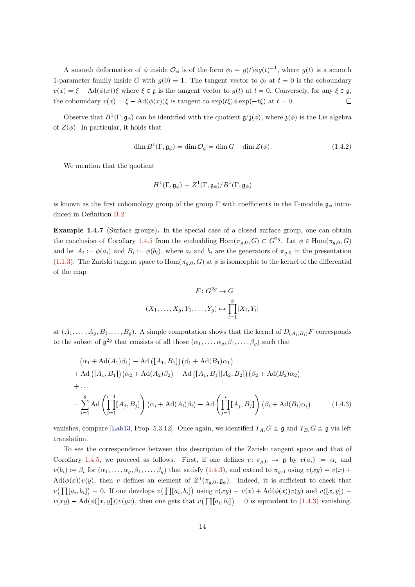A smooth deformation of  $\phi$  inside  $\mathcal{O}_{\phi}$  is of the form  $\phi_t = g(t)\phi g(t)^{-1}$ , where  $g(t)$  is a smooth 1-parameter family inside G with  $g(0) = 1$ . The tangent vector to  $\phi_t$  at  $t = 0$  is the coboundary  $v(x) = \xi - \text{Ad}(\phi(x))\xi$  where  $\xi \in \mathfrak{g}$  is the tangent vector to  $g(t)$  at  $t = 0$ . Conversely, for any  $\xi \in \mathfrak{g}$ , the coboundary  $v(x) = \xi - \text{Ad}(\phi(x))\xi$  is tangent to  $\exp(t\xi)\phi \exp(-t\xi)$  at  $t = 0$ .  $\Box$ 

Observe that  $B^1(\Gamma, \mathfrak{g}_{\phi})$  can be identified with the quotient  $\mathfrak{g}/\mathfrak{z}(\phi)$ , where  $\mathfrak{z}(\phi)$  is the Lie algebra of  $Z(\phi)$ . In particular, it holds that

<span id="page-14-1"></span>
$$
\dim B^{1}(\Gamma, \mathfrak{g}_{\phi}) = \dim \mathcal{O}_{\phi} = \dim G - \dim Z(\phi). \tag{1.4.2}
$$

We mention that the quotient

$$
H^1(\Gamma,\mathfrak{g}_{\phi})=Z^1(\Gamma,\mathfrak{g}_{\phi})/B^1(\Gamma,\mathfrak{g}_{\phi})
$$

is known as the first cohomology group of the group Γ with coefficients in the Γ-module  $\mathfrak{g}_{\phi}$  introduced in Definition [B.2.](#page-51-1)

Example 1.4.7 (Surface groups). In the special case of a closed surface group, one can obtain the conclusion of Corollary [1.4.5](#page-13-0) from the embedding  $\text{Hom}(\pi_{g,0}, G) \subset G^{2g}$ . Let  $\phi \in \text{Hom}(\pi_{g,0}, G)$ and let  $A_i := \phi(a_i)$  and  $B_i := \phi(b_i)$ , where  $a_i$  and  $b_i$  are the generators of  $\pi_{g,0}$  in the presentation [\(1.1.3\)](#page-8-1). The Zariski tangent space to  $Hom(\pi_{q,0}, G)$  at  $\phi$  is isomorphic to the kernel of the differential of the map

<span id="page-14-0"></span>
$$
F: G^{2g} \to G
$$

$$
(X_1, \dots, X_g, Y_1, \dots, Y_g) \mapsto \prod_{i=1}^g [X_i, Y_i]
$$

at  $(A_1, \ldots, A_q, B_1, \ldots, B_q)$ . A simple computation shows that the kernel of  $D_{(A_i,B_i)}F$  corresponds to the subset of  $\mathfrak{g}^{2g}$  that consists of all those  $(\alpha_1, \ldots, \alpha_g, \beta_1, \ldots, \beta_g)$  such that

$$
(\alpha_1 + \mathrm{Ad}(A_1)\beta_1) - \mathrm{Ad}([A_1, B_1])(\beta_1 + \mathrm{Ad}(B_1)\alpha_1)
$$
  
+ 
$$
\mathrm{Ad}([A_1, B_1])(\alpha_2 + \mathrm{Ad}(A_2)\beta_2) - \mathrm{Ad}([A_1, B_1][A_2, B_2])(\beta_2 + \mathrm{Ad}(B_2)\alpha_2)
$$
  
+ ...  
= 
$$
\sum_{i=1}^g \mathrm{Ad}(\prod_{j=1}^{i-1} [A_j, B_j]) (\alpha_i + \mathrm{Ad}(A_i)\beta_i) - \mathrm{Ad}(\prod_{j=1}^i [A_j, B_j]) (\beta_i + \mathrm{Ad}(B_i)\alpha_i)
$$
(1.4.3)

vanishes, compare [\[Lab13,](#page-72-2) Prop. 5.3.12]. Once again, we identified  $T_{A_i}G \cong \mathfrak{g}$  and  $T_{B_i}G \cong \mathfrak{g}$  via left translation.

To see the correspondence between this description of the Zariski tangent space and that of Corollary [1.4.5,](#page-13-0) we proceed as follows. First, if one defines  $v: \pi_{g,0} \to \mathfrak{g}$  by  $v(a_i) := \alpha_i$  and  $v(b_i) := \beta_i$  for  $(\alpha_1, \ldots, \alpha_g, \beta_1, \ldots, \beta_g)$  that satisfy [\(1.4.3\)](#page-14-0), and extend to  $\pi_{g,0}$  using  $v(xy) = v(x) +$  $\text{Ad}(\phi(x))v(y)$ , then v defines an element of  $Z^1(\pi_{g,0}, \mathfrak{g}_{\phi})$ . Indeed, it is sufficient to check that  $v(\prod[a_i, b_i]) = 0$ . If one develops  $v(\prod[a_i, b_i])$  using  $v(xy) = v(x) + \text{Ad}(\phi(x))v(y)$  and  $v([x, y]) =$  $v(xy) - \text{Ad}(\phi([x, y]))v(yx)$ , then one gets that  $v\big(\prod[a_i, b_i]\big) = 0$  is equivalent to  $(1.4.3)$  vanishing.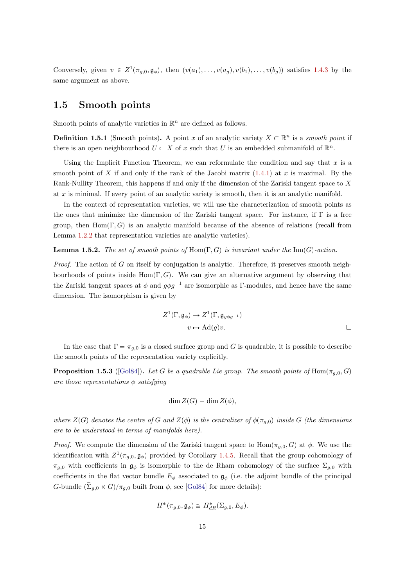Conversely, given  $v \in Z^1(\pi_{g,0}, \mathfrak{g}_{\phi})$ , then  $(v(a_1), \ldots, v(a_g), v(b_1), \ldots, v(b_g))$  satisfies [1.4.3](#page-14-0) by the same argument as above.

#### <span id="page-15-0"></span>1.5 Smooth points

Smooth points of analytic varieties in  $\mathbb{R}^n$  are defined as follows.

**Definition 1.5.1** (Smooth points). A point x of an analytic variety  $X \subset \mathbb{R}^n$  is a smooth point if there is an open neighbourhood  $U \subset X$  of x such that U is an embedded submanifold of  $\mathbb{R}^n$ .

Using the Implicit Function Theorem, we can reformulate the condition and say that  $x$  is a smooth point of X if and only if the rank of the Jacobi matrix  $(1.4.1)$  at x is maximal. By the Rank-Nullity Theorem, this happens if and only if the dimension of the Zariski tangent space to X at x is minimal. If every point of an analytic variety is smooth, then it is an analytic manifold.

In the context of representation varieties, we will use the characterization of smooth points as the ones that minimize the dimension of the Zariski tangent space. For instance, if Γ is a free group, then  $Hom(\Gamma, G)$  is an analytic manifold because of the absence of relations (recall from Lemma [1.2.2](#page-9-1) that representation varieties are analytic varieties).

**Lemma 1.5.2.** The set of smooth points of Hom $(\Gamma, G)$  is invariant under the Inn $(G)$ -action.

*Proof.* The action of G on itself by conjugation is analytic. Therefore, it preserves smooth neighbourhoods of points inside Hom $(\Gamma, G)$ . We can give an alternative argument by observing that the Zariski tangent spaces at  $\phi$  and  $q\phi q^{-1}$  are isomorphic as Γ-modules, and hence have the same dimension. The isomorphism is given by

$$
Z^{1}(\Gamma, \mathfrak{g}_{\phi}) \to Z^{1}(\Gamma, \mathfrak{g}_{g\phi g^{-1}})
$$

$$
v \mapsto \mathrm{Ad}(g)v.
$$

In the case that  $\Gamma = \pi_{q,0}$  is a closed surface group and G is quadrable, it is possible to describe the smooth points of the representation variety explicitly.

<span id="page-15-1"></span>**Proposition 1.5.3** ([\[Gol84\]](#page-71-0)). Let G be a quadrable Lie group. The smooth points of Hom $(\pi_{a,0}, G)$ are those representations  $\phi$  satisfying

$$
\dim Z(G) = \dim Z(\phi),
$$

where  $Z(G)$  denotes the centre of G and  $Z(\phi)$  is the centralizer of  $\phi(\pi_{a,0})$  inside G (the dimensions are to be understood in terms of manifolds here).

*Proof.* We compute the dimension of the Zariski tangent space to  $\text{Hom}(\pi_{g,0}, G)$  at  $\phi$ . We use the identification with  $Z^1(\pi_{g,0}, \mathfrak{g}_{\phi})$  provided by Corollary [1.4.5.](#page-13-0) Recall that the group cohomology of  $\pi_{g,0}$  with coefficients in  $\mathfrak{g}_{\phi}$  is isomorphic to the de Rham cohomology of the surface  $\Sigma_{g,0}$  with coefficients in the flat vector bundle  $E_{\phi}$  associated to  $\mathfrak{g}_{\phi}$  (i.e. the adjoint bundle of the principal G-bundle  $(\Sigma_{g,0} \times G)/\pi_{g,0}$  built from  $\phi$ , see [\[Gol84\]](#page-71-0) for more details):

$$
H^*(\pi_{g,0},\mathfrak{g}_{\phi}) \cong H^*_{dR}(\Sigma_{g,0},E_{\phi}).
$$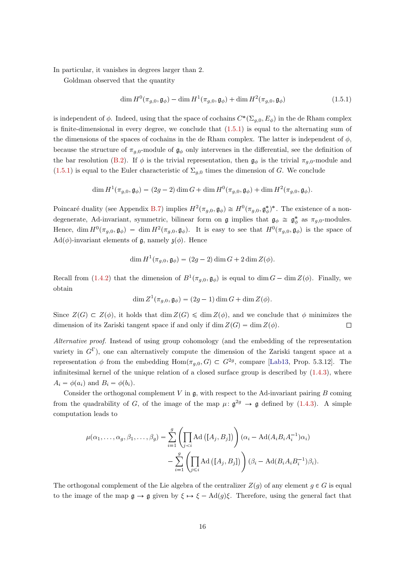In particular, it vanishes in degrees larger than 2.

Goldman observed that the quantity

<span id="page-16-0"></span>
$$
\dim H^0(\pi_{g,0}, \mathfrak{g}_{\phi}) - \dim H^1(\pi_{g,0}, \mathfrak{g}_{\phi}) + \dim H^2(\pi_{g,0}, \mathfrak{g}_{\phi})
$$
\n(1.5.1)

is independent of  $\phi$ . Indeed, using that the space of cochains  $C^*(\Sigma_{g,0}, E_{\phi})$  in the de Rham complex is finite-dimensional in every degree, we conclude that [\(1.5.1\)](#page-16-0) is equal to the alternating sum of the dimensions of the spaces of cochains in the de Rham complex. The latter is independent of  $\phi$ , because the structure of  $\pi_{q,0}$ -module of  $\mathfrak{g}_{\phi}$  only intervenes in the differential, see the definition of the bar resolution [\(B.2\)](#page-61-0). If  $\phi$  is the trivial representation, then  $\mathfrak{g}_{\phi}$  is the trivial  $\pi_{g,0}$ -module and  $(1.5.1)$  is equal to the Euler characteristic of  $\Sigma_{g,0}$  times the dimension of G. We conclude

$$
\dim H^1(\pi_{g,0}, \mathfrak{g}_{\phi}) = (2g - 2) \dim G + \dim H^0(\pi_{g,0}, \mathfrak{g}_{\phi}) + \dim H^2(\pi_{g,0}, \mathfrak{g}_{\phi}).
$$

Poincaré duality (see Appendix [B.7\)](#page-65-0) implies  $H^2(\pi_{g,0}, \mathfrak{g}_{\phi}) \cong H^0(\pi_{g,0}, \mathfrak{g}_{\phi}^*)^*$ . The existence of a nondegenerate, Ad-invariant, symmetric, bilinear form on  $\mathfrak g$  implies that  $\mathfrak g_\phi \cong \mathfrak g_\phi^*$  as  $\pi_{g,0}$ -modules. Hence, dim  $H^0(\pi_{g,0}, \mathfrak{g}_{\phi}) = \dim H^2(\pi_{g,0}, \mathfrak{g}_{\phi})$ . It is easy to see that  $H^0(\pi_{g,0}, \mathfrak{g}_{\phi})$  is the space of  $\text{Ad}(\phi)$ -invariant elements of g, namely  $\mathfrak{z}(\phi)$ . Hence

$$
\dim H^1(\pi_{g,0}, \mathfrak{g}_{\phi}) = (2g - 2) \dim G + 2 \dim Z(\phi).
$$

Recall from [\(1.4.2\)](#page-14-1) that the dimension of  $B^1(\pi_{g,0}, \mathfrak{g}_{\phi})$  is equal to dim  $G - \dim Z(\phi)$ . Finally, we obtain

$$
\dim Z^1(\pi_{g,0}, \mathfrak{g}_{\phi}) = (2g - 1) \dim G + \dim Z(\phi).
$$

Since  $Z(G) \subset Z(\phi)$ , it holds that  $\dim Z(G) \leq \dim Z(\phi)$ , and we conclude that  $\phi$  minimizes the dimension of its Zariski tangent space if and only if dim  $Z(G) = \dim Z(\phi)$ .  $\Box$ 

Alternative proof. Instead of using group cohomology (and the embedding of the representation variety in  $G^{\Gamma}$ ), one can alternatively compute the dimension of the Zariski tangent space at a representation  $\phi$  from the embedding  $\text{Hom}(\pi_{g,0}, G) \subset G^{2g}$ , compare [\[Lab13,](#page-72-2) Prop. 5.3.12]. The infinitesimal kernel of the unique relation of a closed surface group is described by [\(1.4.3\)](#page-14-0), where  $A_i = \phi(a_i)$  and  $B_i = \phi(b_i)$ .

Consider the orthogonal complement  $V$  in  $g$ , with respect to the Ad-invariant pairing  $B$  coming from the quadrability of G, of the image of the map  $\mu: \mathfrak{g}^{2g} \to \mathfrak{g}$  defined by [\(1.4.3\)](#page-14-0). A simple computation leads to

$$
\mu(\alpha_1, ..., \alpha_g, \beta_1, ..., \beta_g) = \sum_{i=1}^g \left( \prod_{j
$$
- \sum_{i=1}^g \left( \prod_{j
$$
$$

The orthogonal complement of the Lie algebra of the centralizer  $Z(q)$  of any element  $q \in G$  is equal to the image of the map  $\mathfrak{g} \to \mathfrak{g}$  given by  $\xi \to \xi - \text{Ad}(g)\xi$ . Therefore, using the general fact that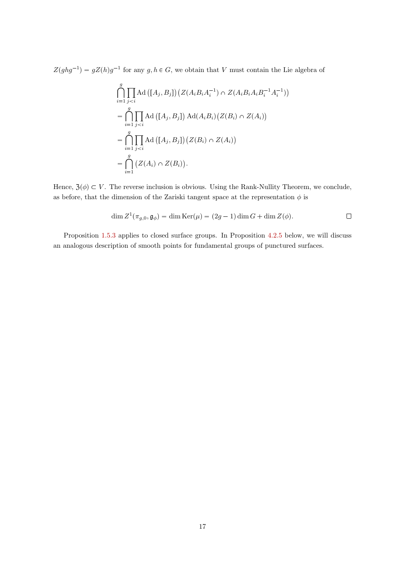$Z(ghg^{-1}) = gZ(h)g^{-1}$  for any  $g, h \in G$ , we obtain that V must contain the Lie algebra of

$$
\bigcap_{i=1}^{g} \prod_{j\n
$$
= \bigcap_{i=1}^{g} \prod_{j\n
$$
= \bigcap_{i=1}^{g} \prod_{j\n
$$
= \bigcap_{i=1}^{g} \left(Z(A_i) \cap Z(B_i)\right).
$$
$$
$$
$$

Hence,  $\mathfrak{Z}(\phi) \subset V$ . The reverse inclusion is obvious. Using the Rank-Nullity Theorem, we conclude, as before, that the dimension of the Zariski tangent space at the representation  $\phi$  is

$$
\dim Z^1(\pi_{g,0}, \mathfrak{g}_{\phi}) = \dim \text{Ker}(\mu) = (2g - 1) \dim G + \dim Z(\phi).
$$

Proposition [1.5.3](#page-15-1) applies to closed surface groups. In Proposition [4.2.5](#page-37-0) below, we will discuss an analogous description of smooth points for fundamental groups of punctured surfaces.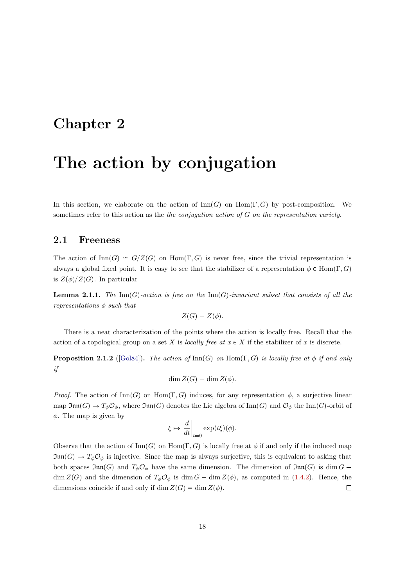### <span id="page-18-0"></span>Chapter 2

## The action by conjugation

In this section, we elaborate on the action of  $\text{Inn}(G)$  on  $\text{Hom}(\Gamma, G)$  by post-composition. We sometimes refer to this action as the the conjugation action of G on the representation variety.

#### <span id="page-18-1"></span>2.1 Freeness

The action of  $\text{Inn}(G) \cong G/Z(G)$  on  $\text{Hom}(\Gamma, G)$  is never free, since the trivial representation is always a global fixed point. It is easy to see that the stabilizer of a representation  $\phi \in \text{Hom}(\Gamma, G)$ is  $Z(\phi)/Z(G)$ . In particular

<span id="page-18-3"></span>**Lemma 2.1.1.** The Inn(G)-action is free on the Inn(G)-invariant subset that consists of all the representations  $\phi$  such that

$$
Z(G) = Z(\phi).
$$

There is a neat characterization of the points where the action is locally free. Recall that the action of a topological group on a set X is *locally free at*  $x \in X$  if the stabilizer of x is discrete.

<span id="page-18-2"></span>**Proposition 2.1.2** ([\[Gol84\]](#page-71-0)). The action of  $\text{Inn}(G)$  on  $\text{Hom}(\Gamma, G)$  is locally free at  $\phi$  if and only if

$$
\dim Z(G) = \dim Z(\phi).
$$

*Proof.* The action of  $\text{Inn}(G)$  on  $\text{Hom}(\Gamma, G)$  induces, for any representation  $\phi$ , a surjective linear map  $\mathfrak{Inn}(G) \to T_{\phi}\mathcal{O}_{\phi}$ , where  $\mathfrak{Inn}(G)$  denotes the Lie algebra of  $\text{Inn}(G)$  and  $\mathcal{O}_{\phi}$  the  $\text{Inn}(G)$ -orbit of  $\phi$ . The map is given by

$$
\xi \mapsto \left. \frac{d}{dt} \right|_{t=0} \exp(t\xi)(\phi).
$$

Observe that the action of  $\text{Inn}(G)$  on  $\text{Hom}(\Gamma, G)$  is locally free at  $\phi$  if and only if the induced map  $\mathfrak{Inn}(G) \to T_{\phi}\mathcal{O}_{\phi}$  is injective. Since the map is always surjective, this is equivalent to asking that both spaces  $\mathfrak{Inn}(G)$  and  $T_{\phi}\mathcal{O}_{\phi}$  have the same dimension. The dimension of  $\mathfrak{Inn}(G)$  is dim  $G$ dim  $Z(G)$  and the dimension of  $T_{\phi}\mathcal{O}_{\phi}$  is dim  $G - \dim Z(\phi)$ , as computed in [\(1.4.2\)](#page-14-1). Hence, the dimensions coincide if and only if  $\dim Z(G) = \dim Z(\phi)$ .  $\Box$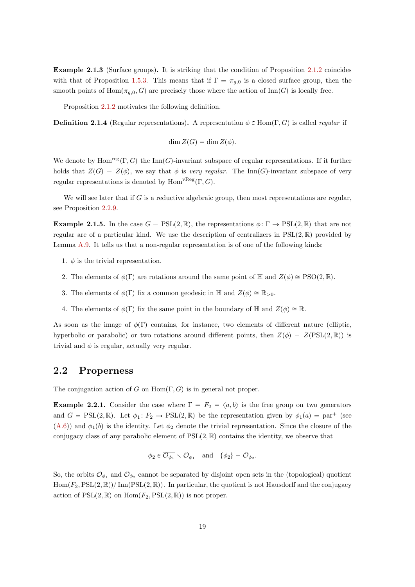Example 2.1.3 (Surface groups). It is striking that the condition of Proposition [2.1.2](#page-18-2) coincides with that of Proposition [1.5.3.](#page-15-1) This means that if  $\Gamma = \pi_{q,0}$  is a closed surface group, then the smooth points of  $\text{Hom}(\pi_{q,0}, G)$  are precisely those where the action of  $\text{Inn}(G)$  is locally free.

Proposition [2.1.2](#page-18-2) motivates the following definition.

**Definition 2.1.4** (Regular representations). A representation  $\phi \in \text{Hom}(\Gamma, G)$  is called *regular* if

$$
\dim Z(G) = \dim Z(\phi).
$$

We denote by  $\text{Hom}^{\text{reg}}(\Gamma, G)$  the  $\text{Inn}(G)$ -invariant subspace of regular representations. If it further holds that  $Z(G) = Z(\phi)$ , we say that  $\phi$  is very regular. The Inn(G)-invariant subspace of very regular representations is denoted by  $Hom<sup>vReg</sup>(\Gamma, G)$ .

We will see later that if  $G$  is a reductive algebraic group, then most representations are regular, see Proposition [2.2.9.](#page-20-0)

**Example 2.1.5.** In the case  $G = \text{PSL}(2, \mathbb{R})$ , the representations  $\phi \colon \Gamma \to \text{PSL}(2, \mathbb{R})$  that are not regular are of a particular kind. We use the description of centralizers in  $PSL(2, \mathbb{R})$  provided by Lemma [A.9.](#page-58-0) It tells us that a non-regular representation is of one of the following kinds:

- 1.  $\phi$  is the trivial representation.
- 2. The elements of  $\phi(\Gamma)$  are rotations around the same point of H and  $Z(\phi) \cong \text{PSO}(2,\mathbb{R})$ .
- 3. The elements of  $\phi(\Gamma)$  fix a common geodesic in H and  $Z(\phi) \cong \mathbb{R}_{>0}$ .
- 4. The elements of  $\phi(\Gamma)$  fix the same point in the boundary of H and  $Z(\phi) \cong \mathbb{R}$ .

As soon as the image of  $\phi(\Gamma)$  contains, for instance, two elements of different nature (elliptic, hyperbolic or parabolic) or two rotations around different points, then  $Z(\phi) = Z(PSL(2, \mathbb{R}))$  is trivial and  $\phi$  is regular, actually very regular.

#### <span id="page-19-0"></span>2.2 Properness

The conjugation action of G on  $\text{Hom}(\Gamma, G)$  is in general not proper.

<span id="page-19-1"></span>**Example 2.2.1.** Consider the case where  $\Gamma = F_2 = \langle a, b \rangle$  is the free group on two generators and  $G = PSL(2, \mathbb{R})$ . Let  $\phi_1 : F_2 \to PSL(2, \mathbb{R})$  be the representation given by  $\phi_1(a) = par^+$  (see  $(A.6)$ ) and  $\phi_1(b)$  is the identity. Let  $\phi_2$  denote the trivial representation. Since the closure of the conjugacy class of any parabolic element of  $PSL(2,\mathbb{R})$  contains the identity, we observe that

$$
\phi_2 \in \overline{\mathcal{O}_{\phi_1}} \setminus \mathcal{O}_{\phi_1} \quad \text{and} \quad \{\phi_2\} = \mathcal{O}_{\phi_2}.
$$

So, the orbits  $\mathcal{O}_{\phi_1}$  and  $\mathcal{O}_{\phi_2}$  cannot be separated by disjoint open sets in the (topological) quotient  $\text{Hom}(F_2,\text{PSL}(2,\mathbb{R}))$  Inn $(\text{PSL}(2,\mathbb{R}))$ . In particular, the quotient is not Hausdorff and the conjugacy action of  $PSL(2, \mathbb{R})$  on  $\text{Hom}(F_2, \text{PSL}(2, \mathbb{R}))$  is not proper.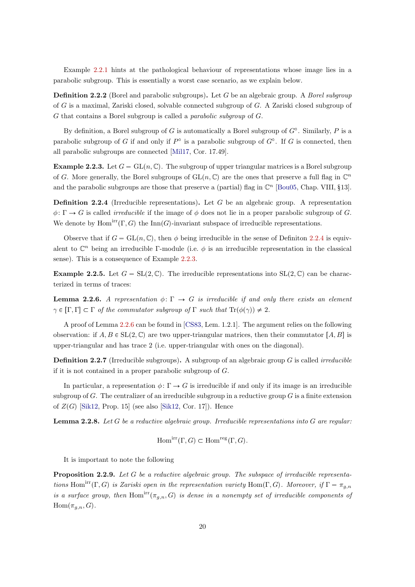Example [2.2.1](#page-19-1) hints at the pathological behaviour of representations whose image lies in a parabolic subgroup. This is essentially a worst case scenario, as we explain below.

Definition 2.2.2 (Borel and parabolic subgroups). Let G be an algebraic group. A *Borel subgroup* of G is a maximal, Zariski closed, solvable connected subgroup of G. A Zariski closed subgroup of G that contains a Borel subgroup is called a parabolic subgroup of G.

By definition, a Borel subgroup of G is automatically a Borel subgroup of  $G^{\circ}$ . Similarly, P is a parabolic subgroup of G if and only if  $P^{\circ}$  is a parabolic subgroup of  $G^{\circ}$ . If G is connected, then all parabolic subgroups are connected [\[Mil17,](#page-72-5) Cor. 17.49].

<span id="page-20-2"></span>**Example 2.2.3.** Let  $G = GL(n, \mathbb{C})$ . The subgroup of upper triangular matrices is a Borel subgroup of G. More generally, the Borel subgroups of  $GL(n, \mathbb{C})$  are the ones that preserve a full flag in  $\mathbb{C}^n$ and the parabolic subgroups are those that preserve a (partial) flag in  $\mathbb{C}^n$  [\[Bou05,](#page-70-2) Chap. VIII, §13].

<span id="page-20-1"></span>**Definition 2.2.4** (Irreducible representations). Let G be an algebraic group. A representation  $\phi \colon \Gamma \to G$  is called *irreducible* if the image of  $\phi$  does not lie in a proper parabolic subgroup of G. We denote by  $\text{Hom}^{\text{irr}}(\Gamma, G)$  the Inn(G)-invariant subspace of irreducible representations.

Observe that if  $G = GL(n, \mathbb{C})$ , then  $\phi$  being irreducible in the sense of Definiton [2.2.4](#page-20-1) is equivalent to  $\mathbb{C}^n$  being an irreducible Γ-module (i.e.  $\phi$  is an irreducible representation in the classical sense). This is a consequence of Example [2.2.3.](#page-20-2)

**Example 2.2.5.** Let  $G = SL(2, \mathbb{C})$ . The irreducible representations into  $SL(2, \mathbb{C})$  can be characterized in terms of traces:

<span id="page-20-3"></span>**Lemma 2.2.6.** A representation  $\phi: \Gamma \to G$  is irreducible if and only there exists an element  $\gamma \in [\Gamma, \Gamma] \subset \Gamma$  of the commutator subgroup of  $\Gamma$  such that  $\text{Tr}(\phi(\gamma)) \neq 2$ .

A proof of Lemma [2.2.6](#page-20-3) can be found in [\[CS83,](#page-70-3) Lem. 1.2.1]. The argument relies on the following observation: if  $A, B \in SL(2, \mathbb{C})$  are two upper-triangular matrices, then their commutator  $[A, B]$  is upper-triangular and has trace 2 (i.e. upper-triangular with ones on the diagonal).

**Definition 2.2.7** (Irreducible subgroups). A subgroup of an algebraic group  $G$  is called *irreducible* if it is not contained in a proper parabolic subgroup of G.

In particular, a representation  $\phi \colon \Gamma \to G$  is irreducible if and only if its image is an irreducible subgroup of  $G$ . The centralizer of an irreducible subgroup in a reductive group  $G$  is a finite extension of  $Z(G)$  [\[Sik12,](#page-72-0) Prop. 15] (see also [\[Sik12,](#page-72-0) Cor. 17]). Hence

**Lemma 2.2.8.** Let G be a reductive algebraic group. Irreducible representations into G are regular:

$$
\mathrm{Hom}^{\mathrm{irr}}(\Gamma, G) \subset \mathrm{Hom}^{\mathrm{reg}}(\Gamma, G).
$$

It is important to note the following

<span id="page-20-0"></span>Proposition 2.2.9. Let G be a reductive algebraic group. The subspace of irreducible representations Hom<sup>irr</sup>(Γ, G) is Zariski open in the representation variety Hom(Γ, G). Moreover, if Γ =  $\pi_{g,n}$ is a surface group, then Hom<sup>irr</sup> $(\pi_{q,n}, G)$  is dense in a nonempty set of irreducible components of  $\text{Hom}(\pi_{q,n}, G)$ .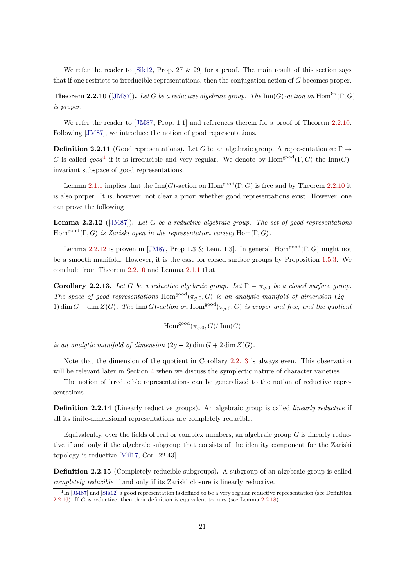We refer the reader to  $[Sik12, Prop. 27 \& 29]$  for a proof. The main result of this section says that if one restricts to irreducible representations, then the conjugation action of G becomes proper.

<span id="page-21-0"></span>**Theorem 2.2.10** ([\[JM87\]](#page-71-3)). Let G be a reductive algebraic group. The Inn(G)-action on Hom<sup>irr</sup> $(\Gamma, G)$ is proper.

We refer the reader to [\[JM87,](#page-71-3) Prop. 1.1] and references therein for a proof of Theorem [2.2.10.](#page-21-0) Following [\[JM87\]](#page-71-3), we introduce the notion of good representations.

<span id="page-21-4"></span>**Definition 2.2.11** (Good representations). Let G be an algebraic group. A representation  $\phi: \Gamma \to$ G is called good<sup>[1](#page-21-1)</sup> if it is irreducible and very regular. We denote by  $Hom<sup>good</sup>(\Gamma, G)$  the Inn(G)invariant subspace of good representations.

Lemma [2.1.1](#page-18-3) implies that the  $\text{Inn}(G)$ -action on  $\text{Hom}^{\text{good}}(\Gamma, G)$  is free and by Theorem [2.2.10](#page-21-0) it is also proper. It is, however, not clear a priori whether good representations exist. However, one can prove the following

<span id="page-21-2"></span>**Lemma 2.2.12** ([\[JM87\]](#page-71-3)). Let G be a reductive algebraic group. The set of good representations Hom<sup>good</sup> $(\Gamma, G)$  is Zariski open in the representation variety Hom $(\Gamma, G)$ .

Lemma [2.2.12](#page-21-2) is proven in [\[JM87,](#page-71-3) Prop 1.3 & Lem. 1.3]. In general,  $\text{Hom}^{\text{good}}(\Gamma, G)$  might not be a smooth manifold. However, it is the case for closed surface groups by Proposition [1.5.3.](#page-15-1) We conclude from Theorem [2.2.10](#page-21-0) and Lemma [2.1.1](#page-18-3) that

<span id="page-21-3"></span>**Corollary 2.2.13.** Let G be a reductive algebraic group. Let  $\Gamma = \pi_{q,0}$  be a closed surface group. The space of good representations Hom<sup>good</sup> $(\pi_{g,0}, G)$  is an analytic manifold of dimension (2g – 1) dim  $G$  + dim  $Z(G)$ . The Inn(G)-action on Hom<sup>good</sup>( $\pi_{q,0}, G$ ) is proper and free, and the quotient

 $\text{Hom}^{\text{good}}(\pi_{a,0}, G)/\text{Inn}(G)$ 

is an analytic manifold of dimension  $(2g - 2)$  dim  $G + 2$  dim  $Z(G)$ .

Note that the dimension of the quotient in Corollary [2.2.13](#page-21-3) is always even. This observation will be relevant later in Section [4](#page-34-0) when we discuss the symplectic nature of character varieties.

The notion of irreducible representations can be generalized to the notion of reductive representations.

Definition 2.2.14 (Linearly reductive groups). An algebraic group is called *linearly reductive* if all its finite-dimensional representations are completely reducible.

Equivalently, over the fields of real or complex numbers, an algebraic group  $G$  is linearly reductive if and only if the algebraic subgroup that consists of the identity component for the Zariski topology is reductive [\[Mil17,](#page-72-5) Cor. 22.43].

Definition 2.2.15 (Completely reducible subgroups). A subgroup of an algebraic group is called completely reducible if and only if its Zariski closure is linearly reductive.

<span id="page-21-1"></span><sup>&</sup>lt;sup>1</sup>In [\[JM87\]](#page-71-3) and [\[Sik12\]](#page-72-0) a good representation is defined to be a very regular reductive representation (see Definition [2.2.16\)](#page-22-0). If G is reductive, then their definition is equivalent to ours (see Lemma [2.2.18\)](#page-22-1).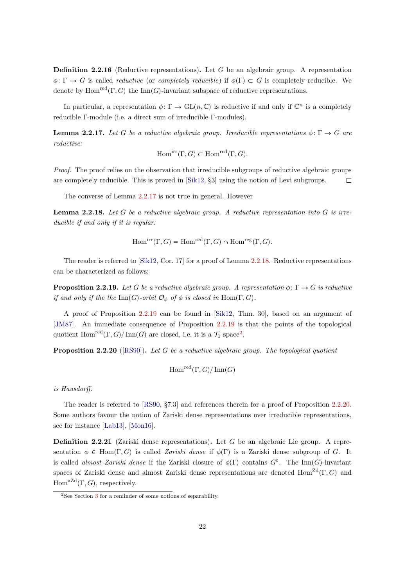<span id="page-22-0"></span>Definition 2.2.16 (Reductive representations). Let G be an algebraic group. A representation  $\phi \colon \Gamma \to G$  is called *reductive* (or *completely reducible*) if  $\phi(\Gamma) \subset G$  is completely reducible. We denote by Hom<sup>red</sup> $(\Gamma, G)$  the Inn $(G)$ -invariant subspace of reductive representations.

In particular, a representation  $\phi \colon \Gamma \to \mathrm{GL}(n, \mathbb{C})$  is reductive if and only if  $\mathbb{C}^n$  is a completely reducible Γ-module (i.e. a direct sum of irreducible Γ-modules).

<span id="page-22-2"></span>**Lemma 2.2.17.** Let G be a reductive algebraic group. Irreducible representations  $\phi: \Gamma \to G$  are reductive:

$$
\operatorname{Hom}^{\rm irr}(\Gamma,G) \subset \operatorname{Hom}^{\rm red}(\Gamma,G).
$$

Proof. The proof relies on the observation that irreducible subgroups of reductive algebraic groups are completely reducible. This is proved in [\[Sik12,](#page-72-0) §3] using the notion of Levi subgroups.  $\Box$ 

The converse of Lemma [2.2.17](#page-22-2) is not true in general. However

<span id="page-22-1"></span>**Lemma 2.2.18.** Let  $G$  be a reductive algebraic group. A reductive representation into  $G$  is irreducible if and only if it is regular:

$$
\operatorname{Hom}^{\operatorname{irr}}(\Gamma,G) = \operatorname{Hom}^{\operatorname{red}}(\Gamma,G) \cap \operatorname{Hom}^{\operatorname{reg}}(\Gamma,G).
$$

The reader is referred to [\[Sik12,](#page-72-0) Cor. 17] for a proof of Lemma [2.2.18.](#page-22-1) Reductive representations can be characterized as follows:

<span id="page-22-3"></span>**Proposition 2.2.19.** Let G be a reductive algebraic group. A representation  $\phi: \Gamma \to G$  is reductive if and only if the the Inn(G)-orbit  $\mathcal{O}_{\phi}$  of  $\phi$  is closed in Hom( $\Gamma, G$ ).

A proof of Proposition [2.2.19](#page-22-3) can be found in [\[Sik12,](#page-72-0) Thm. 30], based on an argument of [\[JM87\]](#page-71-3). An immediate consequence of Proposition [2.2.19](#page-22-3) is that the points of the topological quotient  $\text{Hom}^{\text{red}}(\Gamma, G)/\text{Inn}(G)$  are closed, i.e. it is a  $\mathcal{T}_1$  space<sup>[2](#page-22-4)</sup>.

<span id="page-22-5"></span>**Proposition 2.2.20** ( $[RS90]$ ). Let G be a reductive algebraic group. The topological quotient

$$
\mathrm{Hom}^{\mathrm{red}}(\Gamma, G)/\operatorname{Inn}(G)
$$

is Hausdorff.

The reader is referred to [\[RS90,](#page-72-7) §7.3] and references therein for a proof of Proposition [2.2.20.](#page-22-5) Some authors favour the notion of Zariski dense representations over irreducible representations, see for instance [\[Lab13\]](#page-72-2), [\[Mon16\]](#page-72-1).

Definition 2.2.21 (Zariski dense representations). Let G be an algebraic Lie group. A representation  $\phi \in \text{Hom}(\Gamma, G)$  is called *Zariski dense* if  $\phi(\Gamma)$  is a Zariski dense subgroup of G. It is called *almost Zariski dense* if the Zariski closure of  $\phi(\Gamma)$  contains  $G^{\circ}$ . The Inn $(G)$ -invariant spaces of Zariski dense and almost Zariski dense representations are denoted Hom<sup>Zd</sup> $(\Gamma, G)$  and  $Hom<sup>aZd</sup>(\Gamma, G)$ , respectively.

<span id="page-22-4"></span> $^{2}$ See Section [3](#page-28-0) for a reminder of some notions of separability.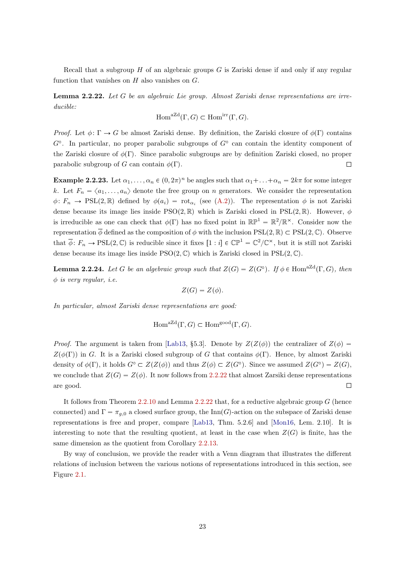Recall that a subgroup  $H$  of an algebraic groups  $G$  is Zariski dense if and only if any regular function that vanishes on  $H$  also vanishes on  $G$ .

<span id="page-23-0"></span>Lemma 2.2.22. Let G be an algebraic Lie group. Almost Zariski dense representations are irreducible:

$$
\mathrm{Hom}^{\mathrm{aZd}}(\Gamma,G) \subset \mathrm{Hom}^{\mathrm{irr}}(\Gamma,G).
$$

Proof. Let  $\phi \colon \Gamma \to G$  be almost Zariski dense. By definition, the Zariski closure of  $\phi(\Gamma)$  contains  $G^{\circ}$ . In particular, no proper parabolic subgroups of  $G^{\circ}$  can contain the identity component of the Zariski closure of  $\phi(\Gamma)$ . Since parabolic subgroups are by definition Zariski closed, no proper parabolic subgroup of G can contain  $\phi(\Gamma)$ .  $\Box$ 

**Example 2.2.23.** Let  $\alpha_1, \ldots, \alpha_n \in (0, 2\pi)^n$  be angles such that  $\alpha_1 + \ldots + \alpha_n = 2k\pi$  for some integer k. Let  $F_n = \langle a_1, \ldots, a_n \rangle$  denote the free group on n generators. We consider the representation  $\phi: F_n \to \text{PSL}(2,\mathbb{R})$  defined by  $\phi(a_i) = \text{rot}_{\alpha_i}$  (see [\(A.2\)](#page-56-0)). The representation  $\phi$  is not Zariski dense because its image lies inside  $PSO(2, \mathbb{R})$  which is Zariski closed in PSL $(2, \mathbb{R})$ . However,  $\phi$ is irreducible as one can check that  $\phi(\Gamma)$  has no fixed point in  $\mathbb{RP}^1 = \mathbb{R}^2/\mathbb{R}^{\times}$ . Consider now the representation  $\overline{\phi}$  defined as the composition of  $\phi$  with the inclusion PSL(2, R)  $\subset$  PSL(2, C). Observe that  $\overline{\phi} \colon F_n \to \text{PSL}(2, \mathbb{C})$  is reducible since it fixes  $[1 : i] \in \mathbb{CP}^1 = \mathbb{C}^2/\mathbb{C}^\times$ , but it is still not Zariski dense because its image lies inside  $PSO(2,\mathbb{C})$  which is Zariski closed in PSL $(2,\mathbb{C})$ .

**Lemma 2.2.24.** Let G be an algebraic group such that  $Z(G) = Z(G^{\circ})$ . If  $\phi \in \text{Hom}^{aZd}(\Gamma, G)$ , then  $\phi$  is very regular, i.e.

$$
Z(G) = Z(\phi).
$$

In particular, almost Zariski dense representations are good:

$$
\mathrm{Hom}^{\mathrm{aZd}}(\Gamma,G) \subset \mathrm{Hom}^{\mathrm{good}}(\Gamma,G).
$$

*Proof.* The argument is taken from [\[Lab13,](#page-72-2) §5.3]. Denote by  $Z(Z(\phi))$  the centralizer of  $Z(\phi)$  =  $Z(\phi(\Gamma))$  in G. It is a Zariski closed subgroup of G that contains  $\phi(\Gamma)$ . Hence, by almost Zariski density of  $\phi(\Gamma)$ , it holds  $G^{\circ} \subset Z(Z(\phi))$  and thus  $Z(\phi) \subset Z(G^{\circ})$ . Since we assumed  $Z(G^{\circ}) = Z(G)$ , we conclude that  $Z(G) = Z(\phi)$ . It now follows from [2.2.22](#page-23-0) that almost Zarsiki dense representations are good.  $\Box$ 

It follows from Theorem  $2.2.10$  and Lemma  $2.2.22$  that, for a reductive algebraic group G (hence connected) and  $\Gamma = \pi_{g,0}$  a closed surface group, the Inn(G)-action on the subspace of Zariski dense representations is free and proper, compare [\[Lab13,](#page-72-2) Thm. 5.2.6] and [\[Mon16,](#page-72-1) Lem. 2.10]. It is interesting to note that the resulting quotient, at least in the case when  $Z(G)$  is finite, has the same dimension as the quotient from Corollary [2.2.13.](#page-21-3)

By way of conclusion, we provide the reader with a Venn diagram that illustrates the different relations of inclusion between the various notions of representations introduced in this section, see Figure [2.1.](#page-0-0)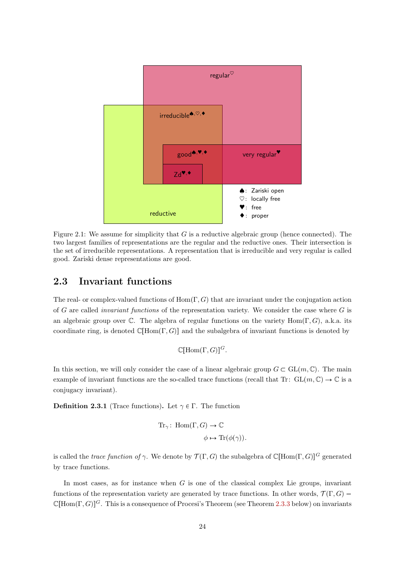

Figure 2.1: We assume for simplicity that  $G$  is a reductive algebraic group (hence connected). The two largest families of representations are the regular and the reductive ones. Their intersection is the set of irreducible representations. A representation that is irreducible and very regular is called good. Zariski dense representations are good.

#### <span id="page-24-0"></span>2.3 Invariant functions

The real- or complex-valued functions of  $Hom(\Gamma, G)$  that are invariant under the conjugation action of G are called *invariant functions* of the representation variety. We consider the case where  $G$  is an algebraic group over C. The algebra of regular functions on the variety  $Hom(\Gamma, G)$ , a.k.a. its coordinate ring, is denoted  $\mathbb{C}[\text{Hom}(\Gamma, G)]$  and the subalgebra of invariant functions is denoted by

$$
\mathbb{C}[\mathrm{Hom}(\Gamma,G)]^G.
$$

In this section, we will only consider the case of a linear algebraic group  $G \subset GL(m, \mathbb{C})$ . The main example of invariant functions are the so-called trace functions (recall that Tr:  $GL(m, \mathbb{C}) \to \mathbb{C}$  is a conjugacy invariant).

**Definition 2.3.1** (Trace functions). Let  $\gamma \in \Gamma$ . The function

$$
\mathrm{Tr}_\gamma\colon \operatorname{Hom}(\Gamma,G) \to \mathbb{C}
$$
  

$$
\phi \mapsto \operatorname{Tr}(\phi(\gamma)).
$$

is called the *trace function of*  $\gamma$ . We denote by  $\mathcal{T}(\Gamma, G)$  the subalgebra of  $\mathbb{C}[\text{Hom}(\Gamma, G)]^G$  generated by trace functions.

In most cases, as for instance when  $G$  is one of the classical complex Lie groups, invariant functions of the representation variety are generated by trace functions. In other words,  $\mathcal{T}(\Gamma, G)$  $\mathbb{C}[\text{Hom}(\Gamma, G)]$ <sup>G</sup>. This is a consequence of Procesi's Theorem (see Theorem [2.3.3](#page-25-0) below) on invariants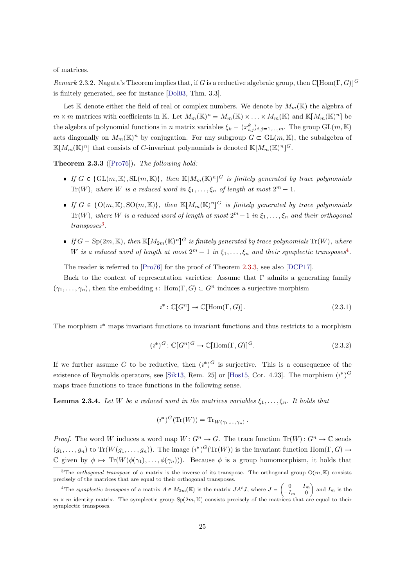of matrices.

<span id="page-25-3"></span>Remark 2.3.2. Nagata's Theorem implies that, if G is a reductive algebraic group, then  $\mathbb{C}[\text{Hom}(\Gamma, G)]^G$ is finitely generated, see for instance [\[Dol03,](#page-71-4) Thm. 3.3].

Let K denote either the field of real or complex numbers. We denote by  $M_m(\mathbb{K})$  the algebra of  $m \times m$  matrices with coefficients in K. Let  $M_m(\mathbb{K})^n = M_m(\mathbb{K}) \times \ldots \times M_m(\mathbb{K})$  and  $\mathbb{K}[M_m(\mathbb{K})^n]$  be the algebra of polynomial functions in n matrix variables  $\xi_k = (x_{i,j}^k)_{i,j=1,\dots,m}$ . The group  $GL(m, \mathbb{K})$ acts diagonally on  $M_m(\mathbb{K})^n$  by conjugation. For any subgroup  $G \subset GL(m, \mathbb{K})$ , the subalgebra of  $K[M_m(\mathbb{K})^n]$  that consists of G-invariant polynomials is denoted  $K[M_m(\mathbb{K})^n]$ <sup>G</sup>.

<span id="page-25-0"></span>Theorem 2.3.3 ([\[Pro76\]](#page-72-8)). The following hold:

- If  $G \in \{GL(m, \mathbb{K}), SL(m, \mathbb{K})\}$ , then  $\mathbb{K}[M_m(\mathbb{K})^n]^G$  is finitely generated by trace polynomials  $\text{Tr}(W)$ , where W is a reduced word in  $\xi_1, \ldots, \xi_n$  of length at most  $2^m - 1$ .
- If  $G \in \{O(m, \mathbb{K}), SO(m, \mathbb{K})\}$ , then  $\mathbb{K}[M_m(\mathbb{K})^n]^G$  is finitely generated by trace polynomials  $\text{Tr}(W)$ , where W is a reduced word of length at most  $2^m - 1$  in  $\xi_1, \ldots, \xi_n$  and their orthogonal transposes<sup>[3](#page-25-1)</sup>.
- If  $G = \text{Sp}(2m, \mathbb{K})$ , then  $\mathbb{K}[M_{2m}(\mathbb{K})^n]^G$  is finitely generated by trace polynomials  $\text{Tr}(W)$ , where W is a reduced word of length at most  $2^m-1$  in  $\xi_1,\ldots,\xi_n$  and their symplectic transposes<sup>[4](#page-25-2)</sup>.

The reader is referred to [\[Pro76\]](#page-72-8) for the proof of Theorem [2.3.3,](#page-25-0) see also [\[DCP17\]](#page-70-4).

Back to the context of representation varieties: Assume that  $\Gamma$  admits a generating family  $(\gamma_1, \ldots, \gamma_n)$ , then the embedding  $\imath$ : Hom $(\Gamma, G) \subset G^n$  induces a surjective morphism

$$
i^* : \mathbb{C}[G^n] \to \mathbb{C}[\text{Hom}(\Gamma, G)].
$$
\n(2.3.1)

The morphism  $i^*$  maps invariant functions to invariant functions and thus restricts to a morphism

$$
(i^*)^G \colon \mathbb{C}[G^n]^G \to \mathbb{C}[\text{Hom}(\Gamma, G)]^G. \tag{2.3.2}
$$

If we further assume G to be reductive, then  $(i^*)^G$  is surjective. This is a consequence of the existence of Reynolds operators, see [\[Sik13,](#page-72-9) Rem. 25] or [\[Hos15,](#page-71-5) Cor. 4.23]. The morphism  $(i^*)^G$ maps trace functions to trace functions in the following sense.

**Lemma 2.3.4.** Let W be a reduced word in the matrices variables  $\xi_1, \ldots, \xi_n$ . It holds that

$$
(\imath^*)^G(\mathrm{Tr}(W))=\mathrm{Tr}_{W(\gamma_1,\ldots,\gamma_n)}.
$$

*Proof.* The word W induces a word map  $W: G^n \to G$ . The trace function  $Tr(W): G^n \to \mathbb{C}$  sends  $(g_1, \ldots, g_n)$  to Tr $(W(g_1, \ldots, g_n))$ . The image  $(i^*)^G$ (Tr $(W)$ ) is the invariant function Hom $(\Gamma, G) \rightarrow$ C given by  $\phi \mapsto \text{Tr}(W(\phi(\gamma_1), \ldots, \phi(\gamma_n)))$ . Because  $\phi$  is a group homomorphism, it holds that

<span id="page-25-1"></span><sup>&</sup>lt;sup>3</sup>The *orthogonal transpose* of a matrix is the inverse of its transpose. The orthogonal group  $O(m, K)$  consists precisely of the matrices that are equal to their orthogonal transposes.

<span id="page-25-2"></span><sup>&</sup>lt;sup>4</sup>The symplectic transpose of a matrix  $A \in M_{2m}(\mathbb{K})$  is the matrix  $JA<sup>t</sup>J$ , where  $J = \begin{pmatrix} 0 & I_m \\ I_m & 0 \end{pmatrix}$  $-I_m$  0 ) and  $I_m$  is the  $m \times m$  identity matrix. The symplectic group  $Sp(2m, \mathbb{K})$  consists precisely of the matrices that are equal to their symplectic transposes.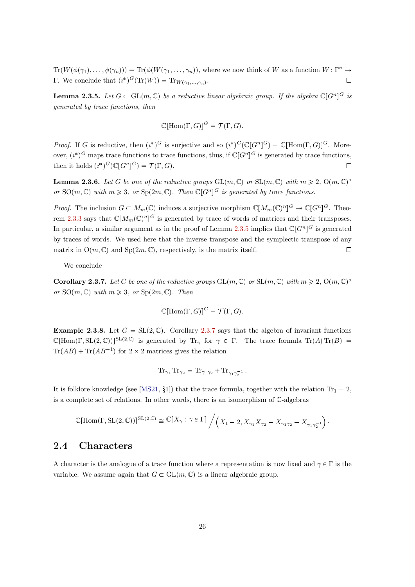$\text{Tr}(W(\phi(\gamma_1), \ldots, \phi(\gamma_n))) = \text{Tr}(\phi(W(\gamma_1, \ldots, \gamma_n)),$  where we now think of W as a function  $W : \Gamma^n \to$ Γ. We conclude that  $(i^*)^G(\text{Tr}(W)) = \text{Tr}_{W(\gamma_1, ..., \gamma_n)}$ .  $\Box$ 

<span id="page-26-1"></span>**Lemma 2.3.5.** Let  $G \subset GL(m, \mathbb{C})$  be a reductive linear algebraic group. If the algebra  $\mathbb{C}[G^n]^G$  is generated by trace functions, then

$$
\mathbb{C}[\text{Hom}(\Gamma, G)]^G = \mathcal{T}(\Gamma, G).
$$

*Proof.* If G is reductive, then  $(i^*)^G$  is surjective and so  $(i^*)^G(\mathbb{C}[G^n]^G) = \mathbb{C}[\text{Hom}(\Gamma, G)]^G$ . Moreover,  $(i^*)^G$  maps trace functions to trace functions, thus, if  $\mathbb{C}[G^n]^G$  is generated by trace functions, then it holds  $(i^*)^G(\mathbb{C}[G^n]^G) = \mathcal{T}(\Gamma, G)$ .  $\Box$ 

**Lemma 2.3.6.** Let G be one of the reductive groups  $GL(m, \mathbb{C})$  or  $SL(m, \mathbb{C})$  with  $m \geq 2$ ,  $O(m, \mathbb{C})^{\circ}$ or  $SO(m,\mathbb{C})$  with  $m \geq 3$ , or  $Sp(2m,\mathbb{C})$ . Then  $\mathbb{C}[G^n]^G$  is generated by trace functions.

*Proof.* The inclusion  $G \subset M_m(\mathbb{C})$  induces a surjective morphism  $\mathbb{C}[M_m(\mathbb{C})^n]^G \to \mathbb{C}[G^n]^G$ . Theo-rem [2.3.3](#page-25-0) says that  $\mathbb{C}[M_m(\mathbb{C})^n]^G$  is generated by trace of words of matrices and their transposes. In particular, a similar argument as in the proof of Lemma [2.3.5](#page-26-1) implies that  $\mathbb{C}[G^n]^G$  is generated by traces of words. We used here that the inverse transpose and the symplectic transpose of any matrix in  $O(m, \mathbb{C})$  and  $Sp(2m, \mathbb{C})$ , respectively, is the matrix itself.  $\Box$ 

We conclude

<span id="page-26-2"></span>**Corollary 2.3.7.** Let G be one of the reductive groups  $GL(m, \mathbb{C})$  or  $SL(m, \mathbb{C})$  with  $m \geq 2$ ,  $O(m, \mathbb{C})^{\circ}$ or  $SO(m, \mathbb{C})$  with  $m \geq 3$ , or  $Sp(2m, \mathbb{C})$ . Then

$$
\mathbb{C}[\text{Hom}(\Gamma, G)]^G = \mathcal{T}(\Gamma, G).
$$

**Example 2.3.8.** Let  $G = SL(2, \mathbb{C})$ . Corollary [2.3.7](#page-26-2) says that the algebra of invariant functions  $\mathbb{C}[\text{Hom}(\Gamma, \text{SL}(2,\mathbb{C}))]^{\text{SL}(2,\mathbb{C})}$  is generated by Tr<sub>γ</sub> for  $\gamma \in \Gamma$ . The trace formula Tr(A)Tr(B) =  $\text{Tr}(AB) + \text{Tr}(AB^{-1})$  for  $2 \times 2$  matrices gives the relation

$$
\operatorname{Tr}_{\gamma_1}\operatorname{Tr}_{\gamma_2}=\operatorname{Tr}_{\gamma_1\gamma_2}+\operatorname{Tr}_{\gamma_1\gamma_2^{-1}}.
$$

It is folklore knowledge (see [\[MS21,](#page-72-10) §1]) that the trace formula, together with the relation  $Tr_1 = 2$ , is a complete set of relations. In other words, there is an isomorphism of C-algebras

$$
\mathbb{C}[\text{Hom}(\Gamma, \text{SL}(2, \mathbb{C}))]^{\text{SL}(2, \mathbb{C})} \cong \mathbb{C}[X_{\gamma} : \gamma \in \Gamma] \Big/ \Big(X_1 - 2, X_{\gamma_1} X_{\gamma_2} - X_{\gamma_1 \gamma_2} - X_{\gamma_1 \gamma_2^{-1}}\Big) \, .
$$

#### <span id="page-26-0"></span>2.4 Characters

A character is the analogue of a trace function where a representation is now fixed and  $\gamma \in \Gamma$  is the variable. We assume again that  $G \subset GL(m, \mathbb{C})$  is a linear algebraic group.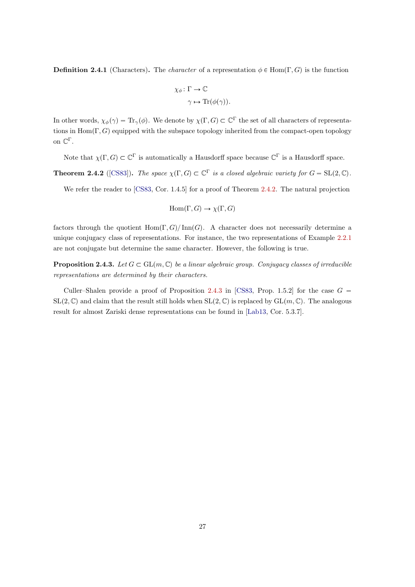**Definition 2.4.1** (Characters). The *character* of a representation  $\phi \in \text{Hom}(\Gamma, G)$  is the function

$$
\chi_{\phi} \colon \Gamma \to \mathbb{C}
$$

$$
\gamma \mapsto \text{Tr}(\phi(\gamma)).
$$

In other words,  $\chi_{\phi}(\gamma) = \text{Tr}_{\gamma}(\phi)$ . We denote by  $\chi(\Gamma, G) \subset \mathbb{C}^{\Gamma}$  the set of all characters of representations in  $\text{Hom}(\Gamma, G)$  equipped with the subspace topology inherited from the compact-open topology on  $\mathbb{C}^{\Gamma}$ .

Note that  $\chi(\Gamma, G) \subset \mathbb{C}^{\Gamma}$  is automatically a Hausdorff space because  $\mathbb{C}^{\Gamma}$  is a Hausdorff space.

<span id="page-27-0"></span>**Theorem 2.4.2** ([\[CS83\]](#page-70-3)). The space  $\chi(\Gamma, G) \subset \mathbb{C}^{\Gamma}$  is a closed algebraic variety for  $G = SL(2, \mathbb{C})$ .

We refer the reader to [\[CS83,](#page-70-3) Cor. 1.4.5] for a proof of Theorem [2.4.2.](#page-27-0) The natural projection

$$
Hom(\Gamma, G) \to \chi(\Gamma, G)
$$

factors through the quotient  $\text{Hom}(\Gamma, G)/\text{Inn}(G)$ . A character does not necessarily determine a unique conjugacy class of representations. For instance, the two representations of Example [2.2.1](#page-19-1) are not conjugate but determine the same character. However, the following is true.

<span id="page-27-1"></span>**Proposition 2.4.3.** Let  $G \subset GL(m, \mathbb{C})$  be a linear algebraic group. Conjugacy classes of irreducible representations are determined by their characters.

Culler–Shalen provide a proof of Proposition [2.4.3](#page-27-1) in [\[CS83,](#page-70-3) Prop. 1.5.2] for the case  $G =$  $SL(2,\mathbb{C})$  and claim that the result still holds when  $SL(2,\mathbb{C})$  is replaced by  $GL(m,\mathbb{C})$ . The analogous result for almost Zariski dense representations can be found in [\[Lab13,](#page-72-2) Cor. 5.3.7].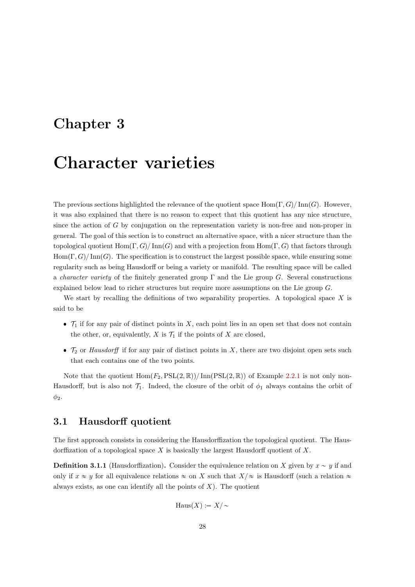### <span id="page-28-0"></span>Chapter 3

## Character varieties

The previous sections highlighted the relevance of the quotient space Hom $(\Gamma, G)/\text{Inn}(G)$ . However, it was also explained that there is no reason to expect that this quotient has any nice structure, since the action of  $G$  by conjugation on the representation variety is non-free and non-proper in general. The goal of this section is to construct an alternative space, with a nicer structure than the topological quotient  $\text{Hom}(\Gamma, G)/\text{Inn}(G)$  and with a projection from  $\text{Hom}(\Gamma, G)$  that factors through  $\text{Hom}(\Gamma, G)/\text{Inn}(G)$ . The specification is to construct the largest possible space, while ensuring some regularity such as being Hausdorff or being a variety or manifold. The resulting space will be called a *character variety* of the finitely generated group  $\Gamma$  and the Lie group G. Several constructions explained below lead to richer structures but require more assumptions on the Lie group G.

We start by recalling the definitions of two separability properties. A topological space  $X$  is said to be

- $\bullet$   $\mathcal{T}_1$  if for any pair of distinct points in X, each point lies in an open set that does not contain the other, or, equivalently,  $X$  is  $\mathcal{T}_1$  if the points of  $X$  are closed,
- $\bullet$   $\mathcal{T}_2$  or Hausdorff if for any pair of distinct points in X, there are two disjoint open sets such that each contains one of the two points.

Note that the quotient  $\text{Hom}(F_2,\text{PSL}(2,\mathbb{R}))/\text{Inn}(\text{PSL}(2,\mathbb{R}))$  of Example [2.2.1](#page-19-1) is not only non-Hausdorff, but is also not  $\mathcal{T}_1$ . Indeed, the closure of the orbit of  $\phi_1$  always contains the orbit of  $\phi_2$ .

#### <span id="page-28-1"></span>3.1 Hausdorff quotient

The first approach consists in considering the Hausdorffization the topological quotient. The Hausdorffization of a topological space  $X$  is basically the largest Hausdorff quotient of  $X$ .

**Definition 3.1.1** (Hausdorffization). Consider the equivalence relation on X given by  $x \sim y$  if and only if  $x \approx y$  for all equivalence relations  $\approx$  on X such that  $X/\approx$  is Hausdorff (such a relation  $\approx$ always exists, as one can identify all the points of  $X$ ). The quotient

$$
\mathrm{Haus}(X) := X/\sim
$$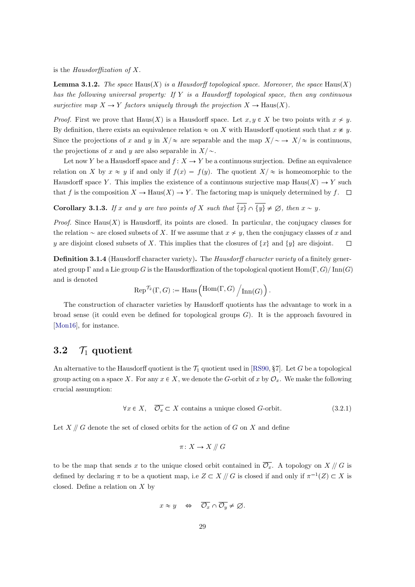is the Hausdorffization of X.

<span id="page-29-3"></span>**Lemma 3.1.2.** The space Haus $(X)$  is a Hausdorff topological space. Moreover, the space Haus $(X)$ has the following universal property: If  $Y$  is a Hausdorff topological space, then any continuous surjective map  $X \to Y$  factors uniquely through the projection  $X \to \text{Haus}(X)$ .

*Proof.* First we prove that  $Haus(X)$  is a Hausdorff space. Let  $x, y \in X$  be two points with  $x \neq y$ . By definition, there exists an equivalence relation  $\approx$  on X with Hausdorff quotient such that  $x \approx y$ . Since the projections of x and y in  $X/\approx$  are separable and the map  $X/\sim \rightarrow X/\approx$  is continuous, the projections of x and y are also separable in  $X/\sim$ .

Let now Y be a Hausdorff space and  $f: X \to Y$  be a continuous surjection. Define an equivalence relation on X by  $x \approx y$  if and only if  $f(x) = f(y)$ . The quotient  $X/\approx$  is homeomorphic to the Hausdorff space Y. This implies the existence of a continuous surjective map  $\text{Haus}(X) \to Y$  such that f is the composition  $X \to \text{Haus}(X) \to Y$ . The factoring map is uniquely determined by f.  $\Box$ 

<span id="page-29-2"></span>**Corollary 3.1.3.** If x and y are two points of X such that  $\overline{\{x\}} \cap \overline{\{y\}} \neq \emptyset$ , then  $x \sim y$ .

*Proof.* Since Haus $(X)$  is Hausdorff, its points are closed. In particular, the conjugacy classes for the relation  $\sim$  are closed subsets of X. If we assume that  $x \nsim y$ , then the conjugacy classes of x and y are disjoint closed subsets of X. This implies that the closures of  $\{x\}$  and  $\{y\}$  are disjoint.  $\Box$ 

Definition 3.1.4 (Hausdorff character variety). The Hausdorff character variety of a finitely generated group  $\Gamma$  and a Lie group G is the Hausdorffization of the topological quotient Hom $(\Gamma, G)/\text{Inn}(G)$ and is denoted

$$
\text{Rep}^{\mathcal{T}_2}(\Gamma, G) := \text{Haus}\left(\text{Hom}(\Gamma, G)\Big/\text{Inn}(G)\right).
$$

The construction of character varieties by Hausdorff quotients has the advantage to work in a broad sense (it could even be defined for topological groups  $G$ ). It is the approach favoured in [\[Mon16\]](#page-72-1), for instance.

#### <span id="page-29-0"></span>3.2  $\mathcal{T}_1$  quotient

An alternative to the Hausdorff quotient is the  $\mathcal{T}_1$  quotient used in [\[RS90,](#page-72-7) §7]. Let G be a topological group acting on a space X. For any  $x \in X$ , we denote the G-orbit of x by  $\mathcal{O}_x$ . We make the following crucial assumption:

<span id="page-29-1"></span>
$$
\forall x \in X, \quad \overline{\mathcal{O}_x} \subset X \text{ contains a unique closed } G\text{-orbit.}
$$
\n(3.2.1)

Let  $X \nparallel G$  denote the set of closed orbits for the action of G on X and define

$$
\pi\colon X\to X/\!\!/G
$$

to be the map that sends x to the unique closed orbit contained in  $\overline{\mathcal{O}_x}$ . A topology on  $X \mathbin{/\!\!/} G$  is defined by declaring  $\pi$  to be a quotient map, i.e  $Z \subset X \# G$  is closed if and only if  $\pi^{-1}(Z) \subset X$  is closed. Define a relation on  $X$  by

$$
x \approx y \quad \Leftrightarrow \quad \overline{\mathcal{O}_x} \cap \overline{\mathcal{O}_y} \neq \varnothing.
$$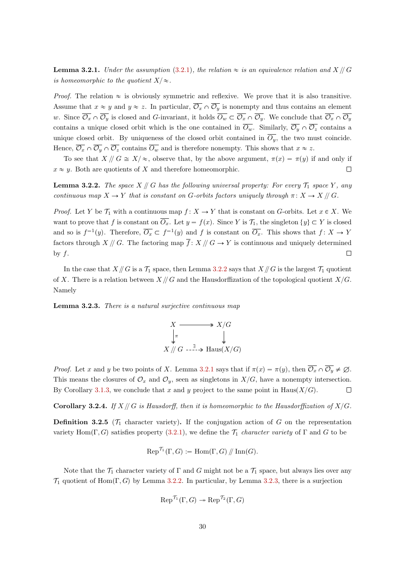<span id="page-30-1"></span>**Lemma 3.2.1.** Under the assumption [\(3.2.1\)](#page-29-1), the relation  $\approx$  is an equivalence relation and X  $\#G$ is homeomorphic to the quotient  $X/\approx$ .

*Proof.* The relation  $\approx$  is obviously symmetric and reflexive. We prove that it is also transitive. Assume that  $x \approx y$  and  $y \approx z$ . In particular,  $\overline{\mathcal{O}_x} \cap \overline{\mathcal{O}_y}$  is nonempty and thus contains an element w. Since  $\overline{\mathcal{O}_x} \cap \overline{\mathcal{O}_y}$  is closed and G-invariant, it holds  $\overline{\mathcal{O}_w} \subset \overline{\mathcal{O}_x} \cap \overline{\mathcal{O}_y}$ . We conclude that  $\overline{\mathcal{O}_x} \cap \overline{\mathcal{O}_y}$ contains a unique closed orbit which is the one contained in  $\overline{O_w}$ . Similarly,  $\overline{O_y} \cap \overline{O_z}$  contains a unique closed orbit. By uniqueness of the closed orbit contained in  $\overline{O_{\nu}}$ , the two must coincide. Hence,  $\overline{\mathcal{O}_x} \cap \overline{\mathcal{O}_y} \cap \overline{\mathcal{O}_z}$  contains  $\overline{\mathcal{O}_w}$  and is therefore nonempty. This shows that  $x \approx z$ .

To see that  $X / G \cong X / \infty$ , observe that, by the above argument,  $\pi(x) = \pi(y)$  if and only if  $x \approx y$ . Both are quotients of X and therefore homeomorphic.  $\Box$ 

<span id="page-30-0"></span>**Lemma 3.2.2.** The space  $X \parallel G$  has the following universal property: For every  $\mathcal{T}_1$  space Y, any continuous map  $X \to Y$  that is constant on G-orbits factors uniquely through  $\pi \colon X \to X \mathbin{/}\!\!/\, G$ .

*Proof.* Let Y be  $\mathcal{T}_1$  with a continuous map  $f: X \to Y$  that is constant on G-orbits. Let  $x \in X$ . We want to prove that f is constant on  $\overline{O_x}$ . Let  $y = f(x)$ . Since Y is  $\mathcal{T}_1$ , the singleton  $\{y\} \subset Y$  is closed and so is  $f^{-1}(y)$ . Therefore,  $\overline{O_x} \subset f^{-1}(y)$  and f is constant on  $\overline{O_x}$ . This shows that  $f: X \to Y$ factors through X // G. The factoring map  $\overline{f}$ : X // G  $\rightarrow$  Y is continuous and uniquely determined by  $f$ .  $\Box$ 

In the case that  $X/\!\!/ G$  is a  $\mathcal{T}_1$  space, then Lemma [3.2.2](#page-30-0) says that  $X/\!\!/ G$  is the largest  $\mathcal{T}_1$  quotient of X. There is a relation between  $X/\!\!/ G$  and the Hausdorffization of the topological quotient  $X/G$ . Namely

<span id="page-30-2"></span>Lemma 3.2.3. There is a natural surjective continuous map

$$
X \xrightarrow[\pi]{X/G} X/G
$$
  
\n
$$
\downarrow^{\pi} \qquad \downarrow
$$
  
\n
$$
X \# G \dashrightarrow^{\exists} \text{Haus}(X/G)
$$

*Proof.* Let x and y be two points of X. Lemma [3.2.1](#page-30-1) says that if  $\pi(x) = \pi(y)$ , then  $\overline{\mathcal{O}_x} \cap \overline{\mathcal{O}_y} \neq \emptyset$ . This means the closures of  $\mathcal{O}_x$  and  $\mathcal{O}_y$ , seen as singletons in  $X/G$ , have a nonempty intersection. By Corollary [3.1.3,](#page-29-2) we conclude that x and y project to the same point in Haus $(X/G)$ .  $\Box$ 

<span id="page-30-3"></span>**Corollary 3.2.4.** If  $X/\!\!/ G$  is Hausdorff, then it is homeomorphic to the Hausdorffization of  $X/G$ .

**Definition 3.2.5** ( $\mathcal{T}_1$  character variety). If the conjugation action of G on the representation variety Hom $(\Gamma, G)$  satisfies property [\(3.2.1\)](#page-29-1), we define the  $\mathcal{T}_1$  character variety of  $\Gamma$  and G to be

$$
\operatorname{Rep}^{\mathcal{T}_1}(\Gamma,G) := \operatorname{Hom}(\Gamma,G)/\!/ \operatorname{Inn}(G).
$$

Note that the  $\mathcal{T}_1$  character variety of  $\Gamma$  and  $G$  might not be a  $\mathcal{T}_1$  space, but always lies over any  $\mathcal{T}_1$  quotient of Hom $(\Gamma, G)$  by Lemma [3.2.2.](#page-30-0) In particular, by Lemma [3.2.3,](#page-30-2) there is a surjection

$$
\operatorname{Rep}^{\mathcal{T}_1}(\Gamma,G) \twoheadrightarrow \operatorname{Rep}^{\mathcal{T}_2}(\Gamma,G)
$$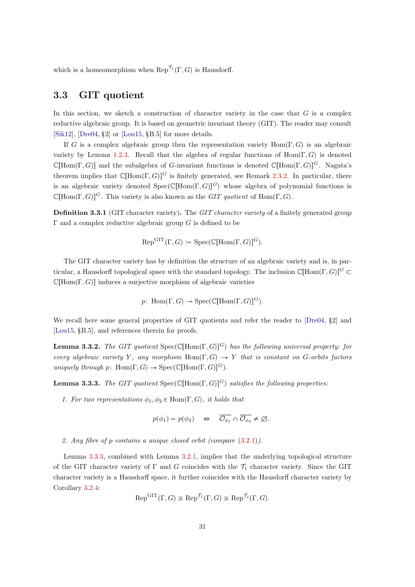which is a homeomorphism when  $\text{Rep}^{\mathcal{T}_1}(\Gamma, G)$  is Hausdorff.

#### <span id="page-31-0"></span>3.3 GIT quotient

In this section, we sketch a construction of character variety in the case that  $G$  is a complex reductive algebraic group. It is based on geometric invariant theory (GIT). The reader may consult [\[Sik12\]](#page-72-0), [\[Dre04,](#page-71-6) §2] or [\[Lou15,](#page-72-11) §B.5] for more details.

If G is a complex algebraic group then the representation variety  $\text{Hom}(\Gamma, G)$  is an algebraic variety by Lemma [1.2.3.](#page-9-2) Recall that the algebra of regular functions of  $\text{Hom}(\Gamma, G)$  is denoted  $\mathbb{C}[\text{Hom}(\Gamma, G)]$  and the subalgebra of G-invariant functions is denoted  $\mathbb{C}[\text{Hom}(\Gamma, G)]$ <sup>G</sup>. Nagata's theorem implies that  $\mathbb{C}[\text{Hom}(\Gamma, G)]$ <sup>G</sup> is finitely generated, see Remark [2.3.2.](#page-25-3) In particular, there is an algebraic variety denoted  $Spec(\mathbb{C}[\text{Hom}(\Gamma, G)]^G)$  whose algebra of polynomial functions is  $\mathbb{C}[\text{Hom}(\Gamma, G)]$ <sup>G</sup>. This variety is also known as the *GIT quotient* of Hom $(\Gamma, G)$ .

Definition 3.3.1 (GIT character variety). The GIT character variety of a finitely generated group  $\Gamma$  and a complex reductive algebraic group G is defined to be

$$
Rep^{GIT}(\Gamma, G) := Spec(\mathbb{C}[Hom(\Gamma, G)]^G).
$$

The GIT character variety has by definition the structure of an algebraic variety and is, in particular, a Hausdorff topological space with the standard topology. The inclusion  $\mathbb{C}[\text{Hom}(\Gamma, G)]^G$  $\mathbb{C}[\text{Hom}(\Gamma, G)]$  induces a surjective morphism of algebraic varieties

$$
p
$$
: Hom $(\Gamma, G)$   $\rightarrow$  Spec $(\mathbb{C}[\text{Hom}(\Gamma, G)]^G)$ .

We recall here some general properties of GIT quotients and refer the reader to [\[Dre04,](#page-71-6) §2] and [\[Lou15,](#page-72-11) §B.5], and references therein for proofs.

**Lemma 3.3.2.** The GIT quotient Spec( $\mathbb{C}[\text{Hom}(\Gamma, G)]^G$ ) has the following universal property: for every algebraic variety Y, any morphism Hom $(\Gamma, G) \to Y$  that is constant on G-orbits factors uniquely through p: Hom $(\Gamma, G) \to \text{Spec}(\mathbb{C}[\text{Hom}(\Gamma, G)]^G)$ .

<span id="page-31-1"></span>**Lemma 3.3.3.** The GIT quotient  $Spec(\mathbb{C}[\text{Hom}(\Gamma, G)]^G)$  satisfies the following properties:

1. For two representations  $\phi_1, \phi_2 \in \text{Hom}(\Gamma, G)$ , it holds that

$$
p(\phi_1) = p(\phi_2) \Leftrightarrow \overline{\mathcal{O}_{\phi_1}} \cap \overline{\mathcal{O}_{\phi_2}} \neq \varnothing.
$$

2. Any fibre of p contains a unique closed orbit (compare [\(3.2.1\)](#page-29-1)).

Lemma [3.3.3,](#page-31-1) combined with Lemma [3.2.1,](#page-30-1) implies that the underlying topological structure of the GIT character variety of  $\Gamma$  and G coincides with the  $\mathcal{T}_1$  character variety. Since the GIT character variety is a Hausdorff space, it further coincides with the Hausdorff character variety by Corollary [3.2.4:](#page-30-3)

$$
\operatorname{Rep}^{\operatorname{GIT}}(\Gamma,G) \cong \operatorname{Rep}^{\mathcal{T}_1}(\Gamma,G) \cong \operatorname{Rep}^{\mathcal{T}_2}(\Gamma,G).
$$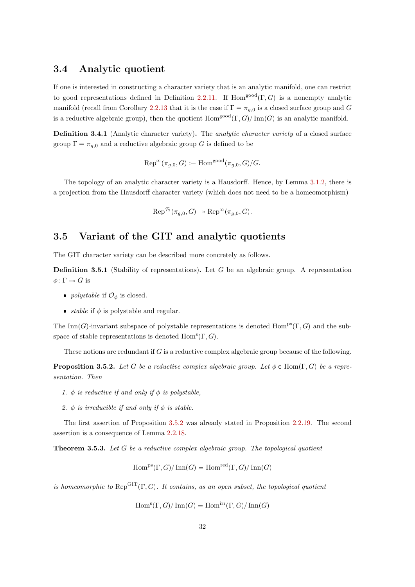#### <span id="page-32-0"></span>3.4 Analytic quotient

If one is interested in constructing a character variety that is an analytic manifold, one can restrict to good representations defined in Definition [2.2.11.](#page-21-4) If Hom<sup>good</sup> $(\Gamma, G)$  is a nonempty analytic manifold (recall from Corollary [2.2.13](#page-21-3) that it is the case if  $\Gamma = \pi_{g,0}$  is a closed surface group and G is a reductive algebraic group), then the quotient  $\text{Hom}^{\text{good}}(\Gamma, G)/\text{Inn}(G)$  is an analytic manifold.

Definition 3.4.1 (Analytic character variety). The *analytic character variety* of a closed surface group  $\Gamma = \pi_{g,0}$  and a reductive algebraic group G is defined to be

$$
\operatorname{Rep}^{\infty}(\pi_{g,0}, G) := \operatorname{Hom}^{\operatorname{good}}(\pi_{g,0}, G)/G.
$$

The topology of an analytic character variety is a Hausdorff. Hence, by Lemma [3.1.2,](#page-29-3) there is a projection from the Hausdorff character variety (which does not need to be a homeomorphism)

$$
\operatorname{Rep}^{\mathcal{T}_2}(\pi_{g,0},G) \twoheadrightarrow \operatorname{Rep}^{\infty}(\pi_{g,0},G).
$$

#### <span id="page-32-1"></span>3.5 Variant of the GIT and analytic quotients

The GIT character variety can be described more concretely as follows.

**Definition 3.5.1** (Stability of representations). Let  $G$  be an algebraic group. A representation  $\phi \colon \Gamma \to G$  is

- polystable if  $\mathcal{O}_{\phi}$  is closed.
- stable if  $\phi$  is polystable and regular.

The Inn(G)-invariant subspace of polystable representations is denoted Hom<sup>ps</sup> $(\Gamma, G)$  and the subspace of stable representations is denoted  $\text{Hom}^s(\Gamma, G)$ .

These notions are redundant if G is a reductive complex algebraic group because of the following.

<span id="page-32-2"></span>**Proposition 3.5.2.** Let G be a reductive complex algebraic group. Let  $\phi \in \text{Hom}(\Gamma, G)$  be a representation. Then

- 1.  $\phi$  is reductive if and only if  $\phi$  is polystable,
- 2.  $\phi$  is irreducible if and only if  $\phi$  is stable.

The first assertion of Proposition [3.5.2](#page-32-2) was already stated in Proposition [2.2.19.](#page-22-3) The second assertion is a consequence of Lemma [2.2.18.](#page-22-1)

<span id="page-32-3"></span>**Theorem 3.5.3.** Let  $G$  be a reductive complex algebraic group. The topological quotient

$$
\operatorname{Hom}^{\rm ps}(\Gamma, G)/\operatorname{Inn}(G) = \operatorname{Hom}^{\rm red}(\Gamma, G)/\operatorname{Inn}(G)
$$

is homeomorphic to  $\text{Rep}^{\text{GIT}}(\Gamma, G)$ . It contains, as an open subset, the topological quotient

 $\text{Hom}^s(\Gamma, G)/\text{Inn}(G) = \text{Hom}^{\text{irr}}(\Gamma, G)/\text{Inn}(G)$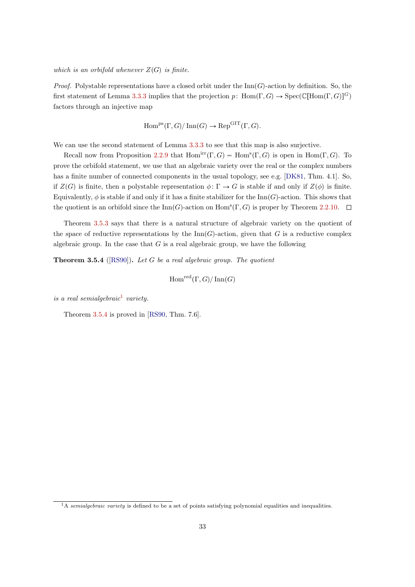which is an orbifold whenever  $Z(G)$  is finite.

*Proof.* Polystable representations have a closed orbit under the  $\text{Inn}(G)$ -action by definition. So, the first statement of Lemma [3.3.3](#page-31-1) implies that the projection  $p: \text{Hom}(\Gamma, G) \to \text{Spec}(\mathbb{C}[\text{Hom}(\Gamma, G)]^G)$ factors through an injective map

$$
\mathrm{Hom}^{\mathrm{ps}}(\Gamma, G)/\mathrm{Inn}(G) \to \mathrm{Rep}^{\mathrm{GIT}}(\Gamma, G).
$$

We can use the second statement of Lemma  $3.3.3$  to see that this map is also surjective.

Recall now from Proposition [2.2.9](#page-20-0) that  $Hom<sup>irr</sup>(\Gamma, G) = Hom<sup>s</sup>(\Gamma, G)$  is open in  $Hom(\Gamma, G)$ . To prove the orbifold statement, we use that an algebraic variety over the real or the complex numbers has a finite number of connected components in the usual topology, see e.g. [\[DK81,](#page-71-7) Thm. 4.1]. So, if  $Z(G)$  is finite, then a polystable representation  $\phi \colon \Gamma \to G$  is stable if and only if  $Z(\phi)$  is finite. Equivalently,  $\phi$  is stable if and only if it has a finite stabilizer for the Inn(G)-action. This shows that the quotient is an orbifold since the  $\text{Inn}(G)$ -action on  $\text{Hom}^s(\Gamma, G)$  is proper by Theorem [2.2.10.](#page-21-0)

Theorem [3.5.3](#page-32-3) says that there is a natural structure of algebraic variety on the quotient of the space of reductive representations by the  $\text{Inn}(G)$ -action, given that G is a reductive complex algebraic group. In the case that  $G$  is a real algebraic group, we have the following

<span id="page-33-1"></span>**Theorem 3.5.4** ( $[RSS0]$ ). Let G be a real algebraic group. The quotient

$$
\operatorname{Hom}^{\rm red}(\Gamma, G)/\operatorname{Inn}(G)
$$

is a real semialgebraic<sup>[1](#page-33-0)</sup> variety.

Theorem [3.5.4](#page-33-1) is proved in [\[RS90,](#page-72-7) Thm. 7.6].

<span id="page-33-0"></span><sup>&</sup>lt;sup>1</sup>A semialgebraic variety is defined to be a set of points satisfying polynomial equalities and inequalities.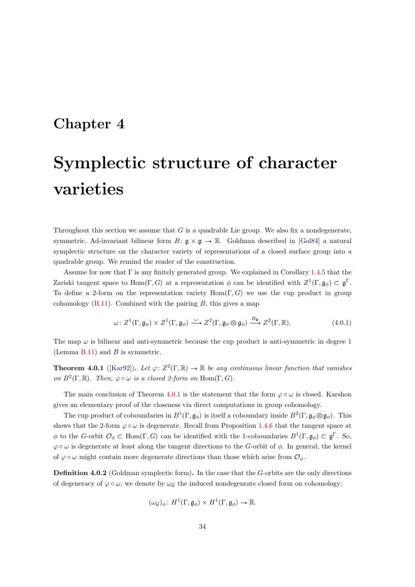### <span id="page-34-0"></span>Chapter 4

# Symplectic structure of character varieties

Throughout this section we assume that  $G$  is a quadrable Lie group. We also fix a nondegenerate, symmetric, Ad-invariant bilinear form  $B: \mathfrak{g} \times \mathfrak{g} \to \mathbb{R}$ . Goldman described in [\[Gol84\]](#page-71-0) a natural symplectic structure on the character variety of representations of a closed surface group into a quadrable group. We remind the reader of the construction.

Assume for now that  $\Gamma$  is any finitely generated group. We explained in Corollary [1.4.5](#page-13-0) that the Zariski tangent space to Hom $(\Gamma, G)$  at a representation  $\phi$  can be identified with  $Z^1(\Gamma, \mathfrak{g}_{\phi}) \subset \mathfrak{g}^{\Gamma}$ . To define a 2-form on the representation variety  $\text{Hom}(\Gamma, G)$  we use the cup product in group cohomology  $(B.11)$ . Combined with the pairing B, this gives a map

<span id="page-34-2"></span>
$$
\omega \colon Z^1(\Gamma, \mathfrak{g}_{\phi}) \times Z^1(\Gamma, \mathfrak{g}_{\phi}) \xrightarrow{\smile} Z^2(\Gamma, \mathfrak{g}_{\phi} \otimes \mathfrak{g}_{\phi}) \xrightarrow{B_{\ast}} Z^2(\Gamma, \mathbb{R}). \tag{4.0.1}
$$

The map  $\omega$  is bilinear and anti-symmetric because the cup product is anti-symmetric in degree 1 (Lemma  $B.11$ ) and  $B$  is symmetric.

<span id="page-34-1"></span>**Theorem 4.0.1** ([\[Kar92\]](#page-71-2)). Let  $\varphi: Z^2(\Gamma, \mathbb{R}) \to \mathbb{R}$  be any continuous linear function that vanishes on  $B^2(\Gamma,\mathbb{R})$ . Then,  $\varphi \circ \omega$  is a closed 2-form on Hom $(\Gamma,G)$ .

The main conclusion of Theorem [4.0.1](#page-34-1) is the statement that the form  $\varphi \circ \omega$  is closed. Karshon gives an elementary proof of the closeness via direct computations in group cohomology.

The cup product of coboundaries in  $B^1(\Gamma, \mathfrak{g}_{\phi})$  is itself a coboundary inside  $B^2(\Gamma, \mathfrak{g}_{\phi} \otimes \mathfrak{g}_{\phi})$ . This shows that the 2-form  $\varphi \circ \omega$  is degenerate. Recall from Proposition [1.4.6](#page-13-2) that the tangent space at  $\phi$  to the G-orbit  $\mathcal{O}_{\phi} \subset \text{Hom}(\Gamma, G)$  can be identified with the 1-coboundaries  $B^1(\Gamma, \mathfrak{g}_{\phi}) \subset \mathfrak{g}^{\Gamma}$ . So,  $\varphi \circ \omega$  is degenerate at least along the tangent directions to the G-orbit of  $\phi$ . In general, the kernel of  $\varphi \circ \omega$  might contain more degenerate directions than those which arise from  $\mathcal{O}_{\phi}$ .

Definition 4.0.2 (Goldman symplectic form). In the case that the G-orbits are the only directions of degeneracy of  $\varphi \circ \omega$ , we denote by  $\omega_{\mathcal{G}}$  the induced nondegenrate closed form on cohomology:

$$
(\omega_{\mathcal{G}})_{\phi} \colon H^1(\Gamma, \mathfrak{g}_{\phi}) \times H^1(\Gamma, \mathfrak{g}_{\phi}) \to \mathbb{R}.
$$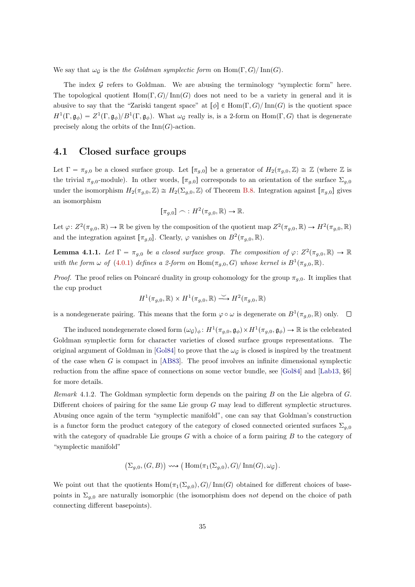We say that  $\omega_{\mathcal{G}}$  is the the Goldman symplectic form on  $\text{Hom}(\Gamma, G)/\text{Inn}(G)$ .

The index  $G$  refers to Goldman. We are abusing the terminology "symplectic form" here. The topological quotient  $\text{Hom}(\Gamma, G)/\text{Inn}(G)$  does not need to be a variety in general and it is abusive to say that the "Zariski tangent space" at  $\lbrack \phi \rbrack \in \text{Hom}(\Gamma, G)/\text{Inn}(G)$  is the quotient space  $H^1(\Gamma, \mathfrak{g}_{\phi}) = Z^1(\Gamma, \mathfrak{g}_{\phi})/B^1(\Gamma, \mathfrak{g}_{\phi})$ . What  $\omega_{\mathcal{G}}$  really is, is a 2-form on Hom $(\Gamma, G)$  that is degenerate precisely along the orbits of the  $\text{Inn}(G)$ -action.

#### <span id="page-35-0"></span>4.1 Closed surface groups

Let  $\Gamma = \pi_{g,0}$  be a closed surface group. Let  $[\pi_{g,0}]$  be a generator of  $H_2(\pi_{g,0}, \mathbb{Z}) \cong \mathbb{Z}$  (where  $\mathbb Z$  is the trivial  $\pi_{g,0}$ -module). In other words,  $[\pi_{g,0}]$  corresponds to an orientation of the surface  $\Sigma_{g,0}$ under the isomorphism  $H_2(\pi_{g,0}, \mathbb{Z}) \cong H_2(\Sigma_{g,0}, \mathbb{Z})$  of Theorem [B.8.](#page-64-2) Integration against  $[\pi_{g,0}]$  gives an isomorphism

$$
[\pi_{g,0}] \frown: H^2(\pi_{g,0}, \mathbb{R}) \to \mathbb{R}.
$$

Let  $\varphi: Z^2(\pi_{g,0}, \mathbb{R}) \to \mathbb{R}$  be given by the composition of the quotient map  $Z^2(\pi_{g,0}, \mathbb{R}) \to H^2(\pi_{g,0}, \mathbb{R})$ and the integration against  $[\pi_{g,0}]$ . Clearly,  $\varphi$  vanishes on  $B^2(\pi_{g,0}, \mathbb{R})$ .

**Lemma 4.1.1.** Let  $\Gamma = \pi_{g,0}$  be a closed surface group. The composition of  $\varphi: Z^2(\pi_{g,0}, \mathbb{R}) \to \mathbb{R}$ with the form  $\omega$  of [\(4.0.1\)](#page-34-2) defines a 2-form on Hom $(\pi_{g,0}, G)$  whose kernel is  $B^1(\pi_{g,0}, \mathbb{R})$ .

*Proof.* The proof relies on Poincaré duality in group cohomology for the group  $\pi_{q,0}$ . It implies that the cup product **1990** 

$$
H^1(\pi_{g,0}, \mathbb{R}) \times H^1(\pi_{g,0}, \mathbb{R}) \longrightarrow H^2(\pi_{g,0}, \mathbb{R})
$$

is a nondegenerate pairing. This means that the form  $\varphi \circ \omega$  is degenerate on  $B^1(\pi_{g,0}, \mathbb{R})$  only.  $\Box$ 

The induced nondegenerate closed form  $(\omega_{\mathcal{G}})_{\phi} : H^1(\pi_{g,0}, \mathfrak{g}_{\phi}) \times H^1(\pi_{g,0}, \mathfrak{g}_{\phi}) \to \mathbb{R}$  is the celebrated Goldman symplectic form for character varieties of closed surface groups representations. The original argument of Goldman in [\[Gol84\]](#page-71-0) to prove that the  $\omega_{\mathcal{G}}$  is closed is inspired by the treatment of the case when  $G$  is compact in  $[AB83]$ . The proof involves an infinite dimensional symplectic reduction from the affine space of connections on some vector bundle, see [\[Gol84\]](#page-71-0) and [\[Lab13,](#page-72-2) §6] for more details.

Remark 4.1.2. The Goldman symplectic form depends on the pairing B on the Lie algebra of G. Different choices of pairing for the same Lie group G may lead to different symplectic structures. Abusing once again of the term "symplectic manifold", one can say that Goldman's construction is a functor form the product category of the category of closed connected oriented surfaces  $\Sigma_{g,0}$ with the category of quadrable Lie groups  $G$  with a choice of a form pairing  $B$  to the category of "symplectic manifold"

$$
(\Sigma_{g,0}, (G, B)) \longrightarrow \left( \text{Hom}(\pi_1(\Sigma_{g,0}), G) / \text{Inn}(G), \omega_{\mathcal{G}} \right).
$$

We point out that the quotients  $\text{Hom}(\pi_1(\Sigma_{q,0}), G)/\text{Inn}(G)$  obtained for different choices of basepoints in  $\Sigma_{q,0}$  are naturally isomorphic (the isomorphism does not depend on the choice of path connecting different basepoints).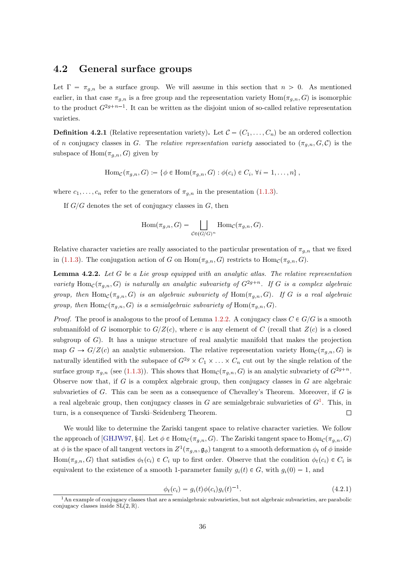### 4.2 General surface groups

Let  $\Gamma = \pi_{g,n}$  be a surface group. We will assume in this section that  $n > 0$ . As mentioned earlier, in that case  $\pi_{g,n}$  is a free group and the representation variety  $\text{Hom}(\pi_{g,n}, G)$  is isomorphic to the product  $G^{2g+n-1}$ . It can be written as the disjoint union of so-called relative representation varieties.

**Definition 4.2.1** (Relative representation variety). Let  $\mathcal{C} = (C_1, \ldots, C_n)$  be an ordered collection of n conjugacy classes in G. The relative representation variety associated to  $(\pi_{g,n}, G, C)$  is the subspace of  $\text{Hom}(\pi_{q,n}, G)$  given by

$$
\text{Hom}_{\mathcal{C}}(\pi_{g,n}, G) := \{ \phi \in \text{Hom}(\pi_{g,n}, G) : \phi(c_i) \in C_i, \forall i = 1, \dots, n \},
$$

where  $c_1, \ldots, c_n$  refer to the generators of  $\pi_{g,n}$  in the presentation [\(1.1.3\)](#page-8-0).

If  $G/G$  denotes the set of conjugacy classes in  $G$ , then

$$
\operatorname{Hom}(\pi_{g,n}, G) = \bigsqcup_{\mathcal{C} \in (G/G)^n} \operatorname{Hom}_{\mathcal{C}}(\pi_{g,n}, G).
$$

Relative character varieties are really associated to the particular presentation of  $\pi_{q,n}$  that we fixed in [\(1.1.3\)](#page-8-0). The conjugation action of G on Hom $(\pi_{q,n}, G)$  restricts to Hom $_{\mathcal{C}}(\pi_{q,n}, G)$ .

**Lemma 4.2.2.** Let  $G$  be a Lie group equipped with an analytic atlas. The relative representation variety Hom<sub>C</sub>( $\pi_{g,n}$ , G) is naturally an analytic subvariety of  $G^{2g+n}$ . If G is a complex algebraic group, then Hom<sub>C</sub>( $\pi_{q,n}$ , G) is an algebraic subvariety of Hom( $\pi_{q,n}$ , G). If G is a real algebraic group, then Hom<sub>C</sub>( $\pi_{q,n}$ , G) is a semialgebraic subvariety of Hom( $\pi_{q,n}$ , G).

*Proof.* The proof is analogous to the proof of Lemma [1.2.2.](#page-9-0) A conjugacy class  $C \in G/G$  is a smooth submanifold of G isomorphic to  $G/Z(c)$ , where c is any element of C (recall that  $Z(c)$  is a closed subgroup of  $G$ ). It has a unique structure of real analytic manifold that makes the projection map  $G \to G/Z(c)$  an analytic submersion. The relative representation variety Hom<sub>C</sub>( $\pi_{q,n}, G$ ) is naturally identified with the subspace of  $G^{2g} \times C_1 \times \ldots \times C_n$  cut out by the single relation of the surface group  $\pi_{q,n}$  (see [\(1.1.3\)](#page-8-0)). This shows that  $\text{Hom}_{\mathcal{C}}(\pi_{q,n}, G)$  is an analytic subvariety of  $G^{2g+n}$ . Observe now that, if  $G$  is a complex algebraic group, then conjugacy classes in  $G$  are algebraic subvarieties of  $G$ . This can be seen as a consequence of Chevalley's Theorem. Moreover, if  $G$  is a real algebraic group, then conjugacy classes in  $G$  are semialgebraic subvarieties of  $G<sup>1</sup>$  $G<sup>1</sup>$  $G<sup>1</sup>$ . This, in turn, is a consequence of Tarski–Seidenberg Theorem.  $\Box$ 

We would like to determine the Zariski tangent space to relative character varieties. We follow the approach of [\[GHJW97,](#page-71-0) §4]. Let  $\phi \in \text{Hom}_{\mathcal{C}}(\pi_{g,n}, G)$ . The Zariski tangent space to  $\text{Hom}_{\mathcal{C}}(\pi_{g,n}, G)$ at  $\phi$  is the space of all tangent vectors in  $Z^1(\pi_{g,n}, \mathfrak{g}_{\phi})$  tangent to a smooth deformation  $\phi_t$  of  $\phi$  inside  $\text{Hom}(\pi_{g,n}, G)$  that satisfies  $\phi_t(c_i) \in C_i$  up to first order. Observe that the condition  $\phi_t(c_i) \in C_i$  is equivalent to the existence of a smooth 1-parameter family  $g_i(t) \in G$ , with  $g_i(0) = 1$ , and

<span id="page-36-1"></span>
$$
\phi_t(c_i) = g_i(t)\phi(c_i)g_i(t)^{-1}.
$$
\n(4.2.1)

<span id="page-36-0"></span> $1$ An example of conjugacy classes that are a semialgebraic subvarieties, but not algebraic subvarieties, are parabolic conjugacy classes inside  $SL(2, \mathbb{R})$ .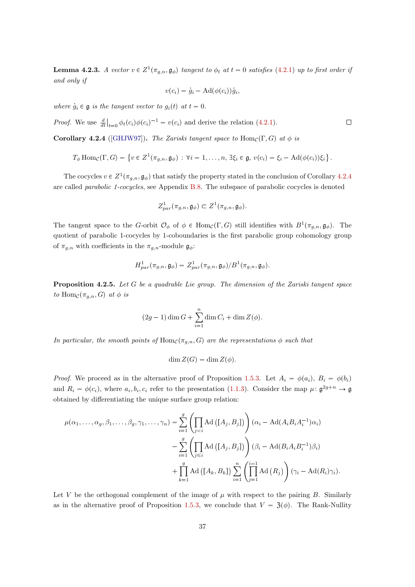**Lemma 4.2.3.** A vector  $v \in Z^1(\pi_{g,n}, \mathfrak{g}_{\phi})$  tangent to  $\phi_t$  at  $t = 0$  satisfies [\(4.2.1\)](#page-36-1) up to first order if and only if

$$
v(c_i) = g_i - \mathrm{Ad}(\phi(c_i))g_i,
$$

where  $g_i \in \mathfrak{g}$  is the tangent vector to  $g_i(t)$  at  $t = 0$ .

*Proof.* We use  $\frac{d}{dt}\Big|_{t=0} \phi_t(c_i)\phi(c_i)^{-1} = v(c_i)$  and derive the relation [\(4.2.1\)](#page-36-1).

<span id="page-37-0"></span>Corollary 4.2.4 ([\[GHJW97\]](#page-71-0)). The Zariski tangent space to  $\text{Hom}_{\mathcal{C}}(\Gamma, G)$  at  $\phi$  is

$$
T_{\phi} \operatorname{Hom}_{\mathcal{C}}(\Gamma, G) = \left\{ v \in Z^1(\pi_{g,n}, \mathfrak{g}_{\phi}) : \forall i = 1, \dots, n, \exists \xi_i \in \mathfrak{g}, v(c_i) = \xi_i - \operatorname{Ad}(\phi(c_i))\xi_i \right\}.
$$

The cocycles  $v \in Z^1(\pi_{g,n}, \mathfrak{g}_{\phi})$  that satisfy the property stated in the conclusion of Corollary [4.2.4](#page-37-0) are called *parabolic 1-cocycles*, see Appendix [B.8.](#page-68-0) The subspace of parabolic cocycles is denoted

$$
Z_{par}^1(\pi_{g,n}, \mathfrak{g}_{\phi}) \subset Z^1(\pi_{g,n}, \mathfrak{g}_{\phi}).
$$

The tangent space to the G-orbit  $\mathcal{O}_{\phi}$  of  $\phi \in \text{Hom}_{\mathcal{C}}(\Gamma, G)$  still identifies with  $B^1(\pi_{g,n}, \mathfrak{g}_{\phi})$ . The quotient of parabolic 1-cocycles by 1-coboundaries is the first parabolic group cohomology group of  $\pi_{g,n}$  with coefficients in the  $\pi_{g,n}$ -module  $\mathfrak{g}_{\phi}$ :

$$
H_{par}^1(\pi_{g,n}, \mathfrak{g}_{\phi}) = Z_{par}^1(\pi_{g,n}, \mathfrak{g}_{\phi})/B^1(\pi_{g,n}, \mathfrak{g}_{\phi}).
$$

Proposition 4.2.5. Let G be a quadrable Lie group. The dimension of the Zariski tangent space to Hom $_{\mathcal{C}}(\pi_{q,n}, G)$  at  $\phi$  is

$$
(2g-1)\dim G + \sum_{i=1}^{n} \dim C_i + \dim Z(\phi).
$$

In particular, the smooth points of Hom<sub>C</sub>( $\pi_{q,n}$ , G) are the representations  $\phi$  such that

$$
\dim Z(G) = \dim Z(\phi).
$$

*Proof.* We proceed as in the alternative proof of Proposition [1.5.3.](#page-15-0) Let  $A_i = \phi(a_i)$ ,  $B_i = \phi(b_i)$ and  $R_i = \phi(c_i)$ , where  $a_i, b_i, c_i$  refer to the presentation [\(1.1.3\)](#page-8-0). Consider the map  $\mu: \mathfrak{g}^{2g+n} \to \mathfrak{g}$ obtained by differentiating the unique surface group relation:

$$
\mu(\alpha_1, ..., \alpha_g, \beta_1, ..., \beta_g, \gamma_1, ..., \gamma_n) = \sum_{i=1}^g \left( \prod_{j < i} \text{Ad}([A_j, B_j]) \right) (\alpha_i - \text{Ad}(A_i B_i A_i^{-1}) \alpha_i)
$$
\n
$$
- \sum_{i=1}^g \left( \prod_{j \leq i} \text{Ad}([A_j, B_j]) \right) (\beta_i - \text{Ad}(B_i A_i B_i^{-1}) \beta_i)
$$
\n
$$
+ \prod_{k=1}^g \text{Ad}([A_k, B_k]) \sum_{i=1}^n \left( \prod_{j=1}^{i-1} \text{Ad}(R_j) \right) (\gamma_i - \text{Ad}(R_i) \gamma_i).
$$

Let V be the orthogonal complement of the image of  $\mu$  with respect to the pairing B. Similarly as in the alternative proof of Proposition [1.5.3,](#page-15-0) we conclude that  $V = \mathfrak{Z}(\phi)$ . The Rank-Nullity

 $\Box$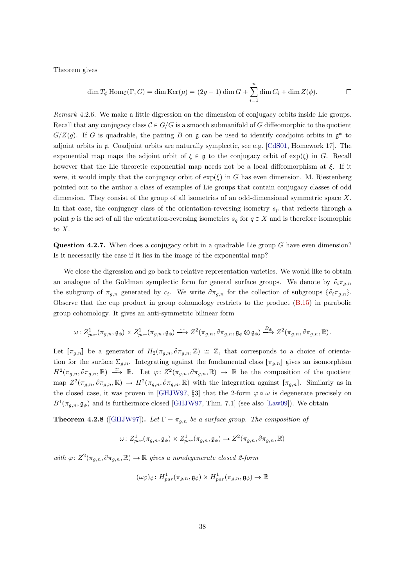Theorem gives

$$
\dim T_{\phi} \operatorname{Hom}_{\mathcal{C}}(\Gamma, G) = \dim \operatorname{Ker}(\mu) = (2g - 1) \dim G + \sum_{i=1}^{n} \dim C_{i} + \dim Z(\phi).
$$

Remark 4.2.6. We make a little digression on the dimension of conjugacy orbits inside Lie groups. Recall that any conjugacy class  $C \in G/G$  is a smooth submanifold of G diffeomorphic to the quotient  $G/Z(g)$ . If G is quadrable, the pairing B on g can be used to identify coadjoint orbits in  $\mathfrak{g}^*$  to adjoint orbits in g. Coadjoint orbits are naturally symplectic, see e.g. [\[CdS01,](#page-70-0) Homework 17]. The exponential map maps the adjoint orbit of  $\xi \in \mathfrak{g}$  to the conjugacy orbit of exp $(\xi)$  in G. Recall however that the Lie theoretic exponential map needs not be a local diffeomorphism at ξ. If it were, it would imply that the conjugacy orbit of  $exp(\xi)$  in G has even dimension. M. Riestenberg pointed out to the author a class of examples of Lie groups that contain conjugacy classes of odd dimension. They consist of the group of all isometries of an odd-dimensional symmetric space X. In that case, the conjugacy class of the orientation-reversing isometry  $s_p$  that reflects through a point p is the set of all the orientation-reversing isometries  $s_q$  for  $q \in X$  and is therefore isomorphic to X.

**Question 4.2.7.** When does a conjugacy orbit in a quadrable Lie group  $G$  have even dimension? Is it necessarily the case if it lies in the image of the exponential map?

We close the digression and go back to relative representation varieties. We would like to obtain an analogue of the Goldman symplectic form for general surface groups. We denote by  $\partial_i \pi_{g,n}$ the subgroup of  $\pi_{g,n}$  generated by  $c_i$ . We write  $\partial \pi_{g,n}$  for the collection of subgroups  $\{\partial_i \pi_{g,n}\}.$ Observe that the cup product in group cohomology restricts to the product [\(B.15\)](#page-69-0) in parabolic group cohomology. It gives an anti-symmetric bilinear form

$$
\omega\colon Z^1_{par}(\pi_{g,n},\mathfrak{g}_{\phi})\times Z^1_{par}(\pi_{g,n},\mathfrak{g}_{\phi})\stackrel{\smile}{\longrightarrow} Z^2(\pi_{g,n},\partial\pi_{g,n},\mathfrak{g}_{\phi}\otimes\mathfrak{g}_{\phi})\stackrel{B_*}{\longrightarrow} Z^2(\pi_{g,n},\partial\pi_{g,n},\mathbb{R}).
$$

Let  $[\pi_{g,n}]$  be a generator of  $H_2(\pi_{g,n}, \partial \pi_{g,n}, Z) \cong Z$ , that corresponds to a choice of orientation for the surface  $\Sigma_{g,n}$ . Integrating against the fundamental class  $[\pi_{g,n}]$  gives an isomorphism  $H^2(\pi_{g,n}, \partial \pi_{g,n}, \mathbb{R}) \stackrel{\cong}{\longrightarrow} \mathbb{R}$ . Let  $\varphi: Z^2(\pi_{g,n}, \partial \pi_{g,n}, \mathbb{R}) \to \mathbb{R}$  be the composition of the quotient map  $Z^2(\pi_{g,n}, \partial \pi_{g,n}, \mathbb{R}) \to H^2(\pi_{g,n}, \partial \pi_{g,n}, \mathbb{R})$  with the integration against  $[\pi_{g,n}]$ . Similarly as in the closed case, it was proven in [\[GHJW97,](#page-71-0) §3] that the 2-form  $\varphi \circ \omega$  is degenerate precisely on  $B^1(\pi_{g,n}, \mathfrak{g}_{\phi})$  and is furthermore closed [\[GHJW97,](#page-71-0) Thm. 7.1] (see also [\[Law09\]](#page-72-0)). We obtain

<span id="page-38-0"></span>**Theorem 4.2.8** ([\[GHJW97\]](#page-71-0)). Let  $\Gamma = \pi_{q,n}$  be a surface group. The composition of

$$
\omega\colon Z^1_{par}(\pi_{g,n}, \mathfrak{g}_{\phi})\times Z^1_{par}(\pi_{g,n}, \mathfrak{g}_{\phi})\to Z^2(\pi_{g,n}, \partial \pi_{g,n}, \mathbb{R})
$$

with  $\varphi: Z^2(\pi_{g,n}, \partial \pi_{g,n}, \mathbb{R}) \to \mathbb{R}$  gives a nondegenerate closed 2-form

$$
(\omega_{\mathcal{G}})_{\phi} \colon H^1_{par}(\pi_{g,n}, \mathfrak{g}_{\phi}) \times H^1_{par}(\pi_{g,n}, \mathfrak{g}_{\phi}) \to \mathbb{R}
$$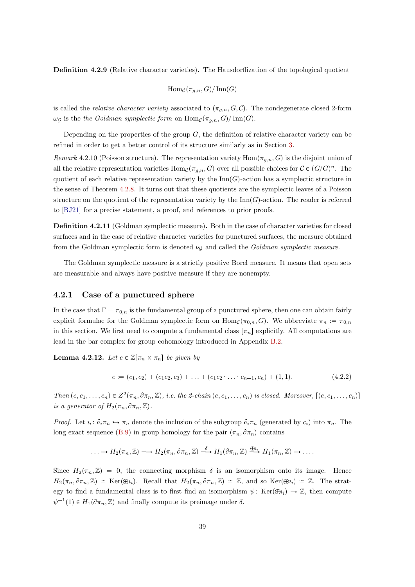<span id="page-39-3"></span>Definition 4.2.9 (Relative character varieties). The Hausdorffization of the topological quotient

$$
\mathrm{Hom}_{\mathcal{C}}(\pi_{g,n},G)/\,\mathrm{Inn}(G)
$$

is called the *relative character variety* associated to  $(\pi_{g,n}, G, C)$ . The nondegenerate closed 2-form  $\omega_G$  is the the Goldman symplectic form on  $\text{Hom}_{\mathcal{C}}(\pi_{a,n}, G)/\text{Inn}(G)$ .

Depending on the properties of the group  $G$ , the definition of relative character variety can be refined in order to get a better control of its structure similarly as in Section [3.](#page-28-0)

Remark 4.2.10 (Poisson structure). The representation variety  $\text{Hom}(\pi_{g,n}, G)$  is the disjoint union of all the relative representation varieties  $\text{Hom}_{\mathcal{C}}(\pi_{g,n}, G)$  over all possible choices for  $\mathcal{C} \in (G/G)^n$ . The quotient of each relative representation variety by the  $\text{Inn}(G)$ -action has a symplectic structure in the sense of Theorem [4.2.8.](#page-38-0) It turns out that these quotients are the symplectic leaves of a Poisson structure on the quotient of the representation variety by the  $\text{Inn}(G)$ -action. The reader is referred to [\[BJ21\]](#page-70-1) for a precise statement, a proof, and references to prior proofs.

<span id="page-39-2"></span>Definition 4.2.11 (Goldman symplectic measure). Both in the case of character varieties for closed surfaces and in the case of relative character varieties for punctured surfaces, the measure obtained from the Goldman symplectic form is denoted  $\nu$ g and called the Goldman symplectic measure.

The Goldman symplectic measure is a strictly positive Borel measure. It means that open sets are measurable and always have positive measure if they are nonempty.

#### 4.2.1 Case of a punctured sphere

In the case that  $\Gamma = \pi_{0,n}$  is the fundamental group of a punctured sphere, then one can obtain fairly explicit formulae for the Goldman symplectic form on  $\text{Hom}_{\mathcal{C}}(\pi_{0,n}, G)$ . We abbreviate  $\pi_n := \pi_{0,n}$ in this section. We first need to compute a fundamental class  $\lceil \pi_n \rceil$  explicitly. All computations are lead in the bar complex for group cohomology introduced in Appendix [B.2.](#page-60-0)

<span id="page-39-1"></span>**Lemma 4.2.12.** Let  $e \in \mathbb{Z}[\pi_n \times \pi_n]$  be given by

<span id="page-39-0"></span>
$$
e := (c_1, c_2) + (c_1c_2, c_3) + \ldots + (c_1c_2 \ldots c_{n-1}, c_n) + (1, 1).
$$
 (4.2.2)

Then  $(e, c_1, \ldots, c_n) \in Z^2(\pi_n, \partial \pi_n, \mathbb{Z})$ , i.e. the 2-chain  $(e, c_1, \ldots, c_n)$  is closed. Moreover,  $[(e, c_1, \ldots, c_n)]$ is a generator of  $H_2(\pi_n, \partial \pi_n, \mathbb{Z})$ .

*Proof.* Let  $i_i: \partial_i \pi_n \hookrightarrow \pi_n$  denote the inclusion of the subgroup  $\partial_i \pi_n$  (generated by  $c_i$ ) into  $\pi_n$ . The long exact sequence [\(B.9\)](#page-63-0) in group homology for the pair  $(\pi_n, \partial \pi_n)$  contains

$$
\ldots \to H_2(\pi_n, \mathbb{Z}) \longrightarrow H_2(\pi_n, \partial \pi_n, \mathbb{Z}) \stackrel{\delta}{\longrightarrow} H_1(\partial \pi_n, \mathbb{Z}) \stackrel{\oplus i_i}{\longrightarrow} H_1(\pi_n, \mathbb{Z}) \to \ldots
$$

Since  $H_2(\pi_n, \mathbb{Z}) = 0$ , the connecting morphism  $\delta$  is an isomorphism onto its image. Hence  $H_2(\pi_n, \partial \pi_n, \mathbb{Z}) \cong \text{Ker}(\bigoplus \iota_i)$ . Recall that  $H_2(\pi_n, \partial \pi_n, \mathbb{Z}) \cong \mathbb{Z}$ , and so  $\text{Ker}(\bigoplus \iota_i) \cong \mathbb{Z}$ . The strategy to find a fundamental class is to first find an isomorphism  $\psi: \text{Ker}(\bigoplus_{i} \mathcal{U}) \to \mathbb{Z}$ , then compute  $\psi^{-1}(1) \in H_1(\partial \pi_n, \mathbb{Z})$  and finally compute its preimage under  $\delta$ .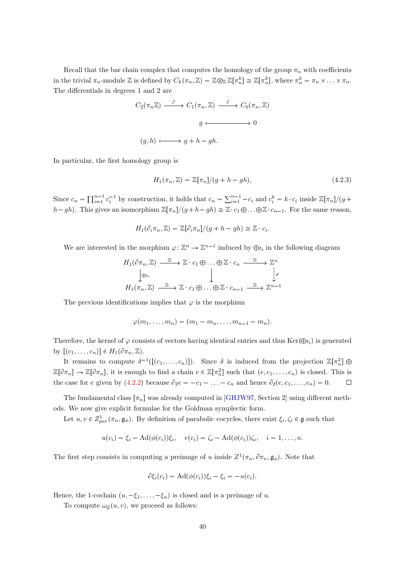Recall that the bar chain complex that computes the homology of the group  $\pi_n$  with coefficients in the trivial  $\pi_n$ -module Z is defined by  $C_k(\pi_n, \mathbb{Z}) = \mathbb{Z} \otimes_{\mathbb{Z}} \mathbb{Z}[\pi_n^k] \cong \mathbb{Z}[\pi_n^k]$ , where  $\pi_n^k = \pi_n \times \ldots \times \pi_n$ . The differentials in degrees 1 and 2 are

$$
C_2(\pi_n \mathbb{Z}) \xrightarrow{\partial} C_1(\pi_n, \mathbb{Z}) \xrightarrow{\partial} C_0(\pi_n, \mathbb{Z})
$$

$$
g \xrightarrow{\qquad \qquad } 0
$$

$$
(g, h) \xrightarrow{\qquad \qquad } g + h - gh.
$$

In particular, the first homology group is

<span id="page-40-0"></span>
$$
H_1(\pi_n, \mathbb{Z}) = \mathbb{Z}[\pi_n]/(g+h-gh),\tag{4.2.3}
$$

Since  $c_n = \prod_{i=1}^{n-1} c_i^{-1}$  by construction, it holds that  $c_n = \sum_{i=1}^{n-1} -c_i$  and  $c_i^k = k \cdot c_i$  inside  $\mathbb{Z}[\pi_n]/(g + c_i)$  $h-gh$ ). This gives an isomorphism  $\mathbb{Z}[\pi_n]/(g+h-gh) \cong \mathbb{Z}$   $c_1 \oplus \ldots \oplus \mathbb{Z}$   $c_{n-1}$ . For the same reason,

$$
H_1(\partial_i \pi_n, \mathbb{Z}) = \mathbb{Z}[\partial_i \pi_n]/(g + h - gh) \cong \mathbb{Z} \cdot c_i.
$$

We are interested in the morphism  $\varphi: \mathbb{Z}^n \to \mathbb{Z}^{n-1}$  induced by  $\oplus_{i}$  in the following diagram

$$
H_1(\partial \pi_n, \mathbb{Z}) \xrightarrow{\cong} \mathbb{Z} \cdot c_1 \oplus \ldots \oplus \mathbb{Z} \cdot c_n \xrightarrow{\cong} \mathbb{Z}^n
$$
  

$$
\downarrow \oplus \iota_i
$$
  

$$
H_1(\pi_n, \mathbb{Z}) \xrightarrow{\cong} \mathbb{Z} \cdot c_1 \oplus \ldots \oplus \mathbb{Z} \cdot c_{n-1} \xrightarrow{\cong} \mathbb{Z}^{n-1}
$$

The previous identifications implies that  $\varphi$  is the morphism

$$
\varphi(m_1,\ldots,m_n)=(m_1-m_n,\ldots,m_{n-1}-m_n).
$$

Therefore, the kernel of  $\varphi$  consists of vectors having identical entries and thus Ker $(\oplus_{i,j})$  is generated by  $[(c_1, \ldots, c_n)] \in H_1(\partial \pi_n, \mathbb{Z}).$ 

It remains to compute  $\delta^{-1}([c_1,\ldots,c_n])$ . Since  $\delta$  is induced from the projection  $\mathbb{Z}[\pi_n^2] \oplus$  $\mathbb{Z}[\partial \pi_n] \to \mathbb{Z}[\partial \pi_n]$ , it is enough to find a chain  $e \in \mathbb{Z}[\pi_n^2]$  such that  $(e, c_1, \ldots, c_n)$  is closed. This is the case for e given by [\(4.2.2\)](#page-39-0) because  $\partial_2 e = -c_1 - \ldots - c_n$  and hence  $\partial_2(e, c_1, \ldots, c_n) = 0$ .  $\Box$ 

The fundamental class  $\lceil \pi_n \rceil$  was already computed in [\[GHJW97,](#page-71-0) Section 2] using different methods. We now give explicit formulae for the Goldman symplectic form.

Let  $u, v \in Z_{par}^1(\pi_n, \mathfrak{g}_{\phi})$ . By definition of parabolic cocycles, there exist  $\xi_i, \zeta_i \in \mathfrak{g}$  such that

$$
u(c_i) = \xi_i - \mathrm{Ad}(\phi(c_i))\xi_i, \quad v(c_i) = \zeta_i - \mathrm{Ad}(\phi(c_i))\zeta_i, \quad i = 1, \ldots, n.
$$

The first step consists in computing a preimage of u inside  $Z^1(\pi_n, \partial \pi_n, \mathfrak{g}_{\phi})$ . Note that

$$
\partial \xi_i(c_i) = \mathrm{Ad}(\phi(c_i))\xi_i - \xi_i = -u(c_i).
$$

Hence, the 1-cochain  $(u, -\xi_1, \ldots, -\xi_n)$  is closed and is a preimage of u.

To compute  $\omega_{\mathcal{G}}(u, v)$ , we proceed as follows: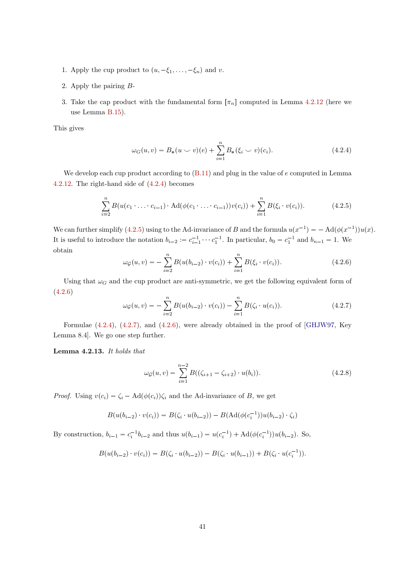- 1. Apply the cup product to  $(u, -\xi_1, \ldots, -\xi_n)$  and v.
- 2. Apply the pairing B-
- 3. Take the cap product with the fundamental form  $\pi_n$ ] computed in Lemma [4.2.12](#page-39-1) (here we use Lemma [B.15\)](#page-67-0).

This gives

<span id="page-41-0"></span>
$$
\omega_G(u, v) = B_* (u \smile v)(e) + \sum_{i=1}^n B_* (\xi_i \smile v)(c_i). \tag{4.2.4}
$$

We develop each cup product according to  $(B.11)$  and plug in the value of e computed in Lemma [4.2.12.](#page-39-1) The right-hand side of [\(4.2.4\)](#page-41-0) becomes

<span id="page-41-1"></span>
$$
\sum_{i=2}^{n} B(u(c_1 \cdots c_{i-1}) \cdot \text{Ad}(\phi(c_1 \cdots c_{i-1}))v(c_i)) + \sum_{i=1}^{n} B(\xi_i \cdot v(c_i)). \tag{4.2.5}
$$

We can further simplify [\(4.2.5\)](#page-41-1) using to the Ad-invariance of B and the formula  $u(x^{-1}) = -\text{Ad}(\phi(x^{-1}))u(x)$ . It is useful to introduce the notation  $b_{i-2} := c_{i-1}^{-1} \cdots c_1^{-1}$ . In particular,  $b_0 = c_1^{-1}$  and  $b_{n-1} = 1$ . We obtain

<span id="page-41-2"></span>
$$
\omega_{\mathcal{G}}(u,v) = -\sum_{i=2}^{n} B(u(b_{i-2}) \cdot v(c_i)) + \sum_{i=1}^{n} B(\xi_i \cdot v(c_i)). \tag{4.2.6}
$$

Using that  $\omega_G$  and the cup product are anti-symmetric, we get the following equivalent form of [\(4.2.6\)](#page-41-2)

<span id="page-41-3"></span>
$$
\omega_{\mathcal{G}}(u,v) = -\sum_{i=2}^{n} B(u(b_{i-2}) \cdot v(c_i)) - \sum_{i=1}^{n} B(\zeta_i \cdot u(c_i)). \tag{4.2.7}
$$

Formulae [\(4.2.4\)](#page-41-0), [\(4.2.7\)](#page-41-3), and [\(4.2.6\)](#page-41-2), were already obtained in the proof of [\[GHJW97,](#page-71-0) Key Lemma 8.4]. We go one step further.

Lemma 4.2.13. It holds that

$$
\omega_{\mathcal{G}}(u,v) = \sum_{i=1}^{n-2} B((\zeta_{i+1} - \zeta_{i+2}) \cdot u(b_i)). \tag{4.2.8}
$$

*Proof.* Using  $v(c_i) = \zeta_i - \text{Ad}(\phi(c_i))\zeta_i$  and the Ad-invariance of B, we get

$$
B(u(b_{i-2}) \cdot v(c_i)) = B(\zeta_i \cdot u(b_{i-2})) - B(\mathrm{Ad}(\phi(c_i^{-1}))u(b_{i-2}) \cdot \zeta_i)
$$

By construction,  $b_{i-1} = c_i^{-1}b_{i-2}$  and thus  $u(b_{i-1}) = u(c_i^{-1}) + \text{Ad}(\phi(c_i^{-1}))u(b_{i-2})$ . So,

$$
B(u(b_{i-2}) \cdot v(c_i)) = B(\zeta_i \cdot u(b_{i-2})) - B(\zeta_i \cdot u(b_{i-1})) + B(\zeta_i \cdot u(c_i^{-1})).
$$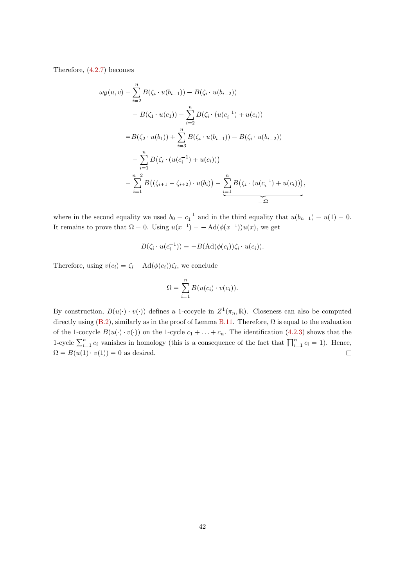Therefore, [\(4.2.7\)](#page-41-3) becomes

$$
\omega_{\mathcal{G}}(u,v) = \sum_{i=2}^{n} B(\zeta_i \cdot u(b_{i-1})) - B(\zeta_i \cdot u(b_{i-2}))
$$
  
\n
$$
- B(\zeta_1 \cdot u(c_1)) - \sum_{i=2}^{n} B(\zeta_i \cdot (u(c_i^{-1}) + u(c_i))
$$
  
\n
$$
= B(\zeta_2 \cdot u(b_1)) + \sum_{i=3}^{n} B(\zeta_i \cdot u(b_{i-1})) - B(\zeta_i \cdot u(b_{i-2}))
$$
  
\n
$$
- \sum_{i=1}^{n} B(\zeta_i \cdot (u(c_i^{-1}) + u(c_i)))
$$
  
\n
$$
= \sum_{i=1}^{n-2} B((\zeta_{i+1} - \zeta_{i+2}) \cdot u(b_i)) - \sum_{i=1}^{n} B(\zeta_i \cdot (u(c_i^{-1}) + u(c_i))),
$$
  
\n
$$
= \sum_{i=1}^{n} B(\zeta_i \cdot u(c_i^{-1}) + u(c_i)))
$$

where in the second equality we used  $b_0 = c_1^{-1}$  and in the third equality that  $u(b_{n-1}) = u(1) = 0$ . It remains to prove that  $\Omega = 0$ . Using  $u(x^{-1}) = -\text{Ad}(\phi(x^{-1}))u(x)$ , we get

$$
B(\zeta_i \cdot u(c_i^{-1})) = -B(\mathrm{Ad}(\phi(c_i))\zeta_i \cdot u(c_i)).
$$

Therefore, using  $v(c_i) = \zeta_i - \text{Ad}(\phi(c_i))\zeta_i$ , we conclude

$$
\Omega = \sum_{i=1}^{n} B(u(c_i) \cdot v(c_i)).
$$

By construction,  $B(u(\cdot) \cdot v(\cdot))$  defines a 1-cocycle in  $Z^1(\pi_n, \mathbb{R})$ . Closeness can also be computed directly using  $(B.2)$ , similarly as in the proof of Lemma [B.11.](#page-65-0) Therefore,  $\Omega$  is equal to the evaluation of the 1-cocycle  $B(u(\cdot) \cdot v(\cdot))$  on the 1-cycle  $c_1 + \ldots + c_n$ . The identification [\(4.2.3\)](#page-40-0) shows that the 1-cycle  $\sum_{i=1}^{n} c_i$  vanishes in homology (this is a consequence of the fact that  $\prod_{i=1}^{n} c_i = 1$ ). Hence,  $\Omega = B(u(1) \cdot v(1)) = 0$  as desired.  $\Box$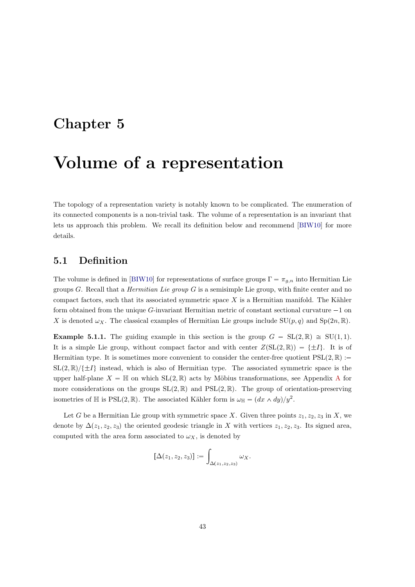## Chapter 5

## Volume of a representation

The topology of a representation variety is notably known to be complicated. The enumeration of its connected components is a non-trivial task. The volume of a representation is an invariant that lets us approach this problem. We recall its definition below and recommend [\[BIW10\]](#page-70-2) for more details.

## 5.1 Definition

The volume is defined in [\[BIW10\]](#page-70-2) for representations of surface groups  $\Gamma = \pi_{g,n}$  into Hermitian Lie groups G. Recall that a *Hermitian Lie group*  $G$  is a semisimple Lie group, with finite center and no compact factors, such that its associated symmetric space  $X$  is a Hermitian manifold. The Kähler form obtained from the unique  $G$ -invariant Hermitian metric of constant sectional curvature  $-1$  on X is denoted  $\omega_X$ . The classical examples of Hermitian Lie groups include SU $(p, q)$  and Sp $(2n, \mathbb{R})$ .

**Example 5.1.1.** The guiding example in this section is the group  $G = SL(2, \mathbb{R}) \cong SU(1, 1)$ . It is a simple Lie group, without compact factor and with center  $Z(SL(2, \mathbb{R})) = {\pm I}$ . It is of Hermitian type. It is sometimes more convenient to consider the center-free quotient  $PSL(2,\mathbb{R})$  :=  $SL(2,\mathbb{R})/\{\pm I\}$  instead, which is also of Hermitian type. The associated symmetric space is the upper half-plane  $X = \mathbb{H}$  on which  $SL(2, \mathbb{R})$  acts by Möbius transformations, see [A](#page-50-0)ppendix A for more considerations on the groups  $SL(2,\mathbb{R})$  and  $PSL(2,\mathbb{R})$ . The group of orientation-preserving isometries of  $\mathbb H$  is PSL $(2,\mathbb R)$ . The associated Kähler form is  $\omega_{\mathbb H} = (dx \wedge dy)/y^2$ .

Let G be a Hermitian Lie group with symmetric space X. Given three points  $z_1, z_2, z_3$  in X, we denote by  $\Delta(z_1, z_2, z_3)$  the oriented geodesic triangle in X with vertices  $z_1, z_2, z_3$ . Its signed area, computed with the area form associated to  $\omega_X$ , is denoted by

$$
\big[\Delta(z_1,z_2,z_3)\big]:=\int_{\Delta(z_1,z_2,z_3)}\omega_X.
$$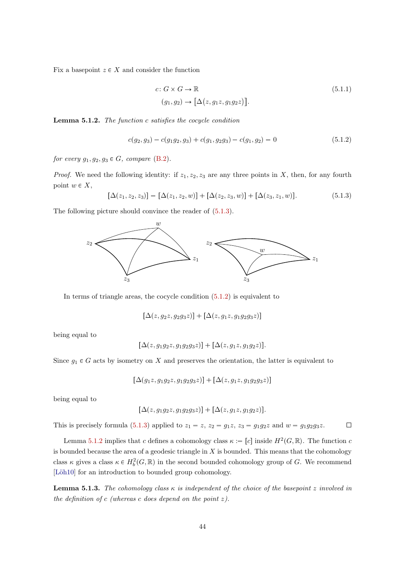Fix a basepoint  $z \in X$  and consider the function

<span id="page-44-3"></span>
$$
c: G \times G \to \mathbb{R}
$$
  
(g<sub>1</sub>, g<sub>2</sub>)  $\to$  [ $\Delta(z, g_1z, g_1g_2z)$ ].  
(5.1.1)

<span id="page-44-2"></span>Lemma 5.1.2. The function c satisfies the cocycle condition

<span id="page-44-1"></span>
$$
c(g_2, g_3) - c(g_1 g_2, g_3) + c(g_1, g_2 g_3) - c(g_1, g_2) = 0
$$
\n
$$
(5.1.2)
$$

for every  $g_1, g_2, g_3 \in G$ , compare [\(B.2\)](#page-61-0).

*Proof.* We need the following identity: if  $z_1, z_2, z_3$  are any three points in X, then, for any fourth point  $w \in X$ ,

<span id="page-44-0"></span>
$$
[\Delta(z_1, z_2, z_3)] = [\Delta(z_1, z_2, w)] + [\Delta(z_2, z_3, w)] + [\Delta(z_3, z_1, w)].
$$
\n(5.1.3)

The following picture should convince the reader of [\(5.1.3\)](#page-44-0).



In terms of triangle areas, the cocycle condition  $(5.1.2)$  is equivalent to

$$
[\Delta(z,g_2z,g_2g_3z)] + [\Delta(z,g_1z,g_1g_2g_3z)]
$$

being equal to

$$
[\Delta(z, g_1g_2z, g_1g_2g_3z)] + [\Delta(z, g_1z, g_1g_2z)].
$$

Since  $g_1 \in G$  acts by isometry on X and preserves the orientation, the latter is equivalent to

$$
[\Delta(g_1z, g_1g_2z, g_1g_2g_3z)] + [\Delta(z, g_1z, g_1g_2g_3z)]
$$

being equal to

$$
[\Delta(z, g_1g_2z, g_1g_2g_3z)] + [\Delta(z, g_1z, g_1g_2z)].
$$

 $\Box$ This is precisely formula [\(5.1.3\)](#page-44-0) applied to  $z_1 = z$ ,  $z_2 = g_1z$ ,  $z_3 = g_1g_2z$  and  $w = g_1g_2g_3z$ .

Lemma [5.1.2](#page-44-2) implies that c defines a cohomology class  $\kappa := [c]$  inside  $H^2(G, \mathbb{R})$ . The function c is bounded because the area of a geodesic triangle in  $X$  is bounded. This means that the cohomology class  $\kappa$  gives a class  $\kappa \in H_b^2(G, \mathbb{R})$  in the second bounded cohomology group of G. We recommend [Löh10] for an introduction to bounded group cohomology.

<span id="page-44-4"></span>**Lemma 5.1.3.** The cohomology class  $\kappa$  is independent of the choice of the basepoint z involved in the definition of c (whereas c does depend on the point  $z$ ).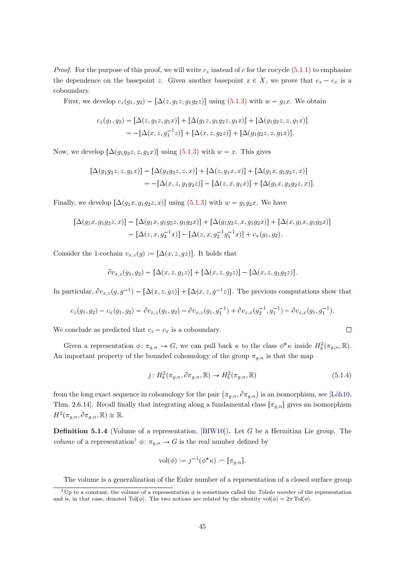*Proof.* For the purpose of this proof, we will write  $c<sub>z</sub>$  instead of c for the cocycle [\(5.1.1\)](#page-44-3) to emphasize the dependence on the basepoint z. Given another basepoint  $x \in X$ , we prove that  $c_z - c_x$  is a coboundary.

First, we develop  $c_z(g_1, g_2) = [\Delta(z, g_1z, g_1g_2z)]$  using [\(5.1.3\)](#page-44-0) with  $w = g_1x$ . We obtain

$$
c_z(g_1, g_2) = [\Delta(z, g_1z, g_1x)] + [\Delta(g_1z, g_1g_2z, g_1x)] + [\Delta(g_1g_2z, z, g_1x)]
$$
  
= -[\Delta(x, z, g\_1^{-1}z)] + [\Delta(x, z, g\_2z)] + [\Delta(g\_1g\_2z, z, g\_1x)].

Now, we develop  $\lceil \Delta(g_1g_2z, z, g_1x) \rceil$  using [\(5.1.3\)](#page-44-0) with  $w = x$ . This gives

$$
[\Delta(g_1g_2z, z, g_1x)] = [\Delta(g_1g_2z, z, x)] + [\Delta(z, g_1x, x)] + [\Delta(g_1x, g_1g_2z, x)]
$$
  
= -[\Delta(x, z, g\_1g\_2z)] - [\Delta(z, x, g\_1x)] + [\Delta(g\_1x, g\_1g\_2z, x)].

Finally, we develop  $\left[\Delta(g_1x, g_1g_2z, x)\right]$  using [\(5.1.3\)](#page-44-0) with  $w = g_1g_2x$ . We have

$$
[\Delta(g_1x, g_1g_2z, x)] = [\Delta(g_1x, g_1g_2z, g_1g_2x)] + [\Delta(g_1g_2z, x, g_1g_2x)] + [\Delta(x, g_1x, g_1g_2x)]
$$
  
=  $[\Delta(z, x, g_2^{-1}x)] - [\Delta(z, x, g_2^{-1}g_1^{-1}x)] + c_x(g_1, g_2).$ 

Consider the 1-cochain  $v_{x,z}(g) := [\Delta(x, z, gz)]$ . It holds that

$$
\partial v_{x,z}(g_1,g_2) = [\Delta(x,z,g_1z)] + [\Delta(x,z,g_2z)] - [\Delta(x,z,g_1g_2z)].
$$

In particular,  $\partial v_{x,z}(g, g^{-1}) = [\Delta(x, z, gz)] + [\Delta(x, z, g^{-1}z)].$  The previous computations show that

$$
c_z(g_1,g_2) - c_x(g_1,g_2) = \partial v_{x,z}(g_1,g_2) - \partial v_{x,z}(g_1,g_1^{-1}) + \partial v_{z,x}(g_2^{-1},g_1^{-1}) - \partial v_{z,x}(g_1,g_1^{-1}).
$$

We conclude as predicted that  $c_z - c_x$  is a coboundary.

Given a representation  $\phi \colon \pi_{g,n} \to G$ , we can pull back  $\kappa$  to the class  $\phi^* \kappa$  inside  $H_b^2(\pi_{g,n}, \mathbb{R})$ . An important property of the bounded cohomology of the group  $\pi_{g,n}$  is that the map

$$
j: H_b^2(\pi_{g,n}, \partial \pi_{g,n}, \mathbb{R}) \to H_b^2(\pi_{g,n}, \mathbb{R})
$$
\n
$$
(5.1.4)
$$

from the long exact sequence in cohomology for the pair  $(\pi_{g,n}, \partial \pi_{g,n})$  is an isomorphism, see [Löh10, Thm. 2.6.14]. Recall finally that integrating along a fundamental class  $[\pi_{g,n}]$  gives an isomorphism  $H^2(\pi_{g,n}, \partial \pi_{g,n}, \mathbb{R}) \cong \mathbb{R}.$ 

<span id="page-45-1"></span>Definition 5.1.4 (Volume of a representation, [\[BIW10\]](#page-70-2)). Let G be a Hermitian Lie group. The *volume* of a representation<sup>[1](#page-45-0)</sup>  $\phi: \pi_{g,n} \to G$  is the real number defined by

$$
\text{vol}(\phi) := j^{-1}(\phi^*\kappa) \frown [\pi_{g,n}].
$$

<span id="page-45-0"></span>The volume is a generalization of the Euler number of a representation of a closed surface group

 $\Box$ 

<sup>&</sup>lt;sup>1</sup>Up to a constant, the volume of a representation  $\phi$  is sometimes called the *Toledo number* of the representation and is, in that case, denoted Tol $(\phi)$ . The two notions are related by the identity vol $(\phi) = 2\pi \text{ Tol}(\phi)$ .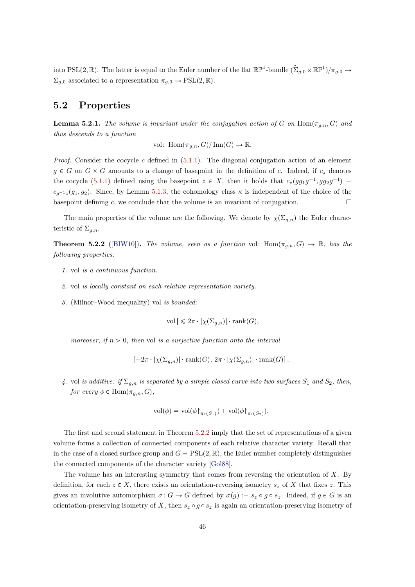into PSL(2, R). The latter is equal to the Euler number of the flat  $\mathbb{RP}^1$ -bundle  $(\widetilde{\Sigma}_{g,0} \times \mathbb{RP}^1)/\pi_{g,0} \to$  $\Sigma_{g,0}$  associated to a representation  $\pi_{g,0} \to \mathrm{PSL}(2,\mathbb{R})$ .

## 5.2 Properties

**Lemma 5.2.1.** The volume is invariant under the conjugation action of G on Hom $(\pi_{g,n}, G)$  and thus descends to a function

vol:  $\text{Hom}(\pi_{a,n}, G)/\text{Inn}(G) \to \mathbb{R}$ .

*Proof.* Consider the cocycle c defined in  $(5.1.1)$ . The diagonal conjugation action of an element  $g \in G$  on  $G \times G$  amounts to a change of basepoint in the definition of c. Indeed, if  $c<sub>z</sub>$  denotes the cocycle [\(5.1.1\)](#page-44-3) defined using the basepoint  $z \in X$ , then it holds that  $c_z(gg_1g^{-1}, gg_2g^{-1}) =$  $c_{g-1}g(1, g_2)$ . Since, by Lemma [5.1.3,](#page-44-4) the cohomology class  $\kappa$  is independent of the choice of the basepoint defining c, we conclude that the volume is an invariant of conjugation.  $\Box$ 

The main properties of the volume are the following. We denote by  $\chi(\Sigma_{g,n})$  the Euler characteristic of  $\Sigma_{q,n}$ .

<span id="page-46-0"></span>**Theorem 5.2.2** ([\[BIW10\]](#page-70-2)). The volume, seen as a function vol: Hom $(\pi_{q,n}, G) \to \mathbb{R}$ , has the following properties:

- 1. vol is a continuous function.
- 2. vol is locally constant on each relative representation variety.
- 3. (Milnor–Wood inequality) vol is bounded:

$$
|\operatorname{vol}| \leq 2\pi \cdot |\chi(\Sigma_{g,n})| \cdot \operatorname{rank}(G),
$$

moreover, if  $n > 0$ , then vol is a surjective function onto the interval

$$
[-2\pi \cdot |\chi(\Sigma_{g,n})| \cdot \text{rank}(G), 2\pi \cdot |\chi(\Sigma_{g,n})| \cdot \text{rank}(G)].
$$

4. vol is additive: if  $\Sigma_{g,n}$  is separated by a simple closed curve into two surfaces  $S_1$  and  $S_2$ , then, for every  $\phi \in \text{Hom}(\pi_{q,n}, G)$ ,

$$
\text{vol}(\phi) = \text{vol}(\phi \upharpoonright_{\pi_1(S_1)}) + \text{vol}(\phi \upharpoonright_{\pi_1(S_2)}).
$$

The first and second statement in Theorem [5.2.2](#page-46-0) imply that the set of representations of a given volume forms a collection of connected components of each relative character variety. Recall that in the case of a closed surface group and  $G = \text{PSL}(2, \mathbb{R})$ , the Euler number completely distinguishes the connected components of the character variety [\[Gol88\]](#page-71-1).

The volume has an interesting symmetry that comes from reversing the orientation of  $X$ . By definition, for each  $z \in X$ , there exists an orientation-reversing isometry  $s_z$  of X that fixes z. This gives an involutive automorphism  $\sigma: G \to G$  defined by  $\sigma(g) := s_z \circ g \circ s_z$ . Indeed, if  $g \in G$  is an orientation-preserving isometry of X, then  $s_z \circ g \circ s_z$  is again an orientation-preserving isometry of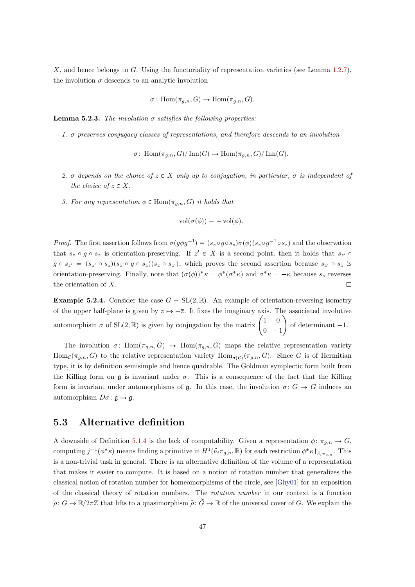X, and hence belongs to G. Using the functoriality of representation varieties (see Lemma [1.2.7\)](#page-10-0), the involution  $\sigma$  descends to an analytic involution

$$
\sigma\colon \operatorname{Hom}(\pi_{g,n}, G)\to \operatorname{Hom}(\pi_{g,n}, G).
$$

**Lemma 5.2.3.** The involution  $\sigma$  satisfies the following properties:

1. σ preserves conjugacy classes of representations, and therefore descends to an involution

 $\overline{\sigma}$ : Hom $(\pi_{q,n}, G)/$ Inn $(G) \rightarrow$  Hom $(\pi_{q,n}, G)/$ Inn $(G)$ .

- 2. σ depends on the choice of  $z \in X$  only up to conjugation, in particular,  $\overline{\sigma}$  is independent of the choice of  $z \in X$ .
- 3. For any representation  $\phi \in \text{Hom}(\pi_{g,n}, G)$  it holds that

$$
\text{vol}(\sigma(\phi)) = -\text{vol}(\phi).
$$

*Proof.* The first assertion follows from  $\sigma(g\phi g^{-1}) = (s_z \circ g \circ s_z)\sigma(\phi)(s_z \circ g^{-1} \circ s_z)$  and the observation that  $s_z \circ g \circ s_z$  is orientation-preserving. If  $z' \in X$  is a second point, then it holds that  $s_{z'} \circ$  $g \circ s_{z'} = (s_{z'} \circ s_z)(s_z \circ g \circ s_z)(s_z \circ s_{z'}),$  which proves the second assertion because  $s_{z'} \circ s_z$  is orientation-preserving. Finally, note that  $(\sigma(\phi))^* \kappa = \phi^*(\sigma^* \kappa)$  and  $\sigma^* \kappa = -\kappa$  because  $s_z$  reverses the orientation of X.  $\Box$ 

**Example 5.2.4.** Consider the case  $G = SL(2, \mathbb{R})$ . An example of orientation-reversing isometry of the upper half-plane is given by  $z \mapsto -\overline{z}$ . It fixes the imaginary axis. The associated involutive automorphism σ of SL(2, R) is given by conjugation by the matrix  $\begin{pmatrix} 1 & 0 \\ 0 & 0 \end{pmatrix}$  $0 -1$  $\lambda$ of determinant  $-1$ .

The involution  $\sigma: \text{Hom}(\pi_{g,n}, G) \to \text{Hom}(\pi_{g,n}, G)$  maps the relative representation variety  $\text{Hom}_{\mathcal{C}}(\pi_{g,n}, G)$  to the relative representation variety  $\text{Hom}_{\mathcal{C}(\mathcal{C})}(\pi_{g,n}, G)$ . Since G is of Hermitian type, it is by definition semisimple and hence quadrable. The Goldman symplectic form built from the Killing form on  $\mathfrak g$  is invariant under  $\sigma$ . This is a consequence of the fact that the Killing form is invariant under automorphisms of  $\mathfrak g$ . In this case, the involution  $\sigma: G \to G$  induces an automorphism  $D\sigma$ :  $\mathfrak{g} \to \mathfrak{g}$ .

## 5.3 Alternative definition

A downside of Definition [5.1.4](#page-45-1) is the lack of computability. Given a representation  $\phi \colon \pi_{g,n} \to G$ , computing  $j^{-1}(\phi^*\kappa)$  means finding a primitive in  $H^1(\partial_i\pi_{g,n}, \mathbb{R})$  for each restriction  $\phi^*\kappa|_{\partial_i\pi_{g,n}}$ . This is a non-trivial task in general. There is an alternative definition of the volume of a representation that makes it easier to compute. It is based on a notion of rotation number that generalizes the classical notion of rotation number for homeomorphisms of the circle, see [\[Ghy01\]](#page-71-2) for an exposition of the classical theory of rotation numbers. The rotation number in our context is a function  $\rho: G \to \mathbb{R}/2\pi\mathbb{Z}$  that lifts to a quasimorphism  $\tilde{\rho}: \tilde{G} \to \mathbb{R}$  of the universal cover of G. We explain the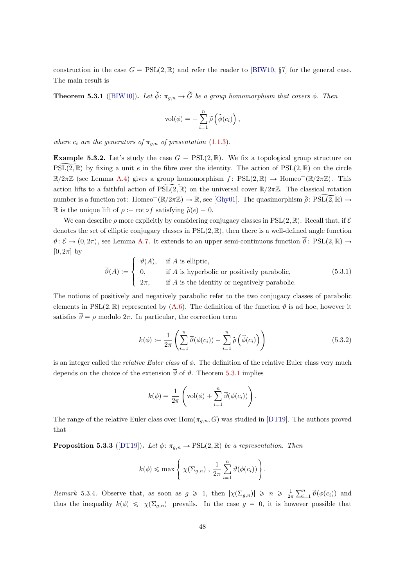construction in the case  $G = \text{PSL}(2,\mathbb{R})$  and refer the reader to [\[BIW10,](#page-70-2) §7] for the general case. The main result is

<span id="page-48-0"></span>**Theorem 5.3.1** ([\[BIW10\]](#page-70-2)). Let  $\tilde{\phi}$ :  $\pi_{q,n} \to \tilde{G}$  be a group homomorphism that covers  $\phi$ . Then

$$
\text{vol}(\phi) = -\sum_{i=1}^n \widetilde{\rho}\left(\widetilde{\phi}(c_i)\right),\,
$$

where  $c_i$  are the generators of  $\pi_{q,n}$  of presentation [\(1.1.3\)](#page-8-0).

**Example 5.3.2.** Let's study the case  $G = PSL(2, \mathbb{R})$ . We fix a topological group structure on  $PSL(2,\mathbb{R})$  by fixing a unit e in the fibre over the identity. The action of  $PSL(2,\mathbb{R})$  on the circle  $\mathbb{R}/2\pi\mathbb{Z}$  (see Lemma [A.4\)](#page-55-0) gives a group homomorphism  $f: PSL(2,\mathbb{R}) \to \text{Homeo}^+(\mathbb{R}/2\pi\mathbb{Z})$ . This action lifts to a faithful action of  $PSL(2,\mathbb{R})$  on the universal cover  $\mathbb{R}/2\pi\mathbb{Z}$ . The classical rotation number is a function rot: Homeo<sup>+</sup> $(\mathbb{R}/2\pi\mathbb{Z}) \to \mathbb{R}$ , see [\[Ghy01\]](#page-71-2). The quasimorphism  $\tilde{\rho}$ : PSL $(\overline{2}, \mathbb{R}) \to$ R is the unique lift of  $\rho := \text{rot} \circ f$  satisfying  $\tilde{\rho}(e) = 0$ .

We can describe  $\rho$  more explicitly by considering conjugacy classes in PSL(2, R). Recall that, if  $\mathcal E$ denotes the set of elliptic conjugacy classes in  $PSL(2, \mathbb{R})$ , then there is a well-defined angle function  $\vartheta: \mathcal{E} \to (0, 2\pi)$ , see Lemma [A.7.](#page-56-0) It extends to an upper semi-continuous function  $\overline{\vartheta}$ : PSL $(2, \mathbb{R})$   $\to$  $[0, 2\pi]$  by

$$
\overline{\vartheta}(A) := \begin{cases}\n\vartheta(A), & \text{if } A \text{ is elliptic,} \\
0, & \text{if } A \text{ is hyperbolic or positively parabolic,} \\
2\pi, & \text{if } A \text{ is the identity or negatively parabolic.}\n\end{cases}
$$
\n(5.3.1)

The notions of positively and negatively parabolic refer to the two conjugacy classes of parabolic elements in PSL(2, R) represented by [\(A.6\)](#page-57-0). The definition of the function  $\overline{\vartheta}$  is ad hoc, however it satisfies  $\overline{\vartheta} = \rho$  modulo  $2\pi$ . In particular, the correction term

$$
k(\phi) := \frac{1}{2\pi} \left( \sum_{i=1}^{n} \overline{\vartheta}(\phi(c_i)) - \sum_{i=1}^{n} \widetilde{\rho}(\widetilde{\phi}(c_i)) \right)
$$
(5.3.2)

is an integer called the *relative Euler class* of  $\phi$ . The definition of the relative Euler class very much depends on the choice of the extension  $\overline{\vartheta}$  of  $\vartheta$ . Theorem [5.3.1](#page-48-0) implies

$$
k(\phi) = \frac{1}{2\pi} \left( \text{vol}(\phi) + \sum_{i=1}^{n} \overline{\vartheta}(\phi(c_i)) \right).
$$

The range of the relative Euler class over  $Hom(\pi_{q,n}, G)$  was studied in [\[DT19\]](#page-71-3). The authors proved that

**Proposition 5.3.3** ([\[DT19\]](#page-71-3)). Let  $\phi: \pi_{q,n} \to \text{PSL}(2,\mathbb{R})$  be a representation. Then

$$
k(\phi) \le \max \left\{ |\chi(\Sigma_{g,n})|, \frac{1}{2\pi} \sum_{i=1}^n \overline{\vartheta}(\phi(c_i)) \right\}.
$$

Remark 5.3.4. Observe that, as soon as  $g \ge 1$ , then  $|\chi(\Sigma_{g,n})| \ge n \ge \frac{1}{2\pi} \sum_{i=1}^n \overline{\vartheta}(\phi(c_i))$  and thus the inequality  $k(\phi) \leqslant |\chi(\Sigma_{q,n})|$  prevails. In the case  $g = 0$ , it is however possible that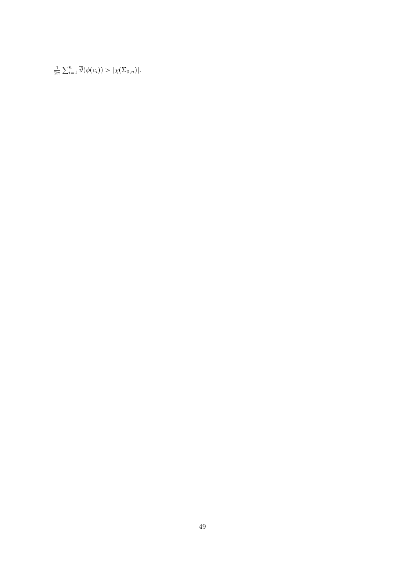$\frac{1}{2\pi} \sum_{i=1}^n \overline{\vartheta}(\phi(c_i)) > |\chi(\Sigma_{0,n})|.$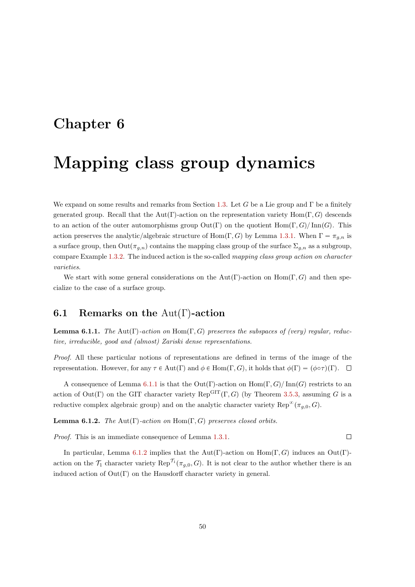## Chapter 6

# Mapping class group dynamics

We expand on some results and remarks from Section [1.3.](#page-10-1) Let G be a Lie group and  $\Gamma$  be a finitely generated group. Recall that the Aut $(\Gamma)$ -action on the representation variety Hom $(\Gamma, G)$  descends to an action of the outer automorphisms group  $Out(\Gamma)$  on the quotient  $Hom(\Gamma, G)/ Inn(G)$ . This action preserves the analytic/algebraic structure of Hom $(\Gamma, G)$  by Lemma [1.3.1.](#page-11-0) When  $\Gamma = \pi_{q,n}$  is a surface group, then  $\text{Out}(\pi_{g,n})$  contains the mapping class group of the surface  $\Sigma_{g,n}$  as a subgroup, compare Example [1.3.2.](#page-11-1) The induced action is the so-called mapping class group action on character varieties.

We start with some general considerations on the Aut(Γ)-action on Hom(Γ, G) and then specialize to the case of a surface group.

## <span id="page-50-0"></span>6.1 Remarks on the Aut(Γ)-action

<span id="page-50-1"></span>**Lemma 6.1.1.** The Aut(Γ)-action on Hom(Γ, G) preserves the subspaces of (very) regular, reductive, irreducible, good and (almost) Zariski dense representations.

Proof. All these particular notions of representations are defined in terms of the image of the representation. However, for any  $\tau \in Aut(\Gamma)$  and  $\phi \in Hom(\Gamma, G)$ , it holds that  $\phi(\Gamma) = (\phi \circ \tau)(\Gamma)$ .

A consequence of Lemma [6.1.1](#page-50-1) is that the Out(Γ)-action on Hom(Γ, G)/ $\text{Inn}(G)$  restricts to an action of Out(Γ) on the GIT character variety Rep<sup>GIT</sup>(Γ, G) (by Theorem [3.5.3,](#page-32-0) assuming G is a reductive complex algebraic group) and on the analytic character variety Rep<sup> $\infty$ </sup>( $\pi_{g,0}$ , G).

<span id="page-50-2"></span>**Lemma 6.1.2.** The Aut(Γ)-action on Hom(Γ, G) preserves closed orbits.

Proof. This is an immediate consequence of Lemma [1.3.1.](#page-11-0)

In particular, Lemma [6.1.2](#page-50-2) implies that the Aut(Γ)-action on Hom(Γ, G) induces an Out(Γ)action on the  $\mathcal{T}_1$  character variety  $\text{Rep}^{\mathcal{T}_1}(\pi_{g,0}, G)$ . It is not clear to the author whether there is an induced action of  $Out(Γ)$  on the Hausdorff character variety in general.

 $\Box$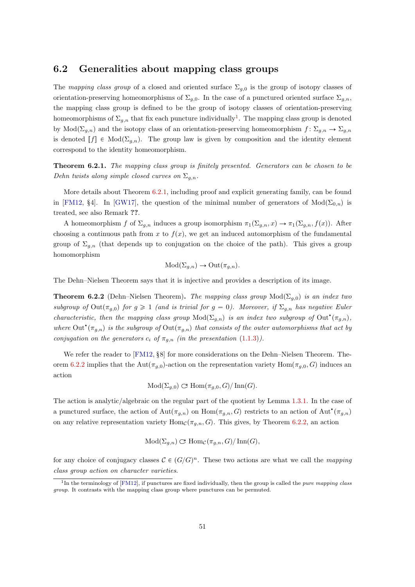## 6.2 Generalities about mapping class groups

The mapping class group of a closed and oriented surface  $\Sigma_{g,0}$  is the group of isotopy classes of orientation-preserving homeomorphisms of  $\Sigma_{g,0}$ . In the case of a punctured oriented surface  $\Sigma_{g,n}$ , the mapping class group is defined to be the group of isotopy classes of orientation-preserving homeomorphisms of  $\Sigma_{g,n}$  that fix each puncture individually<sup>[1](#page-51-0)</sup>. The mapping class group is denoted by Mod $(\Sigma_{g,n})$  and the isotopy class of an orientation-preserving homeomorphism  $f : \Sigma_{g,n} \to \Sigma_{g,n}$ is denoted  $[f] \in Mod(\Sigma_{g,n})$ . The group law is given by composition and the identity element correspond to the identity homeomorphism.

<span id="page-51-1"></span>Theorem 6.2.1. The mapping class group is finitely presented. Generators can be chosen to be Dehn twists along simple closed curves on  $\Sigma_{q,n}$ .

More details about Theorem [6.2.1,](#page-51-1) including proof and explicit generating family, can be found in [\[FM12,](#page-71-4) §4]. In [\[GW17\]](#page-71-5), the question of the minimal number of generators of  $Mod(\Sigma_{0,n})$  is treated, see also Remark ??.

A homeomorphism f of  $\Sigma_{g,n}$  induces a group isomorphism  $\pi_1(\Sigma_{g,n}, x) \to \pi_1(\Sigma_{g,n}, f(x))$ . After choosing a continuous path from x to  $f(x)$ , we get an induced automorphism of the fundamental group of  $\Sigma_{g,n}$  (that depends up to conjugation on the choice of the path). This gives a group homomorphism

$$
Mod(\Sigma_{g,n}) \to Out(\pi_{g,n}).
$$

The Dehn–Nielsen Theorem says that it is injective and provides a description of its image.

<span id="page-51-2"></span>**Theorem 6.2.2** (Dehn–Nielsen Theorem). The mapping class group  $Mod(\Sigma_{q,0})$  is an index two subgroup of  $Out(\pi_{g,0})$  for  $g \geq 1$  (and is trivial for  $g = 0$ ). Moreover, if  $\Sigma_{g,n}$  has negative Euler characteristic, then the mapping class group  $Mod(\Sigma_{g,n})$  is an index two subgroup of  $Out^{\star}(\pi_{g,n})$ , where Out<sup>\*</sup>( $\pi_{g,n}$ ) is the subgroup of Out( $\pi_{g,n}$ ) that consists of the outer automorphisms that act by conjugation on the generators  $c_i$  of  $\pi_{g,n}$  (in the presentation [\(1.1.3\)](#page-8-0)).

We refer the reader to [\[FM12,](#page-71-4) §8] for more considerations on the Dehn–Nielsen Theorem. The-orem [6.2.2](#page-51-2) implies that the Aut $(\pi_{g,0})$ -action on the representation variety Hom $(\pi_{g,0}, G)$  induces an action

$$
Mod(\Sigma_{g,0}) \subset \text{Hom}(\pi_{g,0},G)/\text{Inn}(G).
$$

The action is analytic/algebraic on the regular part of the quotient by Lemma [1.3.1.](#page-11-0) In the case of a punctured surface, the action of  $\text{Aut}(\pi_{g,n})$  on  $\text{Hom}(\pi_{g,n}, G)$  restricts to an action of  $\text{Aut}^{\star}(\pi_{g,n})$ on any relative representation variety  $\text{Hom}_{\mathcal{C}}(\pi_{g,n}, G)$ . This gives, by Theorem [6.2.2,](#page-51-2) an action

$$
Mod(\Sigma_{g,n}) \subset Hom_{\mathcal{C}}(\pi_{g,n}, G)/\operatorname{Inn}(G),
$$

for any choice of conjugacy classes  $\mathcal{C} \in (G/G)^n$ . These two actions are what we call the *mapping* class group action on character varieties.

<span id="page-51-0"></span><sup>&</sup>lt;sup>1</sup>In the terminology of [\[FM12\]](#page-71-4), if punctures are fixed individually, then the group is called the *pure mapping class* group. It contrasts with the mapping class group where punctures can be permuted.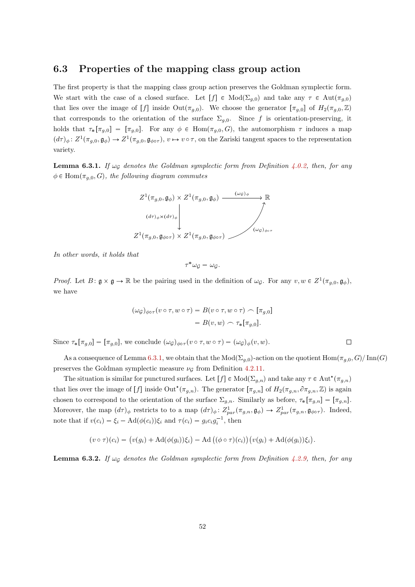### 6.3 Properties of the mapping class group action

The first property is that the mapping class group action preserves the Goldman symplectic form. We start with the case of a closed surface. Let  $[f] \in Mod(\Sigma_{g,0})$  and take any  $\tau \in Aut(\pi_{g,0})$ that lies over the image of  $[f]$  inside Out $(\pi_{g,0})$ . We choose the generator  $[\pi_{g,0}]$  of  $H_2(\pi_{g,0}, \mathbb{Z})$ that corresponds to the orientation of the surface  $\Sigma_{q,0}$ . Since f is orientation-preserving, it holds that  $\tau_*[\pi_{g,0}] = [\pi_{g,0}]$ . For any  $\phi \in \text{Hom}(\pi_{g,0}, G)$ , the automorphism  $\tau$  induces a map  $(d\tau)_{\phi} : Z^{1}(\pi_{g,0}, \mathfrak{g}_{\phi}) \to Z^{1}(\pi_{g,0}, \mathfrak{g}_{\phi\circ\tau}), v \mapsto v \circ \tau$ , on the Zariski tangent spaces to the representation variety.

<span id="page-52-0"></span>**Lemma 6.3.1.** If  $\omega_G$  denotes the Goldman symplectic form from Definition [4.0.2,](#page-34-0) then, for any  $\phi \in \text{Hom}(\pi_{q,0}, G)$ , the following diagram commutes



In other words, it holds that

$$
\tau^*\omega_{\mathcal{G}}=\omega_{\mathcal{G}}.
$$

*Proof.* Let  $B: \mathfrak{g} \times \mathfrak{g} \to \mathbb{R}$  be the pairing used in the definition of  $\omega_{\mathcal{G}}$ . For any  $v, w \in Z^1(\pi_{g,0}, \mathfrak{g}_{\phi})$ , we have

$$
(\omega_{\mathcal{G}})_{\phi \circ \tau} (v \circ \tau, w \circ \tau) = B(v \circ \tau, w \circ \tau) \frown [\pi_{g,0}]
$$
  
=  $B(v, w) \frown \tau_*[\pi_{g,0}].$ 

Since  $\tau_*[\pi_{g,0}] = [\pi_{g,0}],$  we conclude  $(\omega_{\mathcal{G}})_{\phi \circ \tau}(v \circ \tau, w \circ \tau) = (\omega_{\mathcal{G}})_{\phi}(v, w).$ 

As a consequence of Lemma [6.3.1,](#page-52-0) we obtain that the Mod $(\Sigma_{g,0})$ -action on the quotient Hom $(\pi_{g,0}, G)/\text{Inn}(G)$ preserves the Goldman symplectic measure  $\nu_{\mathcal{G}}$  from Definition [4.2.11.](#page-39-2)

 $\Box$ 

The situation is similar for punctured surfaces. Let  $[f] \in Mod(\Sigma_{g,n})$  and take any  $\tau \in Aut^{\star}(\pi_{g,n})$ that lies over the image of  $[f]$  inside Out<sup>\*</sup> $(\pi_{g,n})$ . The generator  $[\pi_{g,n}]$  of  $H_2(\pi_{g,n}, \partial \pi_{g,n}, \mathbb{Z})$  is again chosen to correspond to the orientation of the surface  $\Sigma_{g,n}$ . Similarly as before,  $\tau_*[\pi_{g,n}] = [\pi_{g,n}]$ . Moreover, the map  $(d\tau)_{\phi}$  restricts to to a map  $(d\tau)_{\phi} : Z_{par}^1(\pi_{g,n}, \mathfrak{g}_{\phi}) \to Z_{par}^1(\pi_{g,n}, \mathfrak{g}_{\phi \circ \tau})$ . Indeed, note that if  $v(c_i) = \xi_i - \text{Ad}(\phi(c_i))\xi_i$  and  $\tau(c_i) = g_i c_i g_i^{-1}$ , then

$$
(v \circ \tau)(c_i) = (v(g_i) + \mathrm{Ad}(\phi(g_i))\xi_i) - \mathrm{Ad}((\phi \circ \tau)(c_i))(v(g_i) + \mathrm{Ad}(\phi(g_i))\xi_i).
$$

**Lemma 6.3.2.** If  $\omega_G$  denotes the Goldman symplectic form from Definition [4.2.9,](#page-39-3) then, for any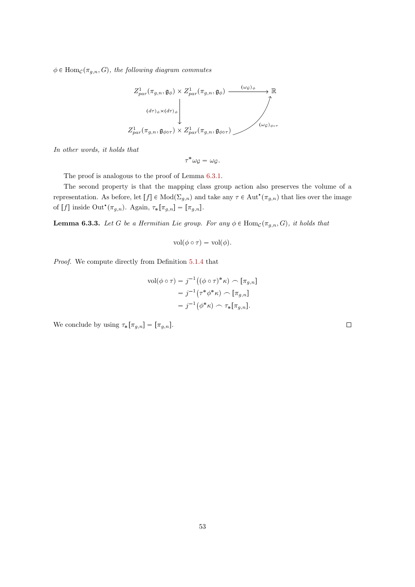$\phi \in \text{Hom}_{\mathcal{C}}(\pi_{g,n}, G)$ , the following diagram commutes

$$
Z_{par}^{1}(\pi_{g,n}, \mathfrak{g}_{\phi}) \times Z_{par}^{1}(\pi_{g,n}, \mathfrak{g}_{\phi}) \longrightarrow \mathbb{R}
$$
  

$$
(d\tau)_{\phi} \times (d\tau)_{\phi}
$$
  

$$
Z_{par}^{1}(\pi_{g,n}, \mathfrak{g}_{\phi \circ \tau}) \times Z_{par}^{1}(\pi_{g,n}, \mathfrak{g}_{\phi \circ \tau})
$$
  

$$
( \omega_{\mathcal{G}})_{\phi \circ \tau}
$$

In other words, it holds that

 $\tau^* \omega_{\mathcal{G}} = \omega_{\mathcal{G}}.$ 

The proof is analogous to the proof of Lemma [6.3.1.](#page-52-0)

The second property is that the mapping class group action also preserves the volume of a representation. As before, let  $[f] \in Mod(\Sigma_{g,n})$  and take any  $\tau \in Aut^{\star}(\pi_{g,n})$  that lies over the image of  $[f]$  inside Out<sup>\*</sup> $(\pi_{g,n})$ . Again,  $\tau_*[\pi_{g,n}] = [\pi_{g,n}]$ .

**Lemma 6.3.3.** Let G be a Hermitian Lie group. For any  $\phi \in \text{Hom}_{\mathcal{C}}(\pi_{g,n}, G)$ , it holds that

$$
\text{vol}(\phi \circ \tau) = \text{vol}(\phi).
$$

Proof. We compute directly from Definition [5.1.4](#page-45-1) that

$$
\text{vol}(\phi \circ \tau) = j^{-1} ((\phi \circ \tau)^* \kappa) \frown [\pi_{g,n}]
$$

$$
= j^{-1} (\tau^* \phi^* \kappa) \frown [\pi_{g,n}]
$$

$$
= j^{-1} (\phi^* \kappa) \frown \tau_* [\pi_{g,n}].
$$

We conclude by using  $\tau_*[\pi_{g,n}] = [\pi_{g,n}].$ 

 $\Box$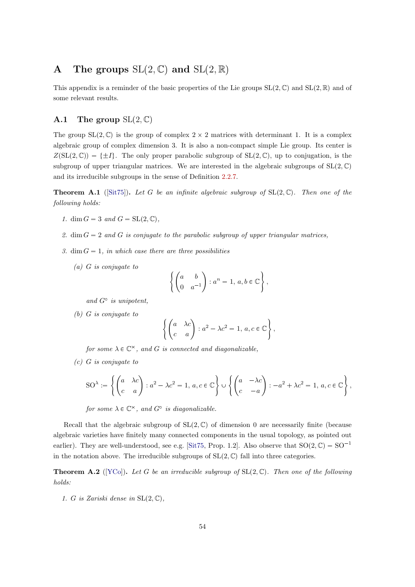## A The groups  $SL(2, \mathbb{C})$  and  $SL(2, \mathbb{R})$

This appendix is a reminder of the basic properties of the Lie groups  $SL(2,\mathbb{C})$  and  $SL(2,\mathbb{R})$  and of some relevant results.

#### **A.1** The group  $SL(2, \mathbb{C})$

The group  $SL(2,\mathbb{C})$  is the group of complex  $2 \times 2$  matrices with determinant 1. It is a complex algebraic group of complex dimension 3. It is also a non-compact simple Lie group. Its center is  $Z(SL(2,\mathbb{C})) = {\pm I}.$  The only proper parabolic subgroup of SL $(2,\mathbb{C})$ , up to conjugation, is the subgroup of upper triangular matrices. We are interested in the algebraic subgroups of  $SL(2,\mathbb{C})$ and its irreducible subgroups in the sense of Definition [2.2.7.](#page-20-0)

**Theorem A.1** ([\[Sit75\]](#page-72-2)). Let G be an infinite algebraic subgroup of  $SL(2,\mathbb{C})$ . Then one of the following holds:

- 1. dim  $G = 3$  and  $G = SL(2, \mathbb{C})$ .
- 2. dim  $G = 2$  and G is conjugate to the parabolic subgroup of upper triangular matrices,
- 3. dim  $G = 1$ , in which case there are three possibilities
	- (a)  $G$  is conjugate to

$$
\left\{ \begin{pmatrix} a & b \\ 0 & a^{-1} \end{pmatrix} : a^n = 1, \, a, b \in \mathbb{C} \right\},
$$

and  $G^{\circ}$  is unipotent,

(b)  $G$  is conjugate to

$$
\left\{ \begin{pmatrix} a & \lambda c \\ c & a \end{pmatrix} : a^2 - \lambda c^2 = 1, \, a, c \in \mathbb{C} \right\},
$$

for some  $\lambda \in \mathbb{C}^{\times}$ , and G is connected and diagonalizable,

 $(c)$  G is conjugate to

$$
SO^{\lambda} := \left\{ \begin{pmatrix} a & \lambda c \\ c & a \end{pmatrix} : a^2 - \lambda c^2 = 1, \, a, c \in \mathbb{C} \right\} \cup \left\{ \begin{pmatrix} a & -\lambda c \\ c & -a \end{pmatrix} : -a^2 + \lambda c^2 = 1, \, a, c \in \mathbb{C} \right\},
$$

for some  $\lambda \in \mathbb{C}^{\times}$ , and  $G^{\circ}$  is diagonalizable.

Recall that the algebraic subgroup of  $SL(2, \mathbb{C})$  of dimension 0 are necessarily finite (because algebraic varieties have finitely many connected components in the usual topology, as pointed out earlier). They are well-understood, see e.g. [\[Sit75,](#page-72-2) Prop. 1.2]. Also observe that  $SO(2,\mathbb{C}) = SO^{-1}$ in the notation above. The irreducible subgroups of  $SL(2,\mathbb{C})$  fall into three categories.

**Theorem A.2** ([\[YCo\]](#page-73-0)). Let G be an irreducible subgroup of  $SL(2, \mathbb{C})$ . Then one of the following holds:

1. G is Zariski dense in  $SL(2, \mathbb{C})$ ,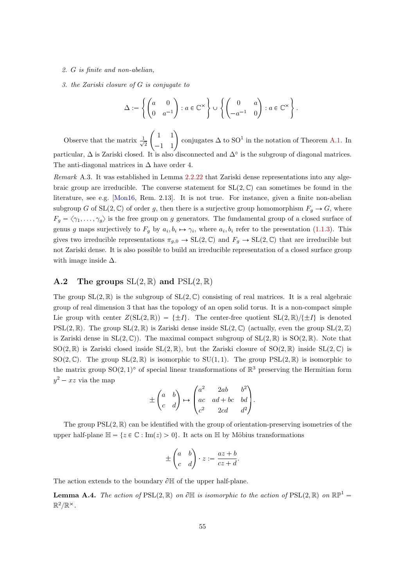#### 2. G is finite and non-abelian,

3. the Zariski closure of G is conjugate to

$$
\Delta := \left\{ \begin{pmatrix} a & 0 \\ 0 & a^{-1} \end{pmatrix} : a \in \mathbb{C}^{\times} \right\} \cup \left\{ \begin{pmatrix} 0 & a \\ -a^{-1} & 0 \end{pmatrix} : a \in \mathbb{C}^{\times} \right\}.
$$

Observe that the matrix  $\frac{1}{\sqrt{2}}$ 2  $\begin{pmatrix} 1 & 1 \\ -1 & 1 \end{pmatrix}$ conjugates  $\Delta$  to  $SO^1$  in the notation of Theorem [A.1.](#page-50-1) In particular,  $\Delta$  is Zariski closed. It is also disconnected and  $\Delta^{\circ}$  is the subgroup of diagonal matrices. The anti-diagonal matrices in  $\Delta$  have order 4.

Remark A.3. It was established in Lemma [2.2.22](#page-23-0) that Zariski dense representations into any algebraic group are irreducible. The converse statement for  $SL(2,\mathbb{C})$  can sometimes be found in the literature, see e.g. [\[Mon16,](#page-72-3) Rem. 2.13]. It is not true. For instance, given a finite non-abelian subgroup G of SL $(2, \mathbb{C})$  of order g, then there is a surjective group homomorphism  $F_g \to G$ , where  $F_q = \langle \gamma_1, \ldots, \gamma_q \rangle$  is the free group on g generators. The fundamental group of a closed surface of genus g maps surjectively to  $F_g$  by  $a_i, b_i \mapsto \gamma_i$ , where  $a_i, b_i$  refer to the presentation [\(1.1.3\)](#page-8-0). This gives two irreducible representations  $\pi_{q,0} \to SL(2,\mathbb{C})$  and  $F_q \to SL(2,\mathbb{C})$  that are irreducible but not Zariski dense. It is also possible to build an irreducible representation of a closed surface group with image inside  $\Delta$ .

#### A.2 The groups  $SL(2, \mathbb{R})$  and  $PSL(2, \mathbb{R})$

The group  $SL(2,\mathbb{R})$  is the subgroup of  $SL(2,\mathbb{C})$  consisting of real matrices. It is a real algebraic group of real dimension 3 that has the topology of an open solid torus. It is a non-compact simple Lie group with center  $Z(SL(2, \mathbb{R})) = {\pm I}$ . The center-free quotient  $SL(2, \mathbb{R})/\{\pm I\}$  is denoted PSL $(2,\mathbb{R})$ . The group SL $(2,\mathbb{R})$  is Zariski dense inside SL $(2,\mathbb{C})$  (actually, even the group SL $(2,\mathbb{Z})$ ) is Zariski dense in  $SL(2,\mathbb{C})$ . The maximal compact subgroup of  $SL(2,\mathbb{R})$  is  $SO(2,\mathbb{R})$ . Note that  $SO(2,\mathbb{R})$  is Zariski closed inside  $SL(2,\mathbb{R})$ , but the Zariski closure of  $SO(2,\mathbb{R})$  inside  $SL(2,\mathbb{C})$  is SO(2,  $\mathbb{C}$ ). The group SL(2,  $\mathbb{R}$ ) is isomorphic to SU(1, 1). The group PSL(2,  $\mathbb{R}$ ) is isomorphic to the matrix group  $SO(2,1)^\circ$  of special linear transformations of  $\mathbb{R}^3$  preserving the Hermitian form  $y^2 - xz$  via the map

$$
\pm \begin{pmatrix} a & b \\ c & d \end{pmatrix} \mapsto \begin{pmatrix} a^2 & 2ab & b^2 \\ ac & ad + bc & bd \\ c^2 & 2cd & d^2 \end{pmatrix}.
$$

The group  $PSL(2,\mathbb{R})$  can be identified with the group of orientation-preserving isometries of the upper half-plane  $\mathbb{H} = \{z \in \mathbb{C} : \text{Im}(z) > 0\}$ . It acts on  $\mathbb{H}$  by Möbius transformations

$$
\pm \begin{pmatrix} a & b \\ c & d \end{pmatrix} \cdot z := \frac{az+b}{cz+d}.
$$

The action extends to the boundary  $\partial \mathbb{H}$  of the upper half-plane.

<span id="page-55-0"></span>**Lemma A.4.** The action of PSL $(2, \mathbb{R})$  on  $\partial \mathbb{H}$  is isomorphic to the action of PSL $(2, \mathbb{R})$  on  $\mathbb{RP}^1$  $\mathbb{R}^2/\mathbb{R}^{\times}$ .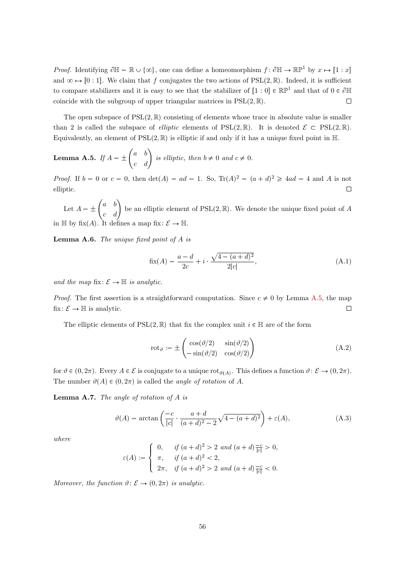*Proof.* Identifying  $\partial \mathbb{H} = \mathbb{R} \cup \{\infty\}$ , one can define a homeomorphism  $f: \partial \mathbb{H} \to \mathbb{RP}^1$  by  $x \mapsto [1:x]$ and  $\infty \mapsto [0 : 1]$ . We claim that f conjugates the two actions of PSL(2, R). Indeed, it is sufficient to compare stabilizers and it is easy to see that the stabilizer of  $[1:0] \in \mathbb{RP}^1$  and that of  $0 \in \partial \mathbb{H}$ coincide with the subgroup of upper triangular matrices in  $PSL(2, \mathbb{R})$ .  $\Box$ 

The open subspace of  $PSL(2,\mathbb{R})$  consisting of elements whose trace in absolute value is smaller than 2 is called the subspace of *elliptic* elements of  $PSL(2,\mathbb{R})$ . It is denoted  $\mathcal{E} \subset \text{PSL}(2,\mathbb{R})$ . Equivalently, an element of  $PSL(2,\mathbb{R})$  is elliptic if and only if it has a unique fixed point in H.

<span id="page-56-1"></span>**Lemma A.5.** If 
$$
A = \pm \begin{pmatrix} a & b \\ c & d \end{pmatrix}
$$
 is elliptic, then  $b \neq 0$  and  $c \neq 0$ .

*Proof.* If  $b = 0$  or  $c = 0$ , then  $\det(A) = ad = 1$ . So,  $\text{Tr}(A)^2 = (a + d)^2 \geq 4ad = 4$  and A is not elliptic.  $\Box$ 

Let  $A = \pm \begin{pmatrix} a & b \\ c & d \end{pmatrix}$  be an elliptic element of PSL(2, R). We denote the unique fixed point of A in  $\mathbb{H}$  by fix(A). It defines a map fix:  $\mathcal{E} \to \mathbb{H}$ .

Lemma A.6. The unique fixed point of A is

$$
fix(A) = \frac{a - d}{2c} + i \cdot \frac{\sqrt{4 - (a + d)^2}}{2|c|},
$$
\n(A.1)

and the map fix:  $\mathcal{E} \to \mathbb{H}$  is analytic.

*Proof.* The first assertion is a straightforward computation. Since  $c \neq 0$  by Lemma [A.5,](#page-56-1) the map fix:  $\mathcal{E} \to \mathbb{H}$  is analytic.  $\Box$ 

The elliptic elements of  $PSL(2,\mathbb{R})$  that fix the complex unit  $i \in \mathbb{H}$  are of the form

$$
rot_{\vartheta} := \pm \begin{pmatrix} \cos(\vartheta/2) & \sin(\vartheta/2) \\ -\sin(\vartheta/2) & \cos(\vartheta/2) \end{pmatrix}
$$
 (A.2)

for  $\vartheta \in (0, 2\pi)$ . Every  $A \in \mathcal{E}$  is conjugate to a unique rot<sub> $\vartheta(A)$ </sub>. This defines a function  $\vartheta \colon \mathcal{E} \to (0, 2\pi)$ . The number  $\vartheta(A) \in (0, 2\pi)$  is called the *angle of rotation* of A.

<span id="page-56-0"></span>Lemma A.7. The angle of rotation of A is

$$
\vartheta(A) = \arctan\left(\frac{-c}{|c|} \cdot \frac{a+d}{(a+d)^2 - 2}\sqrt{4 - (a+d)^2}\right) + \varepsilon(A),\tag{A.3}
$$

where

$$
\varepsilon(A) := \begin{cases} 0, & \text{if } (a+d)^2 > 2 \text{ and } (a+d)\frac{-c}{|c|} > 0, \\ \pi, & \text{if } (a+d)^2 < 2, \\ 2\pi, & \text{if } (a+d)^2 > 2 \text{ and } (a+d)\frac{-c}{|c|} < 0. \end{cases}
$$

Moreover, the function  $\vartheta: \mathcal{E} \to (0, 2\pi)$  is analytic.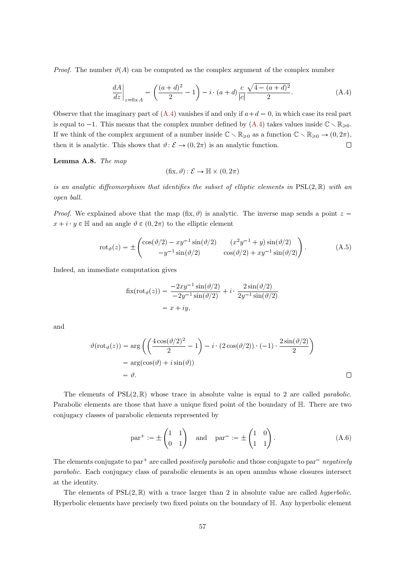*Proof.* The number  $\vartheta(A)$  can be computed as the complex argument of the complex number

<span id="page-57-1"></span>
$$
\frac{dA}{dz}\bigg|_{z=\text{fix }A} = \left(\frac{(a+d)^2}{2} - 1\right) - i \cdot (a+d)\frac{c}{|c|}\frac{\sqrt{4 - (a+d)^2}}{2}.
$$
\n(A.4)

Observe that the imaginary part of  $(A.4)$  vanishes if and only if  $a+d=0$ , in which case its real part is equal to -1. This means that the complex number defined by [\(A.4\)](#page-57-1) takes values inside  $\mathbb{C} \setminus \mathbb{R}_{\geqslant 0}$ . If we think of the complex argument of a number inside  $\mathbb{C} \setminus \mathbb{R}_{\geq 0}$  as a function  $\mathbb{C} \setminus \mathbb{R}_{\geq 0} \to (0, 2\pi)$ , then it is analytic. This shows that  $\vartheta$ :  $\mathcal{E} \to (0, 2\pi)$  is an analytic function.  $\Box$ 

Lemma A.8. The map

$$
(\text{fix}, \vartheta) \colon \mathcal{E} \to \mathbb{H} \times (0, 2\pi)
$$

is an analytic diffeomorphism that identifies the subset of elliptic elements in  $PSL(2, \mathbb{R})$  with an open ball.

*Proof.* We explained above that the map  $(fix, \vartheta)$  is analytic. The inverse map sends a point  $z =$  $x + i \cdot y \in \mathbb{H}$  and an angle  $\vartheta \in (0, 2\pi)$  to the elliptic element

$$
\operatorname{rot}_{\vartheta}(z) = \pm \begin{pmatrix} \cos(\vartheta/2) - xy^{-1} \sin(\vartheta/2) & (x^2y^{-1} + y) \sin(\vartheta/2) \\ -y^{-1} \sin(\vartheta/2) & \cos(\vartheta/2) + xy^{-1} \sin(\vartheta/2) \end{pmatrix} . \tag{A.5}
$$

Indeed, an immediate computation gives

$$
\begin{aligned} \text{fix}(\text{rot}_{\vartheta}(z)) &= \frac{-2xy^{-1}\sin(\vartheta/2)}{-2y^{-1}\sin(\vartheta/2)} + i \cdot \frac{2\sin(\vartheta/2)}{2y^{-1}\sin(\vartheta/2)} \\ &= x + iy, \end{aligned}
$$

and

$$
\vartheta(\text{rot}_{\vartheta}(z)) = \arg\left(\left(\frac{4\cos(\vartheta/2)^2}{2} - 1\right) - i \cdot (2\cos(\vartheta/2)) \cdot (-1) \cdot \frac{2\sin(\vartheta/2)}{2}\right)
$$

$$
= \arg(\cos(\vartheta) + i\sin(\vartheta))
$$

$$
= \vartheta.
$$

The elements of  $PSL(2,\mathbb{R})$  whose trace in absolute value is equal to 2 are called *parabolic.* Parabolic elements are those that have a unique fixed point of the boundary of H. There are two conjugacy classes of parabolic elements represented by

<span id="page-57-0"></span>
$$
\text{par}^+ := \pm \begin{pmatrix} 1 & 1 \\ 0 & 1 \end{pmatrix} \quad \text{and} \quad \text{par}^- := \pm \begin{pmatrix} 1 & 0 \\ 1 & 1 \end{pmatrix} . \tag{A.6}
$$

The elements conjugate to par<sup>+</sup> are called *positively parabolic* and those conjugate to par<sup>-</sup> negatively parabolic. Each conjugacy class of parabolic elements is an open annulus whose closures intersect at the identity.

The elements of  $PSL(2,\mathbb{R})$  with a trace larger than 2 in absolute value are called *hyperbolic.* Hyperbolic elements have precisely two fixed points on the boundary of H. Any hyperbolic element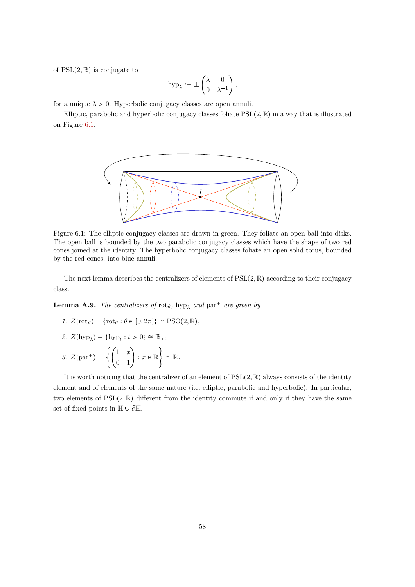of  $PSL(2, \mathbb{R})$  is conjugate to

$$
\mathrm{hyp}_\lambda := \pm \begin{pmatrix} \lambda & 0 \\ 0 & \lambda^{-1} \end{pmatrix},
$$

for a unique  $\lambda > 0$ . Hyperbolic conjugacy classes are open annuli.

Elliptic, parabolic and hyperbolic conjugacy classes foliate  $PSL(2,\mathbb{R})$  in a way that is illustrated on Figure [6.1.](#page-0-0)



Figure 6.1: The elliptic conjugacy classes are drawn in green. They foliate an open ball into disks. The open ball is bounded by the two parabolic conjugacy classes which have the shape of two red cones joined at the identity. The hyperbolic conjugacy classes foliate an open solid torus, bounded by the red cones, into blue annuli.

The next lemma describes the centralizers of elements of  $PSL(2, \mathbb{R})$  according to their conjugacy class.

**Lemma A.9.** The centralizers of  $\text{rot}_{\vartheta}$ ,  $\text{hyp}_{\lambda}$  and  $\text{par}^+$  are given by

1. 
$$
Z(\text{rot}_{\theta}) = {\text{rot}_{\theta} : \theta \in [0, 2\pi)} \cong \text{PSO}(2, \mathbb{R}),
$$

2. 
$$
Z(hyp_{\lambda}) = \{ hyp_t : t > 0\} \cong \mathbb{R}_{>0},
$$

3.  $Z(\text{par}^+) = \begin{cases} \begin{pmatrix} 1 & x \\ 0 & 1 \end{pmatrix} : x \in \mathbb{R} \end{cases}$  $\lambda$  $\cong \mathbb{R}$ .

It is worth noticing that the centralizer of an element of  $PSL(2, \mathbb{R})$  always consists of the identity element and of elements of the same nature (i.e. elliptic, parabolic and hyperbolic). In particular, two elements of  $PSL(2,\mathbb{R})$  different from the identity commute if and only if they have the same set of fixed points in  $\mathbb{H} \cup \partial \mathbb{H}$ .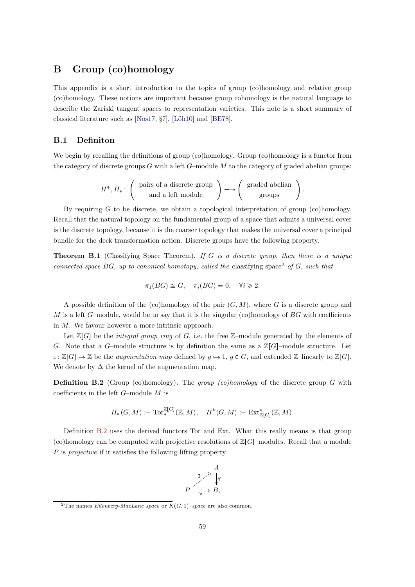## B Group (co)homology

This appendix is a short introduction to the topics of group (co)homology and relative group (co)homology. These notions are important because group cohomology is the natural language to describe the Zariski tangent spaces to representation varieties. This note is a short summary of classical literature such as  $[Nos17, 87]$ , [Löh10] and [\[BE78\]](#page-70-3).

#### B.1 Definiton

We begin by recalling the definitions of group (co)homology. Group (co)homology is a functor from the category of discrete groups  $G$  with a left  $G$ –module  $M$  to the category of graded abelian groups:

$$
H^*, H_* \colon \left(\begin{array}{c}\text{pairs of a discrete group} \\ \text{and a left module}\end{array}\right) \longrightarrow \left(\begin{array}{c}\text{graded abelian} \\ \text{groups}\end{array}\right)
$$

.

By requiring  $G$  to be discrete, we obtain a topological interpretation of group (co)homology. Recall that the natural topology on the fundamental group of a space that admits a universal cover is the discrete topology, because it is the coarser topology that makes the universal cover a principal bundle for the deck transformation action. Discrete groups have the following property.

**Theorem B.1** (Classifying Space Theorem). If G is a discrete group, then there is a unique connected space BG, up to canonical homotopy, called the classifying space<sup>[2](#page-59-0)</sup> of G, such that

$$
\pi_1(BG) \cong G, \quad \pi_i(BG) = 0, \quad \forall i \geq 2.
$$

A possible definition of the (co)homology of the pair  $(G, M)$ , where G is a discrete group and M is a left G–module, would be to say that it is the singular (co)homology of  $BG$  with coefficients in M. We favour however a more intrinsic approach.

Let  $\mathbb{Z}[G]$  be the *integral group ring* of G, i.e. the free  $\mathbb{Z}$ –module generated by the elements of G. Note that a G-module structure is by definition the same as a  $\mathbb{Z}[G]$ -module structure. Let  $\varepsilon: \mathbb{Z}[G] \to \mathbb{Z}$  be the *augmentation map* defined by  $g \mapsto 1$ ,  $g \in G$ , and extended  $\mathbb{Z}$ –linearly to  $\mathbb{Z}[G]$ . We denote by  $\Delta$  the kernel of the augmentation map.

**Definition B.2** (Group (co)homology). The group (co)homology of the discrete group G with coefficients in the left  $G$ –module  $M$  is

$$
H_*(G,M):=\mathrm{Tor}^{\mathbb{Z}[G]}_*({\mathbb{Z}},M),\quad H^k(G,M):=\mathrm{Ext}^*_{\mathbb{Z}[G]}({\mathbb{Z}},M).
$$

Definition [B.2](#page-51-2) uses the derived functors Tor and Ext. What this really means is that group (co)homology can be computed with projective resolutions of  $\mathbb{Z}[G]$ –modules. Recall that a module P is *projective* if it satisfies the following lifting property



<span id="page-59-0"></span><sup>&</sup>lt;sup>2</sup>The names *Eilenberg-MacLane space* or  $K(G, 1)$ –space are also common.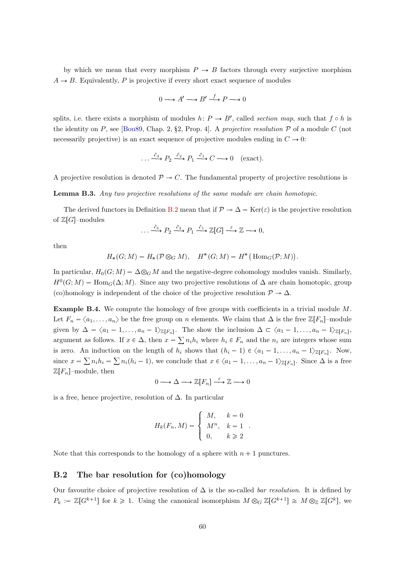by which we mean that every morphism  $P \rightarrow B$  factors through every surjective morphism  $A \rightarrow B$ . Equivalently, P is projective if every short exact sequence of modules

$$
0 \longrightarrow A' \longrightarrow B' \stackrel{f}{\longrightarrow} P \longrightarrow 0
$$

splits, i.e. there exists a morphism of modules  $h: P \to B'$ , called section map, such that  $f \circ h$  is the identity on P, see [\[Bou89,](#page-70-4) Chap. 2, §2, Prop. 4]. A projective resolution  $P$  of a module C (not necessarily projective) is an exact sequence of projective modules ending in  $C \rightarrow 0$ :

$$
\dots \xrightarrow{\partial_3} P_2 \xrightarrow{\partial_2} P_1 \xrightarrow{\partial_1} C \longrightarrow 0 \quad \text{(exact)}.
$$

A projective resolution is denoted  $\mathcal{P} \rightarrow C$ . The fundamental property of projective resolutions is

Lemma B.3. Any two projective resolutions of the same module are chain homotopic.

The derived functors in Definition [B.2](#page-51-2) mean that if  $\mathcal{P} \rightarrow \Delta = \text{Ker}(\varepsilon)$  is the projective resolution of  $\mathbb{Z}[G]$ -modules

$$
\dots \xrightarrow{\partial_3} P_2 \xrightarrow{\partial_2} P_1 \xrightarrow{\partial_1} \mathbb{Z}[G] \xrightarrow{\varepsilon} \mathbb{Z} \longrightarrow 0,
$$

then

$$
H_*(G;M) = H_*(\mathcal{P} \otimes_G M), \quad H^*(G;M) = H^*\big(\operatorname{Hom}_G(\mathcal{P};M)\big).
$$

In particular,  $H_0(G; M) = \Delta \otimes_G M$  and the negative-degree cohomology modules vanish. Similarly,  $H^0(G; M) = \text{Hom}_G(\Delta; M)$ . Since any two projective resolutions of  $\Delta$  are chain homotopic, group (co)homology is independent of the choice of the projective resolution  $\mathcal{P} \rightarrow \Delta$ .

Example B.4. We compute the homology of free groups with coefficients in a trivial module M. Let  $F_n = \langle a_1, \ldots, a_n \rangle$  be the free group on n elements. We claim that  $\Delta$  is the free  $\mathbb{Z}[F_n]$ –module given by  $\Delta = \langle a_1 - 1, \ldots, a_n - 1 \rangle_{\mathbb{Z}[F_n]}$ . The show the inclusion  $\Delta \subset \langle a_1 - 1, \ldots, a_n - 1 \rangle_{\mathbb{Z}[F_n]}$ , argument as follows. If  $x \in \Delta$ , then  $x = \sum n_i h_i$  where  $h_i \in F_n$  and the  $n_i$  are integers whose sum is zero. An induction on the length of  $h_i$  shows that  $(h_i - 1) \in \langle a_1 - 1, \ldots, a_n - 1 \rangle_{\mathbb{Z}[F_n]}$ . Now, since  $x = \sum n_i h_i = \sum n_i (h_i - 1)$ , we conclude that  $x \in \langle a_1 - 1, \ldots, a_n - 1 \rangle_{\mathbb{Z}[F_n]}$ . Since  $\Delta$  is a free  $\mathbb{Z}[F_n]$ -module, then

$$
0 \longrightarrow \Delta \longrightarrow \mathbb{Z}[F_n] \stackrel{\varepsilon}{\longrightarrow} \mathbb{Z} \longrightarrow 0
$$

is a free, hence projective, resolution of  $\Delta$ . In particular

$$
H_k(F_n, M) = \begin{cases} M, & k = 0 \\ M^n, & k = 1 \\ 0, & k \ge 2 \end{cases}.
$$

Note that this corresponds to the homology of a sphere with  $n + 1$  punctures.

#### <span id="page-60-0"></span>B.2 The bar resolution for (co)homology

Our favourite choice of projective resolution of  $\Delta$  is the so-called *bar resolution*. It is defined by  $P_k := \mathbb{Z}[G^{k+1}]$  for  $k \geq 1$ . Using the canonical isomorphism  $M \otimes_G \mathbb{Z}[G^{k+1}] \cong M \otimes_{\mathbb{Z}} \mathbb{Z}[G^k]$ , we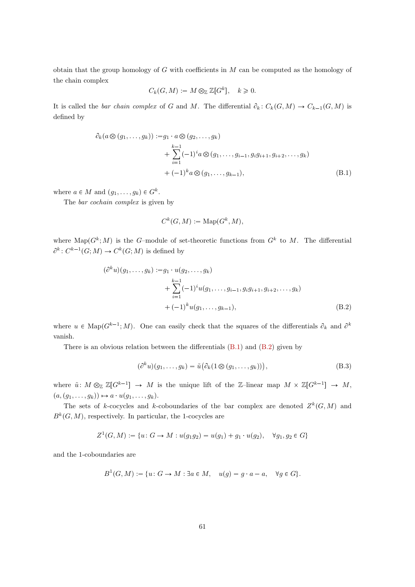obtain that the group homology of  $G$  with coefficients in  $M$  can be computed as the homology of the chain complex

$$
C_k(G, M) := M \otimes_{\mathbb{Z}} \mathbb{Z}[G^k], \quad k \geq 0.
$$

It is called the bar chain complex of G and M. The differential  $\partial_k: C_k(G, M) \to C_{k-1}(G, M)$  is defined by

$$
\partial_k(a \otimes (g_1, ..., g_k)) := g_1 \cdot a \otimes (g_2, ..., g_k) + \sum_{i=1}^{k-1} (-1)^i a \otimes (g_1, ..., g_{i-1}, g_i g_{i+1}, g_{i+2}, ..., g_k) + (-1)^k a \otimes (g_1, ..., g_{k-1}),
$$
\n(B.1)

where  $a \in M$  and  $(g_1, \ldots, g_k) \in G^k$ .

The *bar cochain complex* is given by

<span id="page-61-1"></span><span id="page-61-0"></span>
$$
C^k(G, M) := \text{Map}(G^k, M),
$$

where  $\text{Map}(G^k; M)$  is the G-module of set-theoretic functions from  $G^k$  to M. The differential  $\partial^k: C^{k-1}(G;M) \to C^k(G;M)$  is defined by

$$
(\partial^k u)(g_1, \dots, g_k) := g_1 \cdot u(g_2, \dots, g_k)
$$
  
 
$$
+ \sum_{i=1}^{k-1} (-1)^i u(g_1, \dots, g_{i-1}, g_i g_{i+1}, g_{i+2}, \dots, g_k)
$$
  
 
$$
+ (-1)^k u(g_1, \dots, g_{k-1}),
$$
 (B.2)

where  $u \in \text{Map}(G^{k-1}; M)$ . One can easily check that the squares of the differentials  $\partial_k$  and  $\partial^k$ vanish.

There is an obvious relation between the differentials [\(B.1\)](#page-61-1) and [\(B.2\)](#page-61-0) given by

<span id="page-61-2"></span>
$$
(\partial^k u)(g_1, \dots, g_k) = \tilde{u}(\partial_k (1 \otimes (g_1, \dots, g_k))),
$$
\n(B.3)

where  $\tilde{u}$ :  $M \otimes_{\mathbb{Z}} \mathbb{Z}[G^{k-1}] \to M$  is the unique lift of the Z-linear map  $M \times \mathbb{Z}[G^{k-1}] \to M$ ,  $(a, (g_1, \ldots, g_k)) \mapsto a \cdot u(g_1, \ldots, g_k).$ 

The sets of k-cocycles and k-coboundaries of the bar complex are denoted  $Z^k(G, M)$  and  $B<sup>k</sup>(G, M)$ , respectively. In particular, the 1-cocycles are

$$
Z^1(G,M) := \{u \colon G \to M : u(g_1g_2) = u(g_1) + g_1 \cdot u(g_2), \quad \forall g_1, g_2 \in G\}
$$

and the 1-coboundaries are

$$
B^1(G,M):=\{u\colon G\to M: \exists a\in M,\quad u(g)=g\cdot a-a,\quad \forall g\in G\}.
$$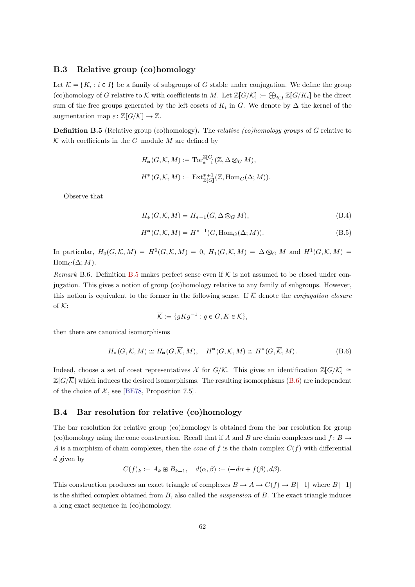#### B.3 Relative group (co)homology

Let  $\mathcal{K} = \{K_i : i \in I\}$  be a family of subgroups of G stable under conjugation. We define the group (co)homology of G relative to K with coefficients in M. Let  $\mathbb{Z}[G/\mathcal{K}] := \bigoplus_{i \in I} \mathbb{Z}[G/K_i]$  be the direct sum of the free groups generated by the left cosets of  $K_i$  in G. We denote by  $\Delta$  the kernel of the augmentation map  $\varepsilon: \mathbb{Z}[G/\mathcal{K}] \to \mathbb{Z}$ .

<span id="page-62-0"></span>**Definition B.5** (Relative group (co)homology). The *relative (co)homology groups* of G relative to  $K$  with coefficients in the G-module M are defined by

$$
H_*(G, \mathcal{K}, M) := \operatorname{Tor}_{*-1}^{\mathbb{Z}[G]}(\mathbb{Z}, \Delta \otimes_G M),
$$
  

$$
H^*(G, \mathcal{K}, M) := \operatorname{Ext}_{\mathbb{Z}[G]}^{*+1}(\mathbb{Z}, \operatorname{Hom}_G(\Delta; M)).
$$

Observe that

<span id="page-62-4"></span><span id="page-62-3"></span>
$$
H_*(G, \mathcal{K}, M) = H_{*-1}(G, \Delta \otimes_G M),
$$
\n(B.4)

$$
H^*(G, \mathcal{K}, M) = H^{*-1}(G, \text{Hom}_G(\Delta; M)).
$$
\n(B.5)

In particular,  $H_0(G, \mathcal{K}, M) = H^0(G, \mathcal{K}, M) = 0$ ,  $H_1(G, \mathcal{K}, M) = \Delta \otimes_G M$  and  $H^1(G, \mathcal{K}, M) =$  $\text{Hom}_G(\Delta; M)$ .

<span id="page-62-2"></span>Remark B.6. Definition [B.5](#page-62-0) makes perfect sense even if  $K$  is not assumed to be closed under conjugation. This gives a notion of group (co)homology relative to any family of subgroups. However, this notion is equivalent to the former in the following sense. If  $\overline{\mathcal{K}}$  denote the *conjugation closure* of  $K$ :

$$
\overline{\mathcal{K}} := \{ gKg^{-1} : g \in G, K \in \mathcal{K} \},
$$

then there are canonical isomorphisms

<span id="page-62-1"></span>
$$
H_*(G, \mathcal{K}, M) \cong H_*(G, \overline{\mathcal{K}}, M), \quad H^*(G, \mathcal{K}, M) \cong H^*(G, \overline{\mathcal{K}}, M). \tag{B.6}
$$

Indeed, choose a set of coset representatives X for  $G/K$ . This gives an identification  $\mathbb{Z}[G/K] \cong$  $\mathbb{Z}[G/\mathcal{K}]$  which induces the desired isomorphisms. The resulting isomorphisms [\(B.6\)](#page-62-1) are independent of the choice of  $X$ , see [\[BE78,](#page-70-3) Proposition 7.5].

#### B.4 Bar resolution for relative (co)homology

The bar resolution for relative group (co)homology is obtained from the bar resolution for group (co)homology using the cone construction. Recall that if A and B are chain complexes and  $f: B \to$ A is a morphism of chain complexes, then the *cone* of f is the chain complex  $C(f)$  with differential d given by

$$
C(f)_k := A_k \oplus B_{k-1}, \quad d(\alpha, \beta) := (-d\alpha + f(\beta), d\beta).
$$

This construction produces an exact triangle of complexes  $B \to A \to C(f) \to B[-1]$  where  $B[-1]$ is the shifted complex obtained from  $B$ , also called the *suspension* of  $B$ . The exact triangle induces a long exact sequence in (co)homology.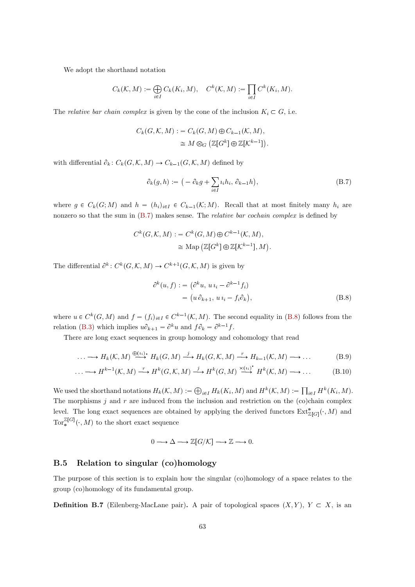We adopt the shorthand notation

$$
C_k(\mathcal{K}, M) := \bigoplus_{i \in I} C_k(K_i, M), \quad C^k(\mathcal{K}, M) := \prod_{i \in I} C^k(K_i, M).
$$

The *relative bar chain complex* is given by the cone of the inclusion  $K_i \subset G$ , i.e.

$$
C_k(G, \mathcal{K}, M) := C_k(G, M) \oplus C_{k-1}(\mathcal{K}, M),
$$
  
\n
$$
\cong M \otimes_G (\mathbb{Z}[G^k] \oplus \mathbb{Z}[K^{k-1}]).
$$

with differential  $\partial_k : C_k(G, \mathcal{K}, M) \to C_{k-1}(G, \mathcal{K}, M)$  defined by

<span id="page-63-1"></span>
$$
\partial_k(g, h) := \big( -\partial_k g + \sum_{i \in I} \iota_i h_i, \ \partial_{k-1} h \big), \tag{B.7}
$$

where  $g \in C_k(G; M)$  and  $h = (h_i)_{i \in I} \in C_{k-1}(\mathcal{K}; M)$ . Recall that at most finitely many  $h_i$  are nonzero so that the sum in  $(B.7)$  makes sense. The *relative bar cochain complex* is defined by

$$
C^k(G, \mathcal{K}, M) := C^k(G, M) \oplus C^{k-1}(\mathcal{K}, M),
$$
  
\n
$$
\cong \text{Map}\left(\mathbb{Z}[G^k] \oplus \mathbb{Z}[\mathcal{K}^{k-1}], M\right).
$$

The differential  $\partial^k$ :  $C^k(G, \mathcal{K}, M) \to C^{k+1}(G, \mathcal{K}, M)$  is given by

<span id="page-63-3"></span><span id="page-63-2"></span><span id="page-63-0"></span>
$$
\partial^k(u, f) := (\partial^k u, u_i - \partial^{k-1} f_i)
$$
  
=  $(u \partial_{k+1}, u_i - f_i \partial_k),$  (B.8)

where  $u \in C^k(G, M)$  and  $f = (f_i)_{i \in I} \in C^{k-1}(\mathcal{K}, M)$ . The second equality in [\(B.8\)](#page-63-2) follows from the relation [\(B.3\)](#page-61-2) which implies  $u\partial_{k+1} = \partial^k u$  and  $f\partial_k = \partial^{k-1} f$ .

There are long exact sequences in group homology and cohomology that read

$$
\ldots \longrightarrow H_k(\mathcal{K}, M) \stackrel{\oplus(i_1)_*}{\longrightarrow} H_k(G, M) \stackrel{j}{\longrightarrow} H_k(G, \mathcal{K}, M) \stackrel{r}{\longrightarrow} H_{k-1}(\mathcal{K}, M) \longrightarrow \ldots
$$
 (B.9)

$$
\dots \longrightarrow H^{k-1}(\mathcal{K}, M) \xrightarrow{r} H^k(G, \mathcal{K}, M) \xrightarrow{j} H^k(G, M) \xrightarrow{\times (i_i)} H^k(\mathcal{K}, M) \longrightarrow \dots
$$
 (B.10)

We used the shorthand notations  $H_k(\mathcal{K}, M) := \bigoplus_{i \in I} H_k(K_i, M)$  and  $H^k(\mathcal{K}, M) := \prod_{i \in I} H^k(K_i, M)$ . The morphisms  $j$  and  $r$  are induced from the inclusion and restriction on the (co)chain complex level. The long exact sequences are obtained by applying the derived functors  $\text{Ext}_{\mathbb{Z}[G]}^{\ast}(\cdot,M)$  and  $\operatorname{Tor}_*^{\mathbb{Z}[G]}(\cdot, M)$  to the short exact sequence

$$
0 \longrightarrow \Delta \longrightarrow \mathbb{Z}[G/\mathcal{K}] \longrightarrow \mathbb{Z} \longrightarrow 0.
$$

#### B.5 Relation to singular (co)homology

The purpose of this section is to explain how the singular (co)homology of a space relates to the group (co)homology of its fundamental group.

**Definition B.7** (Eilenberg-MacLane pair). A pair of topological spaces  $(X, Y)$ ,  $Y \subset X$ , is an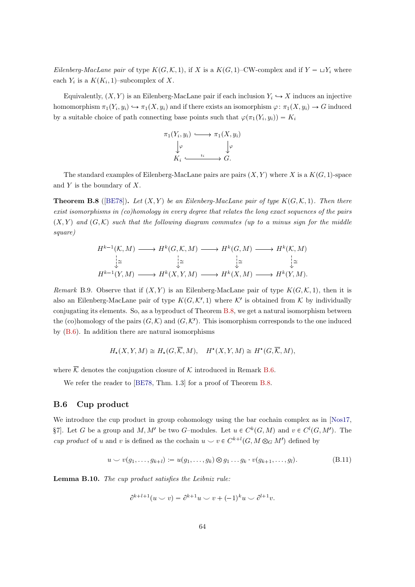Eilenberg-MacLane pair of type  $K(G, \mathcal{K}, 1)$ , if X is a  $K(G, 1)$ –CW-complex and if  $Y = \sqcup Y_i$  where each  $Y_i$  is a  $K(K_i, 1)$ -subcomplex of X.

Equivalently,  $(X, Y)$  is an Eilenberg-MacLane pair if each inclusion  $Y_i \hookrightarrow X$  induces an injective homomorphism  $\pi_1(Y_i, y_i) \hookrightarrow \pi_1(X, y_i)$  and if there exists an isomorphism  $\varphi: \pi_1(X, y_i) \to G$  induced by a suitable choice of path connecting base points such that  $\varphi(\pi_1(Y_i, y_i)) = K_i$ 

$$
\pi_1(Y_i, y_i) \longleftrightarrow \pi_1(X, y_i)
$$

$$
\downarrow \varphi \qquad \qquad \downarrow \varphi
$$

$$
K_i \xleftarrow{\imath_i} G.
$$

The standard examples of Eilenberg-MacLane pairs are pairs  $(X, Y)$  where X is a  $K(G, 1)$ -space and  $Y$  is the boundary of  $X$ .

<span id="page-64-1"></span>**Theorem B.8** ([\[BE78\]](#page-70-3)). Let  $(X, Y)$  be an Eilenberg-MacLane pair of type  $K(G, \mathcal{K}, 1)$ . Then there exist isomorphisms in (co)homology in every degree that relates the long exact sequences of the pairs  $(X, Y)$  and  $(G, \mathcal{K})$  such that the following diagram commutes (up to a minus sign for the middle square)

$$
H^{k-1}(\mathcal{K}, M) \longrightarrow H^k(G, \mathcal{K}, M) \longrightarrow H^k(G, M) \longrightarrow H^k(\mathcal{K}, M)
$$
  
\n
$$
\downarrow \cong \qquad \qquad \downarrow \cong \qquad \qquad \downarrow \cong \qquad \qquad \downarrow \cong \qquad \qquad \downarrow \cong
$$
  
\n
$$
H^{k-1}(Y, M) \longrightarrow H^k(X, Y, M) \longrightarrow H^k(X, M) \longrightarrow H^k(Y, M).
$$

Remark B.9. Observe that if  $(X, Y)$  is an Eilenberg-MacLane pair of type  $K(G, \mathcal{K}, 1)$ , then it is also an Eilenberg-MacLane pair of type  $K(G, \mathcal{K}', 1)$  where  $\mathcal{K}'$  is obtained from  $\mathcal K$  by individually conjugating its elements. So, as a byproduct of Theorem [B.8,](#page-64-1) we get a natural isomorphism between the (co)homology of the pairs  $(G, K)$  and  $(G, K')$ . This isomorphism corresponds to the one induced by [\(B.6\)](#page-62-1). In addition there are natural isomorphisms

$$
H_{\star}(X, Y, M) \cong H_{\star}(G, \overline{\mathcal{K}}, M), \quad H^{\star}(X, Y, M) \cong H^{\star}(G, \overline{\mathcal{K}}, M),
$$

where  $\overline{\mathcal{K}}$  denotes the conjugation closure of  $\mathcal K$  introduced in Remark [B.6.](#page-62-2)

We refer the reader to [\[BE78,](#page-70-3) Thm. 1.3] for a proof of Theorem [B.8.](#page-64-1)

#### B.6 Cup product

We introduce the cup product in group cohomology using the bar cochain complex as in [\[Nos17,](#page-72-4) §7]. Let G be a group and M, M' be two G-modules. Let  $u \in C^k(G, M)$  and  $v \in C^l(G, M')$ . The cup product of u and v is defined as the cochain  $u \smile v \in C^{k+l}(G, M \otimes_G M')$  defined by

<span id="page-64-0"></span>
$$
u \smile v(g_1, \ldots, g_{k+l}) := u(g_1, \ldots, g_k) \otimes g_1 \ldots g_k \cdot v(g_{k+1}, \ldots, g_l). \tag{B.11}
$$

<span id="page-64-2"></span>Lemma B.10. The cup product satisfies the Leibniz rule:

$$
\partial^{k+l+1}(u \smile v) = \partial^{k+1}u \smile v + (-1)^{k}u \smile \partial^{l+1}v.
$$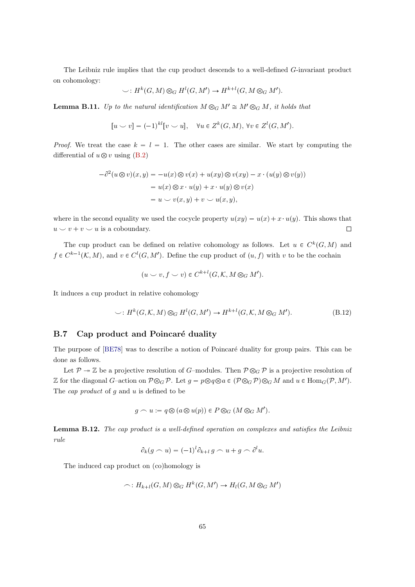The Leibniz rule implies that the cup product descends to a well-defined G-invariant product on cohomology:

$$
\smile: H^k(G, M) \otimes_G H^l(G, M') \to H^{k+l}(G, M \otimes_G M').
$$

<span id="page-65-0"></span>**Lemma B.11.** Up to the natural identification  $M \otimes_G M' \cong M' \otimes_G M$ , it holds that

$$
[u \smile v] = (-1)^{kl} [v \smile u], \quad \forall u \in Z^k(G, M), \forall v \in Z^l(G, M').
$$

*Proof.* We treat the case  $k = l = 1$ . The other cases are similar. We start by computing the differential of  $u \otimes v$  using [\(B.2\)](#page-61-0)

$$
-\partial^2(u\otimes v)(x,y) = -u(x)\otimes v(x) + u(xy)\otimes v(xy) - x \cdot (u(y)\otimes v(y))
$$
  
=  $u(x)\otimes x \cdot u(y) + x \cdot u(y)\otimes v(x)$   
=  $u \smile v(x,y) + v \smile u(x,y),$ 

where in the second equality we used the cocycle property  $u(xy) = u(x) + x \cdot u(y)$ . This shows that  $u \smile v + v \smile u$  is a coboundary.  $\Box$ 

The cup product can be defined on relative cohomology as follows. Let  $u \in C^{k}(G, M)$  and  $f \in C^{k-1}(\mathcal{K}, M)$ , and  $v \in C^l(G, M')$ . Define the cup product of  $(u, f)$  with v to be the cochain

$$
(u \smile v, f \smile v) \in C^{k+l}(G, \mathcal{K}, M \otimes_G M').
$$

It induces a cup product in relative cohomology

<span id="page-65-1"></span>
$$
\smile: H^k(G, \mathcal{K}, M) \otimes_G H^l(G, M') \to H^{k+l}(G, \mathcal{K}, M \otimes_G M').
$$
\n(B.12)

#### B.7 Cap product and Poincaré duality

The purpose of [\[BE78\]](#page-70-3) was to describe a notion of Poincaré duality for group pairs. This can be done as follows.

Let  $\mathcal{P} \to \mathbb{Z}$  be a projective resolution of G–modules. Then  $\mathcal{P} \otimes_G \mathcal{P}$  is a projective resolution of Z for the diagonal G-action on  $\mathcal{P} \otimes_G \mathcal{P}$ . Let  $g = p \otimes q \otimes a \in (\mathcal{P} \otimes_G \mathcal{P}) \otimes_G M$  and  $u \in Hom_G(\mathcal{P}, M')$ . The *cap product* of  $g$  and  $u$  is defined to be

$$
g \frown u := q \otimes (a \otimes u(p)) \in P \otimes_G (M \otimes_G M').
$$

**Lemma B.12.** The cap product is a well-defined operation on complexes and satisfies the Leibniz rule

$$
\partial_k(g \frown u) = (-1)^l \partial_{k+l} g \frown u + g \frown \partial^l u.
$$

The induced cap product on (co)homology is

$$
\frown: H_{k+l}(G,M)\otimes_G H^k(G,M') \to H_l(G,M\otimes_G M')
$$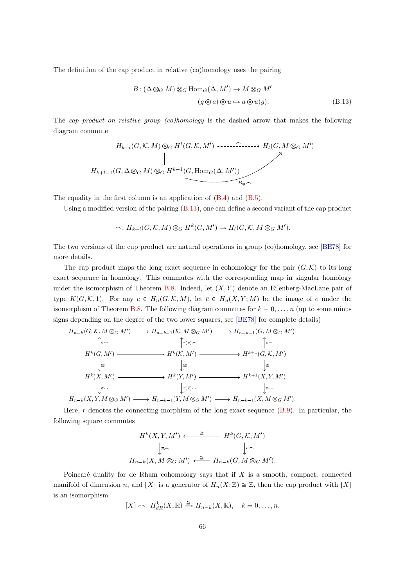The definition of the cap product in relative (co)homology uses the pairing

<span id="page-66-0"></span>
$$
B: (\Delta \otimes_G M) \otimes_G \text{Hom}_G(\Delta, M') \to M \otimes_G M'
$$
  

$$
(g \otimes a) \otimes u \mapsto a \otimes u(g).
$$
 (B.13)

The cap product on relative group (co)homology is the dashed arrow that makes the following diagram commute

$$
H_{k+l}(G, \mathcal{K}, M) \otimes_G H^l(G, \mathcal{K}, M') \longrightarrow H_l(G, M \otimes_G M')
$$
\n
$$
\parallel
$$
\n
$$
H_{k+l-1}(G, \Delta \otimes_G M) \otimes_G H^{k-1}(G, \text{Hom}_G(\Delta, M'))
$$

The equality in the first column is an application of  $(B.4)$  and  $(B.5)$ .

Using a modified version of the pairing  $(B.13)$ , one can define a second variant of the cap product

$$
\frown: H_{k+l}(G,\mathcal{K},M)\otimes_G H^k(G,M') \to H_l(G,\mathcal{K},M\otimes_G M').
$$

The two versions of the cup product are natural operations in group (co)homology, see [\[BE78\]](#page-70-3) for more details.

The cap product maps the long exact sequence in cohomology for the pair  $(G, \mathcal{K})$  to its long exact sequence in homology. This commutes with the corresponding map in singular homology under the isomorphism of Theorem [B.8.](#page-64-1) Indeed, let  $(X, Y)$  denote an Eilenberg-MacLane pair of type  $K(G, \mathcal{K}, 1)$ . For any  $e \in H_n(G, \mathcal{K}, M)$ , let  $\overline{e} \in H_n(X, Y; M)$  be the image of e under the isomorphism of Theorem [B.8.](#page-64-1) The following diagram commutes for  $k = 0, \ldots, n$  (up to some minus signs depending on the degree of the two lower squares, see [\[BE78\]](#page-70-3) for complete details)

$$
H_{n-k}(G, K, M \otimes_G M') \longrightarrow H_{n-k-1}(K, M \otimes_G M') \longrightarrow H_{n-k-1}(G, M \otimes_G M')
$$
  
\n
$$
\uparrow e \qquad \qquad \uparrow r(e) \qquad \qquad \uparrow e \qquad \qquad \uparrow e \qquad \qquad \uparrow e \qquad \qquad \uparrow e \qquad \qquad \uparrow e \qquad \qquad \uparrow e \qquad \qquad \uparrow e \qquad \qquad \uparrow e \qquad \qquad \uparrow e \qquad \qquad \uparrow e \qquad \qquad \uparrow e \qquad \qquad \uparrow e \qquad \qquad \uparrow e \qquad \qquad \uparrow e \qquad \qquad \downarrow e \qquad \qquad \downarrow e \qquad \qquad \downarrow e \qquad \qquad \downarrow e \qquad \qquad \downarrow e \qquad \qquad \downarrow e \qquad \qquad \downarrow r(\bar{e}) \qquad \qquad \downarrow e \qquad \qquad \downarrow r(\bar{e}) \qquad \qquad \downarrow e \qquad \qquad \downarrow e \qquad \qquad \downarrow e \qquad \qquad \downarrow e \qquad \qquad \downarrow e \qquad \qquad \downarrow r(\bar{e}) \qquad \qquad \downarrow e \qquad \qquad \downarrow e \qquad \qquad \downarrow e \qquad \qquad \downarrow e \qquad \qquad \downarrow r(\bar{e}) \qquad \qquad \downarrow e \qquad \qquad \downarrow e \qquad \qquad \downarrow r(\bar{e}) \qquad \qquad \downarrow e \qquad \qquad \downarrow e \qquad \qquad \downarrow e \qquad \qquad \downarrow r(\bar{e}) \qquad \qquad \downarrow e \qquad \qquad \downarrow e \qquad \qquad \downarrow r(\bar{e}) \qquad \qquad \downarrow e \qquad \qquad \downarrow e \qquad \qquad \downarrow e \qquad \qquad \downarrow r(\bar{e}) \qquad \qquad \downarrow e \qquad \qquad \downarrow r(\bar{e}) \qquad \qquad \downarrow e \qquad \qquad \downarrow r(\bar{e}) \qquad \qquad \downarrow e \qquad \qquad \downarrow r(\bar{e}) \qquad \qquad \downarrow e \qquad \qquad \downarrow r(\bar{e}) \qquad \qquad \downarrow e \qquad \qquad \downarrow r(\bar{e}) \qquad \qquad \downarrow e \qquad \qquad \downarrow e \qquad \qquad \downarrow r(\bar{e}) \
$$

Here, r denotes the connecting morphism of the long exact sequence [\(B.9\)](#page-63-0). In particular, the following square commutes

$$
H^{k}(X, Y, M') \longleftarrow \cong H^{k}(G, \mathcal{K}, M')
$$

$$
\downarrow_{\overline{e}} \qquad \qquad \downarrow_{e} \qquad \qquad
$$

$$
H_{n-k}(X, M \otimes_G M') \longleftarrow \cong H_{n-k}(G, M \otimes_G M').
$$

Poincaré duality for de Rham cohomology says that if  $X$  is a smooth, compact, connected manifold of dimension n, and [X] is a generator of  $H_n(X; \mathbb{Z}) \cong \mathbb{Z}$ , then the cap product with [X] is an isomorphism

$$
[X] \frown: H_{dR}^k(X, \mathbb{R}) \xrightarrow{\cong} H_{n-k}(X, \mathbb{R}), \quad k = 0, \dots, n.
$$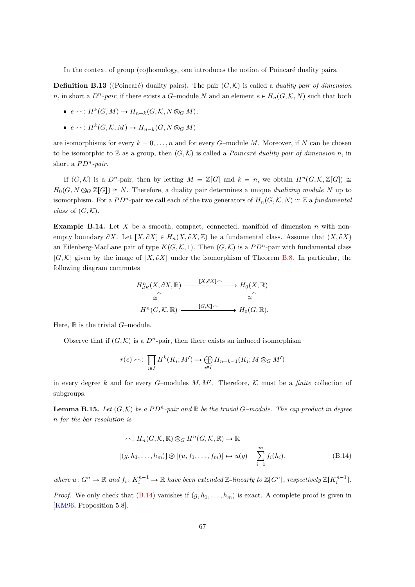In the context of group (co)homology, one introduces the notion of Poincaré duality pairs.

**Definition B.13** ((Poincaré) duality pairs). The pair  $(G, K)$  is called a *duality pair of dimension* n, in short a  $D^n$ -pair, if there exists a G-module N and an element  $e \in H_n(G, \mathcal{K}, N)$  such that both

- $e \frown: H^k(G, M) \to H_{n-k}(G, \mathcal{K}, N \otimes_G M),$
- $e \frown: H^k(G, \mathcal{K}, M) \to H_{n-k}(G, N \otimes_G M)$

are isomorphisms for every  $k = 0, \ldots, n$  and for every G-module M. Moreover, if N can be chosen to be isomorphic to  $\mathbb Z$  as a group, then  $(G, \mathcal K)$  is called a *Poincaré duality pair of dimension n*, in short a  $PD^n$ -pair.

If  $(G, \mathcal{K})$  is a  $D^n$ -pair, then by letting  $M = \mathbb{Z}[G]$  and  $k = n$ , we obtain  $H^n(G, \mathcal{K}, \mathbb{Z}[G]) \cong$  $H_0(G, N \otimes_G \mathbb{Z}[G]) \cong N$ . Therefore, a duality pair determines a unique *dualizing module* N up to isomorphism. For a PD<sup>n</sup>-pair we call each of the two generators of  $H_n(G, \mathcal{K}, N) \cong \mathbb{Z}$  a fundamental class of  $(G, K)$ .

**Example B.14.** Let X be a smooth, compact, connected, manifold of dimension n with nonempty boundary  $\partial X$ . Let  $[X, \partial X] \in H_n(X, \partial X, \mathbb{Z})$  be a fundamental class. Assume that  $(X, \partial X)$ an Eilenberg-MacLane pair of type  $K(G, \mathcal{K}, 1)$ . Then  $(G, \mathcal{K})$  is a PD<sup>n</sup>-pair with fundamental class  $[G, \mathcal{K}]$  given by the image of  $[X, \partial X]$  under the isomorphism of Theorem [B.8.](#page-64-1) In particular, the following diagram commutes

$$
H_{dR}^{n}(X, \partial X, \mathbb{R}) \xrightarrow{\qquad [X, \partial X] \frown} H_{0}(X, \mathbb{R})
$$
  
\n
$$
\cong \uparrow \qquad \qquad \cong \uparrow
$$
  
\n
$$
H^{n}(G, \mathcal{K}, \mathbb{R}) \xrightarrow{\qquad [G, \mathcal{K}] \frown} H_{0}(G, \mathbb{R}).
$$

Here,  $\mathbb R$  is the trivial  $G$ -module.

Observe that if  $(G, \mathcal{K})$  is a  $D^n$ -pair, then there exists an induced isomorphism

$$
r(e) \frown: \prod_{i \in I} H^k(K_i; M') \to \bigoplus_{i \in I} H_{n-k-1}(K_i; M \otimes_G M')
$$

in every degree k and for every G-modules  $M, M'$ . Therefore, K must be a *finite* collection of subgroups.

<span id="page-67-0"></span>**Lemma B.15.** Let  $(G, K)$  be a PD<sup>n</sup>-pair and R be the trivial G–module. The cap product in degree n for the bar resolution is

<span id="page-67-1"></span>
$$
\bigcirc: H_n(G, \mathcal{K}, \mathbb{R}) \otimes_G H^n(G, \mathcal{K}, \mathbb{R}) \to \mathbb{R}
$$
  

$$
[(g, h_1, \dots, h_m)] \otimes [(u, f_1, \dots, f_m)] \mapsto u(g) - \sum_{i=1}^m f_i(h_i),
$$
 (B.14)

where  $u: G^n \to \mathbb{R}$  and  $f_i: K_i^{n-1} \to \mathbb{R}$  have been extended Z-linearly to  $\mathbb{Z}[G^n]$ , respectively  $\mathbb{Z}[K_i^{n-1}]$ .

*Proof.* We only check that  $(B.14)$  vanishes if  $(g, h_1, \ldots, h_m)$  is exact. A complete proof is given in [\[KM96,](#page-71-6) Proposition 5.8].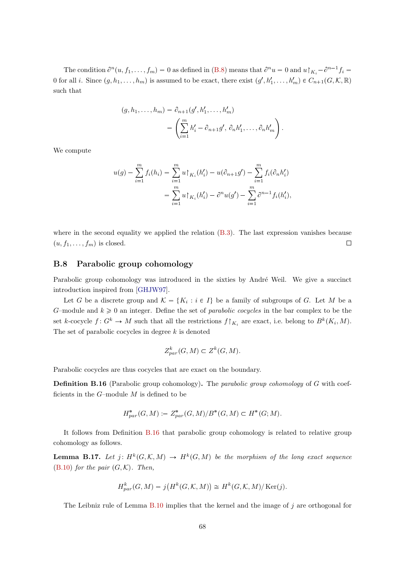The condition  $\partial^n(u, f_1, \ldots, f_m) = 0$  as defined in [\(B.8\)](#page-63-2) means that  $\partial^n u = 0$  and  $u|_{K_i} - \partial^{n-1} f_i =$ 0 for all *i*. Since  $(g, h_1, \ldots, h_m)$  is assumed to be exact, there exist  $(g', h'_1, \ldots, h'_m) \in C_{n+1}(G, \mathcal{K}, \mathbb{R})$ such that

$$
(g, h_1, \dots, h_m) = \partial_{n+1}(g', h'_1, \dots, h'_m)
$$
  
= 
$$
\left(\sum_{i=1}^m h'_i - \partial_{n+1}g', \partial_n h'_1, \dots, \partial_n h'_m\right).
$$

We compute

$$
u(g) - \sum_{i=1}^{m} f_i(h_i) = \sum_{i=1}^{m} u \upharpoonright_{K_i} (h'_i) - u(\partial_{n+1}g') - \sum_{i=1}^{m} f_i(\partial_n h'_i)
$$
  
= 
$$
\sum_{i=1}^{m} u \upharpoonright_{K_i} (h'_i) - \partial^n u(g') - \sum_{i=1}^{m} \partial^{n-1} f_i(h'_i),
$$

where in the second equality we applied the relation  $(B.3)$ . The last expression vanishes because  $(u, f_1, \ldots, f_m)$  is closed.  $\Box$ 

#### <span id="page-68-0"></span>B.8 Parabolic group cohomology

Parabolic group cohomology was introduced in the sixties by André Weil. We give a succinct introduction inspired from [\[GHJW97\]](#page-71-0).

Let G be a discrete group and  $\mathcal{K} = \{K_i : i \in I\}$  be a family of subgroups of G. Let M be a G-module and  $k \geq 0$  an integer. Define the set of *parabolic cocycles* in the bar complex to be the set k-cocycle  $f: G^k \to M$  such that all the restrictions  $f|_{K_i}$  are exact, i.e. belong to  $B^k(K_i, M)$ . The set of parabolic cocycles in degree  $k$  is denoted

$$
Z_{par}^k(G, M) \subset Z^k(G, M).
$$

Parabolic cocycles are thus cocycles that are exact on the boundary.

<span id="page-68-1"></span>Definition B.16 (Parabolic group cohomology). The parabolic group cohomology of G with coefficients in the  $G$ -module  $M$  is defined to be

$$
H_{par}^*(G, M) := Z_{par}^*(G, M)/B^*(G, M) \subset H^*(G, M).
$$

It follows from Definition [B.16](#page-68-1) that parabolic group cohomology is related to relative group cohomology as follows.

**Lemma B.17.** Let  $j: H^k(G, \mathcal{K}, M) \to H^k(G, M)$  be the morphism of the long exact sequence [\(B.10\)](#page-63-3) for the pair  $(G, K)$ . Then,

$$
H_{par}^k(G, M) = j\big(H^k(G, \mathcal{K}, M)\big) \cong H^k(G, \mathcal{K}, M)/\operatorname{Ker}(j).
$$

The Leibniz rule of Lemma [B.10](#page-64-2) implies that the kernel and the image of j are orthogonal for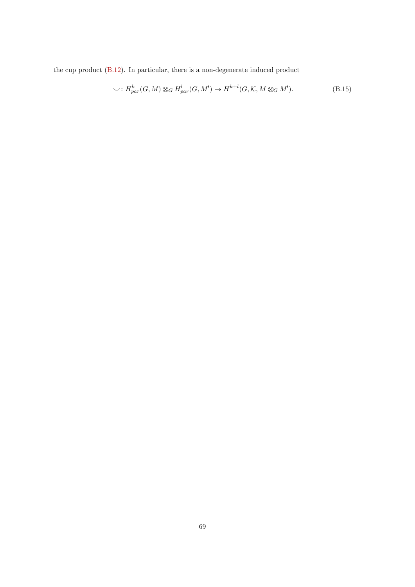the cup product [\(B.12\)](#page-65-1). In particular, there is a non-degenerate induced product

<span id="page-69-0"></span>
$$
\smile: H_{par}^k(G, M) \otimes_G H_{par}^l(G, M') \to H^{k+l}(G, \mathcal{K}, M \otimes_G M'). \tag{B.15}
$$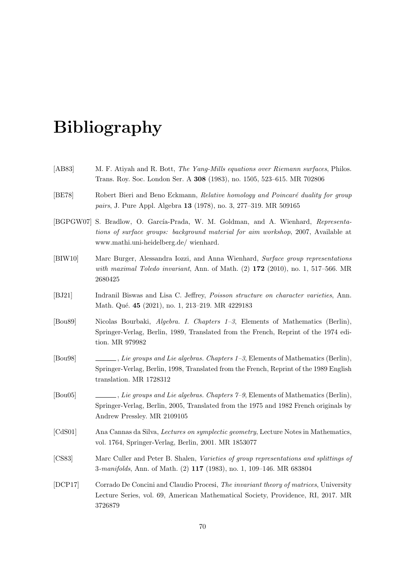# Bibliography

- <span id="page-70-3"></span>[AB83] M. F. Atiyah and R. Bott, The Yang-Mills equations over Riemann surfaces, Philos. Trans. Roy. Soc. London Ser. A 308 (1983), no. 1505, 523–615. MR 702806 [BE78] Robert Bieri and Beno Eckmann, Relative homology and Poincaré duality for group pairs, J. Pure Appl. Algebra 13 (1978), no. 3, 277–319. MR 509165
- [BGPGW07] S. Bradlow, O. García-Prada, W. M. Goldman, and A. Wienhard, Representations of surface groups: background material for aim workshop, 2007, Available at www.mathi.uni-heidelberg.de/ wienhard.
- <span id="page-70-2"></span>[BIW10] Marc Burger, Alessandra Iozzi, and Anna Wienhard, Surface group representations with maximal Toledo invariant, Ann. of Math.  $(2)$  172  $(2010)$ , no. 1, 517-566. MR 2680425
- <span id="page-70-1"></span>[BJ21] Indranil Biswas and Lisa C. Jeffrey, Poisson structure on character varieties, Ann. Math. Qué. 45 (2021), no. 1, 213-219. MR 4229183
- <span id="page-70-4"></span>[Bou89] Nicolas Bourbaki, Algebra. I. Chapters 1–3, Elements of Mathematics (Berlin), Springer-Verlag, Berlin, 1989, Translated from the French, Reprint of the 1974 edition. MR 979982
- [Bou98] , Lie groups and Lie algebras. Chapters 1–3, Elements of Mathematics (Berlin), Springer-Verlag, Berlin, 1998, Translated from the French, Reprint of the 1989 English translation. MR 1728312
- [Bou05] , Lie groups and Lie algebras. Chapters 7–9, Elements of Mathematics (Berlin), Springer-Verlag, Berlin, 2005, Translated from the 1975 and 1982 French originals by Andrew Pressley. MR 2109105
- <span id="page-70-0"></span>[CdS01] Ana Cannas da Silva, Lectures on symplectic geometry, Lecture Notes in Mathematics, vol. 1764, Springer-Verlag, Berlin, 2001. MR 1853077
- [CS83] Marc Culler and Peter B. Shalen, Varieties of group representations and splittings of 3-manifolds, Ann. of Math. (2) 117 (1983), no. 1, 109–146. MR 683804
- [DCP17] Corrado De Concini and Claudio Procesi, The invariant theory of matrices, University Lecture Series, vol. 69, American Mathematical Society, Providence, RI, 2017. MR 3726879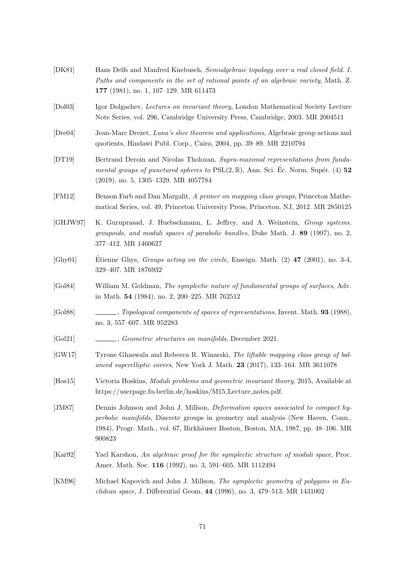- [DK81] Hans Delfs and Manfred Knebusch, Semialgebraic topology over a real closed field. I. Paths and components in the set of rational points of an algebraic variety, Math. Z. 177 (1981), no. 1, 107–129. MR 611473
- [Dol03] Igor Dolgachev, Lectures on invariant theory, London Mathematical Society Lecture Note Series, vol. 296, Cambridge University Press, Cambridge, 2003. MR 2004511
- [Dre04] Jean-Marc Drezet, Luna's slice theorem and applications, Algebraic group actions and quotients, Hindawi Publ. Corp., Cairo, 2004, pp. 39–89. MR 2210794
- <span id="page-71-3"></span>[DT19] Bertrand Deroin and Nicolas Tholozan, Supra-maximal representations from fundamental groups of punctured spheres to  $PSL(2,\mathbb{R})$ , Ann. Sci. Éc. Norm. Supér. (4) 52 (2019), no. 5, 1305–1329. MR 4057784
- <span id="page-71-4"></span>[FM12] Benson Farb and Dan Margalit, A primer on mapping class groups, Princeton Mathematical Series, vol. 49, Princeton University Press, Princeton, NJ, 2012. MR 2850125
- <span id="page-71-0"></span>[GHJW97] K. Guruprasad, J. Huebschmann, L. Jeffrey, and A. Weinstein, Group systems, groupoids, and moduli spaces of parabolic bundles, Duke Math. J. 89 (1997), no. 2, 377–412. MR 1460627
- <span id="page-71-2"></span>[Ghy01] Etienne Ghys, *Groups acting on the circle*, Enseign. Math.  $(2)$  47 (2001), no. 3-4, 329–407. MR 1876932
- [Gol84] William M. Goldman, The symplectic nature of fundamental groups of surfaces, Adv. in Math. 54 (1984), no. 2, 200–225. MR 762512
- <span id="page-71-1"></span>[Gol88] , Topological components of spaces of representations, Invent. Math. **93** (1988), no. 3, 557–607. MR 952283
- [Gol21] , Geometric structures on manifolds, December 2021.
- <span id="page-71-5"></span>[GW17] Tyrone Ghaswala and Rebecca R. Winarski, The liftable mapping class group of balanced superelliptic covers, New York J. Math. 23 (2017), 133–164. MR 3611078
- [Hos15] Victoria Hoskins, Moduli problems and geometric invariant theory, 2015, Available at https://userpage.fu-berlin.de/hoskins/M15 Lecture notes.pdf.
- [JM87] Dennis Johnson and John J. Millson, *Deformation spaces associated to compact hy*perbolic manifolds, Discrete groups in geometry and analysis (New Haven, Conn., 1984), Progr. Math., vol. 67, Birkh¨auser Boston, Boston, MA, 1987, pp. 48–106. MR 900823
- [Kar92] Yael Karshon, An algebraic proof for the symplectic structure of moduli space, Proc. Amer. Math. Soc. 116 (1992), no. 3, 591–605. MR 1112494
- <span id="page-71-6"></span>[KM96] Michael Kapovich and John J. Millson, The symplectic geometry of polygons in Euclidean space, J. Differential Geom. 44 (1996), no. 3, 479–513. MR 1431002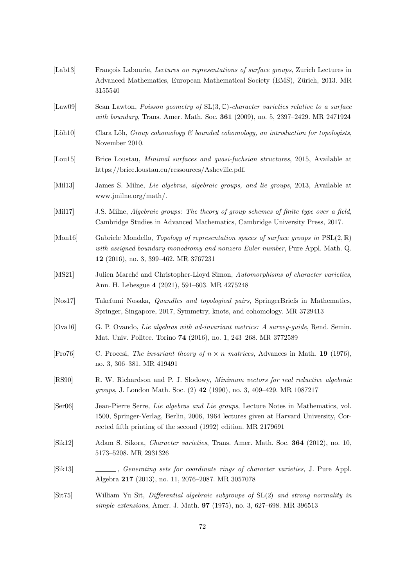[Lab13] François Labourie, Lectures on representations of surface groups, Zurich Lectures in Advanced Mathematics, European Mathematical Society (EMS), Zürich, 2013. MR 3155540 [Law09] Sean Lawton, *Poisson geometry of*  $SL(3, \mathbb{C})$ -*character varieties relative to a surface* with boundary, Trans. Amer. Math. Soc. **361** (2009), no. 5, 2397–2429. MR 2471924 [Löh10] Clara Löh, Group cohomology & bounded cohomology, an introduction for topologists, November 2010. [Lou15] Brice Loustau, Minimal surfaces and quasi-fuchsian structures, 2015, Available at https://brice.loustau.eu/ressources/Asheville.pdf. [Mil13] James S. Milne, Lie algebras, algebraic groups, and lie groups, 2013, Available at www.jmilne.org/math/. [Mil17] J.S. Milne, Algebraic groups: The theory of group schemes of finite type over a field, Cambridge Studies in Advanced Mathematics, Cambridge University Press, 2017. [Mon16] Gabriele Mondello, Topology of representation spaces of surface groups in  $PSL(2,\mathbb{R})$ with assigned boundary monodromy and nonzero Euler number, Pure Appl. Math. Q. 12 (2016), no. 3, 399–462. MR 3767231 [MS21] Julien Marché and Christopher-Lloyd Simon, Automorphisms of character varieties, Ann. H. Lebesgue 4 (2021), 591–603. MR 4275248 [Nos17] Takefumi Nosaka, Quandles and topological pairs, SpringerBriefs in Mathematics, Springer, Singapore, 2017, Symmetry, knots, and cohomology. MR 3729413 [Ova16] G. P. Ovando, Lie algebras with ad-invariant metrics: A survey-guide, Rend. Semin. Mat. Univ. Politec. Torino 74 (2016), no. 1, 243–268. MR 3772589 [Pro76] C. Procesi, The invariant theory of  $n \times n$  matrices, Advances in Math. 19 (1976), no. 3, 306–381. MR 419491 [RS90] R. W. Richardson and P. J. Slodowy, Minimum vectors for real reductive algebraic groups, J. London Math. Soc. (2) 42 (1990), no. 3, 409–429. MR 1087217 [Ser06] Jean-Pierre Serre, Lie algebras and Lie groups, Lecture Notes in Mathematics, vol. 1500, Springer-Verlag, Berlin, 2006, 1964 lectures given at Harvard University, Corrected fifth printing of the second (1992) edition. MR 2179691 [Sik12] Adam S. Sikora, Character varieties, Trans. Amer. Math. Soc. 364 (2012), no. 10, 5173–5208. MR 2931326 [Sik13] , Generating sets for coordinate rings of character varieties, J. Pure Appl. Algebra 217 (2013), no. 11, 2076–2087. MR 3057078 [Sit75] William Yu Sit, Differential algebraic subgroups of  $SL(2)$  and strong normality in simple extensions, Amer. J. Math. 97 (1975), no. 3, 627–698. MR 396513